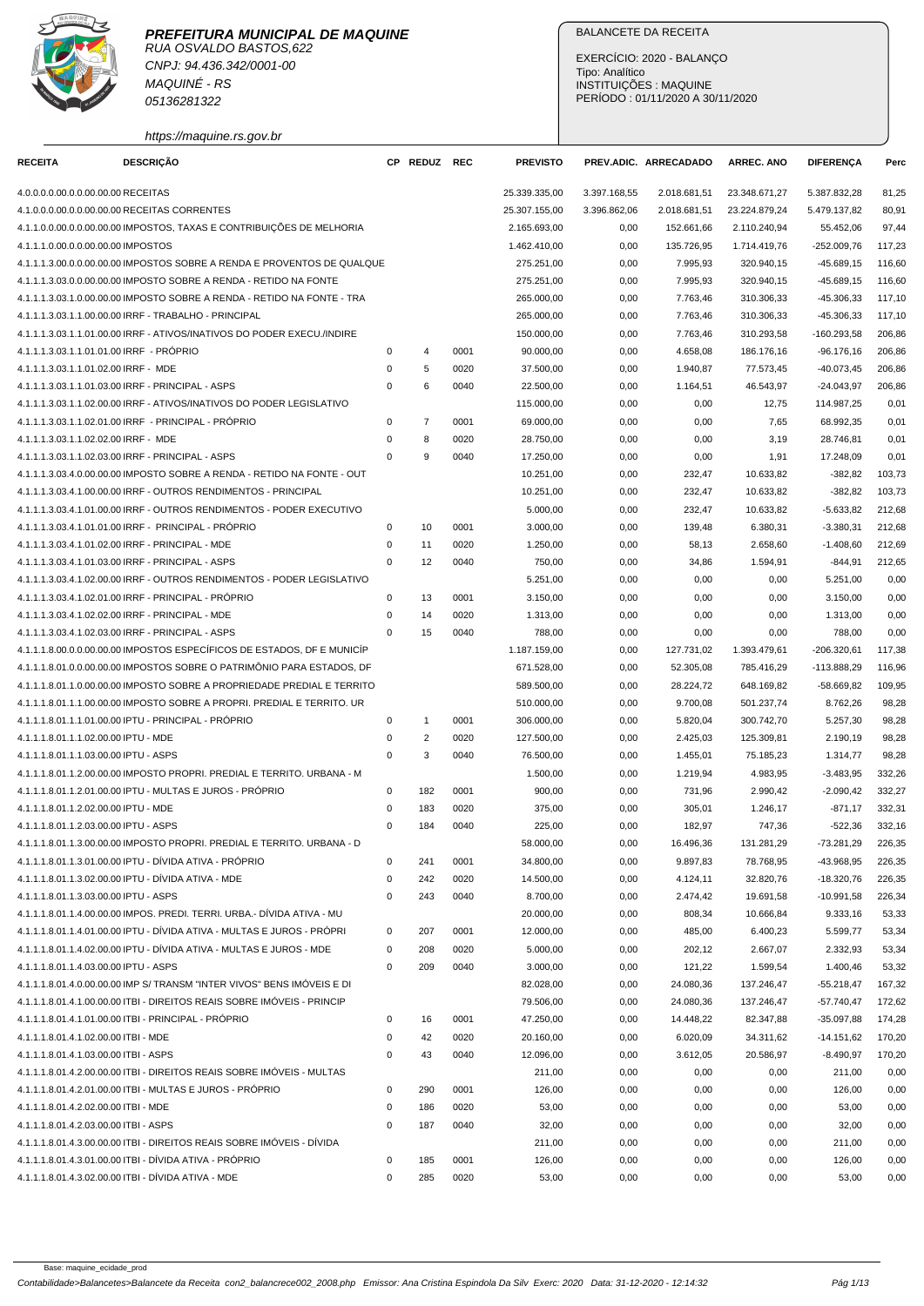

CNPJ: 94.436.342/0001-00 MAQUINÉ - RS 05136281322

https://maquine.rs.gov.br

## BALANCETE DA RECEITA

EXERCÍCIO: 2020 - BALANÇO Tipo: Analítico INSTITUIÇÕES : MAQUINE PERÍODO : 01/11/2020 A 30/11/2020

| <b>RECEITA</b>                        | <b>DESCRIÇÃO</b>                                                        |             | CP REDUZ                | REC  | <b>PREVISTO</b> |              | PREV.ADIC. ARRECADADO | <b>ARREC. ANO</b> | <b>DIFERENÇA</b> | Perc   |
|---------------------------------------|-------------------------------------------------------------------------|-------------|-------------------------|------|-----------------|--------------|-----------------------|-------------------|------------------|--------|
| 4.0.0.0.0.00.0.0.00.00.00 RECEITAS    |                                                                         |             |                         |      | 25.339.335,00   | 3.397.168,55 | 2.018.681,51          | 23.348.671,27     | 5.387.832,28     | 81,25  |
|                                       | 4.1.0.0.0.00.0.0.00.00.00 RECEITAS CORRENTES                            |             |                         |      | 25.307.155,00   | 3.396.862,06 | 2.018.681,51          | 23.224.879,24     | 5.479.137,82     | 80,91  |
|                                       | 4.1.1.0.0.00.0.00.00.00.00 IMPOSTOS, TAXAS E CONTRIBUIÇÕES DE MELHORIA  |             |                         |      | 2.165.693,00    | 0,00         | 152.661,66            | 2.110.240,94      | 55.452,06        | 97,44  |
| 4.1.1.1.0.00.0.0.00.00.00 IMPOSTOS    |                                                                         |             |                         |      | 1.462.410,00    | 0,00         | 135.726,95            | 1.714.419,76      | $-252.009,76$    | 117,23 |
|                                       | 4.1.1.1.3.00.0.0.00.00.00 IMPOSTOS SOBRE A RENDA E PROVENTOS DE QUALQUE |             |                         |      | 275.251.00      | 0,00         | 7.995,93              | 320.940.15        | $-45.689, 15$    | 116,60 |
|                                       | 4.1.1.1.3.03.0.0.00.00.00 IMPOSTO SOBRE A RENDA - RETIDO NA FONTE       |             |                         |      | 275.251,00      | 0,00         | 7.995,93              | 320.940,15        | $-45.689, 15$    | 116,60 |
|                                       | 4.1.1.1.3.03.1.0.00.00.00 IMPOSTO SOBRE A RENDA - RETIDO NA FONTE - TRA |             |                         |      | 265.000,00      | 0,00         | 7.763,46              | 310.306,33        | $-45.306,33$     | 117,10 |
|                                       | 4.1.1.1.3.03.1.1.00.00.00 IRRF - TRABALHO - PRINCIPAL                   |             |                         |      | 265.000,00      | 0,00         | 7.763,46              | 310.306,33        | $-45.306,33$     | 117,10 |
|                                       | 4.1.1.1.3.03.1.1.01.00.00 IRRF - ATIVOS/INATIVOS DO PODER EXECU./INDIRE |             |                         |      | 150.000,00      | 0,00         | 7.763,46              | 310.293,58        | $-160.293,58$    | 206,86 |
|                                       | 4.1.1.1.3.03.1.1.01.01.00 IRRF - PRÓPRIO                                | 0           | 4                       | 0001 | 90.000,00       | 0,00         | 4.658,08              | 186.176,16        | $-96.176,16$     | 206,86 |
| 4.1.1.1.3.03.1.1.01.02.00 IRRF - MDE  |                                                                         | 0           | 5                       | 0020 | 37.500,00       | 0,00         | 1.940,87              | 77.573,45         | $-40.073,45$     | 206,86 |
|                                       | 4.1.1.1.3.03.1.1.01.03.00 IRRF - PRINCIPAL - ASPS                       | 0           | 6                       | 0040 | 22.500,00       | 0,00         | 1.164,51              | 46.543,97         | $-24.043,97$     | 206,86 |
|                                       | 4.1.1.1.3.03.1.1.02.00.00 IRRF - ATIVOS/INATIVOS DO PODER LEGISLATIVO   |             |                         |      | 115.000,00      | 0,00         | 0,00                  | 12,75             | 114.987,25       | 0,01   |
|                                       | 4.1.1.1.3.03.1.1.02.01.00 IRRF - PRINCIPAL - PRÓPRIO                    | 0           | $\overline{7}$          | 0001 | 69.000,00       | 0,00         | 0,00                  | 7,65              | 68.992,35        | 0,01   |
| 4.1.1.1.3.03.1.1.02.02.00 IRRF - MDE  |                                                                         | 0           | 8                       | 0020 | 28.750,00       | 0,00         | 0,00                  | 3,19              | 28.746,81        | 0,01   |
|                                       | 4.1.1.1.3.03.1.1.02.03.00 IRRF - PRINCIPAL - ASPS                       | $\Omega$    | 9                       | 0040 | 17.250,00       | 0,00         | 0,00                  | 1,91              | 17.248,09        | 0,01   |
|                                       | 4.1.1.1.3.03.4.0.00.00.00 IMPOSTO SOBRE A RENDA - RETIDO NA FONTE - OUT |             |                         |      | 10.251,00       | 0,00         | 232,47                | 10.633,82         | $-382,82$        | 103,73 |
|                                       | 4.1.1.1.3.03.4.1.00.00.00 IRRF - OUTROS RENDIMENTOS - PRINCIPAL         |             |                         |      | 10.251,00       | 0,00         | 232,47                | 10.633,82         | $-382,82$        | 103,73 |
|                                       | 4.1.1.1.3.03.4.1.01.00.00 IRRF - OUTROS RENDIMENTOS - PODER EXECUTIVO   |             |                         |      | 5.000,00        | 0,00         | 232,47                | 10.633,82         | $-5.633,82$      | 212,68 |
|                                       | 4.1.1.1.3.03.4.1.01.01.00 IRRF - PRINCIPAL - PRÓPRIO                    | 0           | 10                      | 0001 | 3.000,00        | 0,00         | 139,48                | 6.380,31          | $-3.380,31$      | 212,68 |
|                                       | 4.1.1.1.3.03.4.1.01.02.00 IRRF - PRINCIPAL - MDE                        | $\mathbf 0$ | 11                      | 0020 | 1.250.00        | 0,00         | 58,13                 | 2.658,60          | $-1.408,60$      | 212,69 |
|                                       | 4.1.1.1.3.03.4.1.01.03.00 IRRF - PRINCIPAL - ASPS                       | $\mathbf 0$ | 12                      | 0040 | 750,00          | 0,00         | 34,86                 | 1.594,91          | $-844,91$        | 212,65 |
|                                       | 4.1.1.1.3.03.4.1.02.00.00 IRRF - OUTROS RENDIMENTOS - PODER LEGISLATIVO |             |                         |      | 5.251,00        | 0,00         | 0,00                  | 0,00              | 5.251.00         | 0,00   |
|                                       | 4.1.1.1.3.03.4.1.02.01.00 IRRF - PRINCIPAL - PRÓPRIO                    | 0           | 13                      | 0001 | 3.150,00        | 0,00         | 0,00                  | 0,00              | 3.150,00         | 0,00   |
|                                       | 4.1.1.1.3.03.4.1.02.02.00 IRRF - PRINCIPAL - MDE                        | $\mathbf 0$ | 14                      | 0020 | 1.313,00        | 0,00         | 0,00                  | 0,00              | 1.313,00         | 0,00   |
|                                       | 4.1.1.1.3.03.4.1.02.03.00 IRRF - PRINCIPAL - ASPS                       | $\Omega$    | 15                      | 0040 | 788,00          | 0,00         | 0,00                  | 0,00              | 788,00           | 0,00   |
|                                       | 4.1.1.1.8.00.0.0.00.00.00 IMPOSTOS ESPECÍFICOS DE ESTADOS, DF E MUNICÍP |             |                         |      | 1.187.159,00    | 0,00         | 127.731,02            | 1.393.479,61      | $-206.320,61$    | 117,38 |
|                                       | 4.1.1.1.8.01.0.0.00.00.00 IMPOSTOS SOBRE O PATRIMÔNIO PARA ESTADOS, DF  |             |                         |      | 671.528,00      | 0,00         | 52.305,08             | 785.416,29        | -113.888,29      | 116,96 |
|                                       | 4.1.1.1.8.01.1.0.00.00.00 IMPOSTO SOBRE A PROPRIEDADE PREDIAL E TERRITO |             |                         |      | 589.500,00      | 0,00         | 28.224,72             | 648.169,82        | $-58.669,82$     | 109,95 |
|                                       | 4.1.1.1.8.01.1.1.00.00.00 IMPOSTO SOBRE A PROPRI. PREDIAL E TERRITO. UR |             |                         |      | 510.000,00      | 0,00         | 9.700,08              | 501.237,74        | 8.762,26         | 98,28  |
|                                       | 4.1.1.1.8.01.1.1.01.00.00 IPTU - PRINCIPAL - PRÓPRIO                    | 0           | $\mathbf{1}$            | 0001 | 306.000,00      | 0,00         | 5.820,04              | 300.742,70        | 5.257,30         | 98,28  |
| 4.1.1.1.8.01.1.1.02.00.00 IPTU - MDE  |                                                                         | 0           | $\overline{\mathbf{c}}$ | 0020 | 127.500,00      | 0,00         | 2.425,03              | 125.309,81        | 2.190,19         | 98,28  |
| 4.1.1.1.8.01.1.1.03.00.00 IPTU - ASPS |                                                                         | $\mathbf 0$ | 3                       | 0040 | 76.500,00       | 0,00         | 1.455,01              | 75.185,23         | 1.314,77         | 98,28  |
|                                       | 4.1.1.1.8.01.1.2.00.00.00 IMPOSTO PROPRI. PREDIAL E TERRITO. URBANA - M |             |                         |      | 1.500,00        | 0,00         | 1.219,94              | 4.983,95          | $-3.483,95$      | 332,26 |
|                                       | 4.1.1.1.8.01.1.2.01.00.00 IPTU - MULTAS E JUROS - PRÓPRIO               | 0           | 182                     | 0001 | 900,00          | 0,00         | 731,96                | 2.990,42          | $-2.090,42$      | 332,27 |
| 4.1.1.1.8.01.1.2.02.00.00 IPTU - MDE  |                                                                         | 0           | 183                     | 0020 | 375,00          | 0,00         | 305,01                | 1.246,17          | $-871,17$        | 332,31 |
| 4.1.1.1.8.01.1.2.03.00.00 IPTU - ASPS |                                                                         | 0           | 184                     | 0040 | 225,00          | 0,00         | 182,97                | 747,36            | $-522,36$        | 332,16 |
|                                       | 4.1.1.1.8.01.1.3.00.00.00 IMPOSTO PROPRI. PREDIAL E TERRITO. URBANA - D |             |                         |      | 58.000,00       | 0,00         | 16.496.36             | 131.281,29        | $-73.281,29$     | 226,35 |
|                                       | 4.1.1.1.8.01.1.3.01.00.00 IPTU - DÍVIDA ATIVA - PRÓPRIO                 | 0           | 241                     | 0001 | 34.800,00       | 0,00         | 9.897,83              | 78.768,95         | -43.968,95       | 226,35 |
|                                       | 4.1.1.1.8.01.1.3.02.00.00 IPTU - DÍVIDA ATIVA - MDE                     | 0           | 242                     | 0020 | 14.500,00       | 0,00         | 4.124,11              | 32.820,76         | $-18.320,76$     | 226,35 |
| 4.1.1.1.8.01.1.3.03.00.00 IPTU - ASPS |                                                                         | 0           | 243                     | 0040 | 8.700,00        | 0,00         | 2.474,42              | 19.691,58         | $-10.991,58$     | 226,34 |
|                                       | 4.1.1.1.8.01.1.4.00.00.00 IMPOS, PREDI, TERRI, URBA.- DÍVIDA ATIVA - MU |             |                         |      | 20.000,00       | 0,00         | 808,34                | 10.666,84         | 9.333,16         | 53,33  |
|                                       | 4.1.1.1.8.01.1.4.01.00.00 IPTU - DÍVIDA ATIVA - MULTAS E JUROS - PRÓPRI | 0           | 207                     | 0001 | 12.000,00       | 0,00         | 485,00                | 6.400,23          | 5.599,77         | 53,34  |
|                                       | 4.1.1.1.8.01.1.4.02.00.00 IPTU - DÍVIDA ATIVA - MULTAS E JUROS - MDE    | 0           | 208                     | 0020 | 5.000,00        | 0,00         | 202,12                | 2.667,07          | 2.332,93         | 53,34  |
| 4.1.1.1.8.01.1.4.03.00.00 IPTU - ASPS |                                                                         | 0           | 209                     | 0040 | 3.000,00        | 0,00         | 121,22                | 1.599,54          | 1.400,46         | 53,32  |
|                                       | 4.1.1.1.8.01.4.0.00.00.00 IMP S/ TRANSM "INTER VIVOS" BENS IMÓVEIS E DI |             |                         |      | 82.028,00       | 0,00         | 24.080,36             | 137.246,47        | $-55.218,47$     | 167,32 |
|                                       | 4.1.1.1.8.01.4.1.00.00.00 ITBI - DIREITOS REAIS SOBRE IMÓVEIS - PRINCIP |             |                         |      | 79.506,00       | 0,00         | 24.080,36             | 137.246,47        | $-57.740,47$     | 172,62 |
|                                       | 4.1.1.1.8.01.4.1.01.00.00 ITBI - PRINCIPAL - PRÓPRIO                    | 0           | 16                      | 0001 | 47.250,00       | 0,00         | 14.448,22             | 82.347,88         | $-35.097,88$     | 174,28 |
| 4.1.1.1.8.01.4.1.02.00.00 ITBI - MDE  |                                                                         | 0           | 42                      | 0020 | 20.160,00       | 0,00         | 6.020,09              | 34.311,62         | $-14.151,62$     | 170,20 |
| 4.1.1.1.8.01.4.1.03.00.00 ITBI - ASPS |                                                                         | 0           | 43                      | 0040 | 12.096,00       | 0,00         | 3.612,05              | 20.586,97         | $-8.490,97$      | 170,20 |
|                                       | 4.1.1.1.8.01.4.2.00.00.00 ITBI - DIREITOS REAIS SOBRE IMÓVEIS - MULTAS  |             |                         |      | 211,00          | 0,00         | 0,00                  | 0,00              | 211,00           | 0,00   |
|                                       | 4.1.1.1.8.01.4.2.01.00.00 ITBI - MULTAS E JUROS - PRÓPRIO               | 0           | 290                     | 0001 | 126,00          | 0,00         | 0,00                  | 0,00              | 126,00           | 0,00   |
| 4.1.1.1.8.01.4.2.02.00.00 ITBI - MDE  |                                                                         | 0           | 186                     | 0020 | 53,00           | 0,00         | 0,00                  | 0,00              | 53,00            | 0,00   |
| 4.1.1.1.8.01.4.2.03.00.00 ITBI - ASPS |                                                                         | 0           | 187                     | 0040 | 32,00           | 0,00         | 0,00                  | 0,00              | 32,00            | 0,00   |
|                                       | 4.1.1.1.8.01.4.3.00.00.00 ITBI - DIREITOS REAIS SOBRE IMÓVEIS - DÍVIDA  |             |                         |      | 211,00          | 0,00         | 0,00                  | 0,00              | 211,00           | 0,00   |
|                                       | 4.1.1.1.8.01.4.3.01.00.00 ITBI - DÍVIDA ATIVA - PRÓPRIO                 | 0           | 185                     | 0001 | 126,00          | 0,00         | 0,00                  | 0,00              | 126,00           | 0,00   |
|                                       | 4.1.1.1.8.01.4.3.02.00.00 ITBI - DÍVIDA ATIVA - MDE                     | 0           | 285                     | 0020 | 53,00           | 0,00         | 0,00                  | 0,00              | 53,00            | 0,00   |
|                                       |                                                                         |             |                         |      |                 |              |                       |                   |                  |        |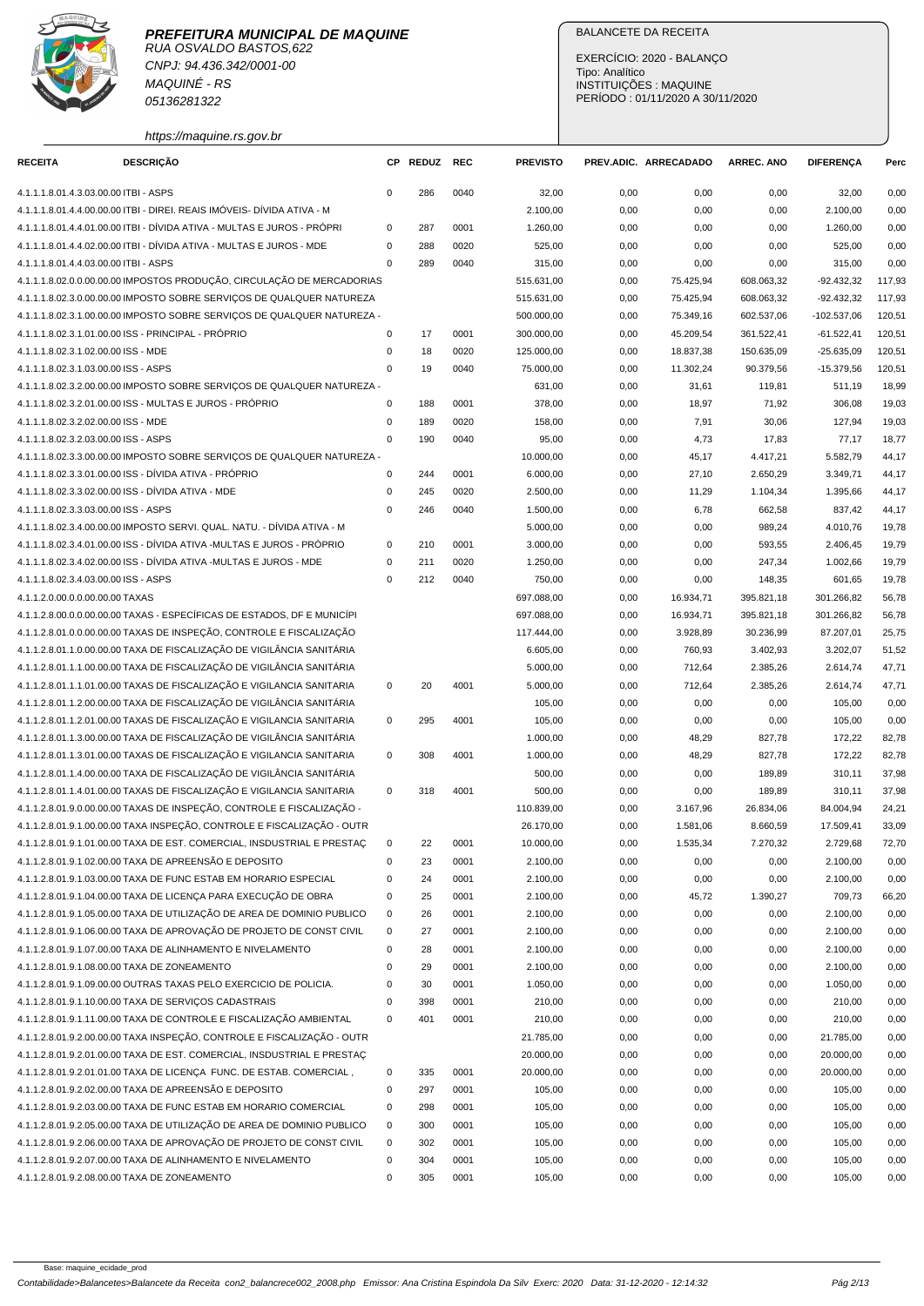

RUA OSVALDO BASTOS,622 CNPJ: 94.436.342/0001-00 MAQUINÉ - RS 05136281322

https://maquine.rs.gov.br

### BALANCETE DA RECEITA

EXERCÍCIO: 2020 - BALANÇO Tipo: Analítico INSTITUIÇÕES : MAQUINE PERÍODO : 01/11/2020 A 30/11/2020

| <b>RECEITA</b>                        | <b>DESCRIÇÃO</b>                                                                                                                  |             | CP REDUZ   | <b>REC</b> | <b>PREVISTO</b> |      | PREV.ADIC. ARRECADADO | <b>ARREC. ANO</b> | <b>DIFERENÇA</b> | Perc   |
|---------------------------------------|-----------------------------------------------------------------------------------------------------------------------------------|-------------|------------|------------|-----------------|------|-----------------------|-------------------|------------------|--------|
| 4.1.1.1.8.01.4.3.03.00.00 ITBI - ASPS |                                                                                                                                   | $\mathbf 0$ | 286        | 0040       | 32,00           | 0,00 | 0,00                  | 0,00              | 32,00            | 0,00   |
|                                       | 4.1.1.1.8.01.4.4.00.00.00 ITBI - DIREI. REAIS IMÓVEIS- DÍVIDA ATIVA - M                                                           |             |            |            | 2.100,00        | 0,00 | 0,00                  | 0,00              | 2.100,00         | 0,00   |
|                                       | 4.1.1.1.8.01.4.4.01.00.00 ITBI - DÍVIDA ATIVA - MULTAS E JUROS - PRÓPRI                                                           | $\mathsf 0$ | 287        | 0001       | 1.260,00        | 0,00 | 0,00                  | 0,00              | 1.260,00         | 0,00   |
|                                       | 4.1.1.1.8.01.4.4.02.00.00 ITBI - DÍVIDA ATIVA - MULTAS E JUROS - MDE                                                              | $\mathsf 0$ | 288        | 0020       | 525,00          | 0,00 | 0,00                  | 0,00              | 525,00           | 0,00   |
| 4.1.1.1.8.01.4.4.03.00.00 ITBI - ASPS |                                                                                                                                   | $\mathbf 0$ | 289        | 0040       | 315,00          | 0,00 | 0,00                  | 0,00              | 315,00           | 0,00   |
|                                       | 4.1.1.1.8.02.0.0.00.00.00 IMPOSTOS PRODUÇÃO, CIRCULAÇÃO DE MERCADORIAS                                                            |             |            |            | 515.631,00      | 0,00 | 75.425,94             | 608.063,32        | $-92.432,32$     | 117,93 |
|                                       | 4.1.1.1.8.02.3.0.00.00.00 IMPOSTO SOBRE SERVIÇOS DE QUALQUER NATUREZA                                                             |             |            |            | 515.631,00      | 0,00 | 75.425,94             | 608.063,32        | $-92.432,32$     | 117,93 |
|                                       | 4.1.1.1.8.02.3.1.00.00.00 IMPOSTO SOBRE SERVIÇOS DE QUALQUER NATUREZA -                                                           |             |            |            | 500.000,00      | 0,00 | 75.349,16             | 602.537,06        | $-102.537,06$    | 120,51 |
|                                       | 4.1.1.1.8.02.3.1.01.00.00 ISS - PRINCIPAL - PRÓPRIO                                                                               | 0           | 17         | 0001       | 300.000,00      | 0,00 | 45.209,54             | 361.522,41        | $-61.522,41$     | 120,51 |
| 4.1.1.1.8.02.3.1.02.00.00 ISS - MDE   |                                                                                                                                   | 0           | 18         | 0020       | 125.000,00      | 0,00 | 18.837,38             | 150.635,09        | $-25.635,09$     | 120,51 |
| 4.1.1.1.8.02.3.1.03.00.00 ISS - ASPS  |                                                                                                                                   | $\mathbf 0$ | 19         | 0040       | 75.000,00       | 0,00 | 11.302,24             | 90.379,56         | $-15.379,56$     | 120,51 |
|                                       | 4.1.1.1.8.02.3.2.00.00.00 IMPOSTO SOBRE SERVIÇOS DE QUALQUER NATUREZA -                                                           |             |            |            | 631,00          | 0,00 | 31,61                 | 119,81            | 511,19           | 18,99  |
|                                       |                                                                                                                                   | $\mathsf 0$ | 188        | 0001       |                 |      |                       |                   |                  |        |
| 4.1.1.1.8.02.3.2.02.00.00 ISS - MDE   | 4.1.1.1.8.02.3.2.01.00.00 ISS - MULTAS E JUROS - PRÓPRIO                                                                          | $\pmb{0}$   |            | 0020       | 378,00          | 0,00 | 18,97                 | 71,92             | 306,08           | 19,03  |
| 4.1.1.1.8.02.3.2.03.00.00 ISS - ASPS  |                                                                                                                                   | $\mathbf 0$ | 189<br>190 | 0040       | 158,00          | 0,00 | 7,91                  | 30,06             | 127,94           | 19,03  |
|                                       |                                                                                                                                   |             |            |            | 95,00           | 0,00 | 4,73                  | 17,83             | 77,17            | 18,77  |
|                                       | 4.1.1.1.8.02.3.3.00.00.00 IMPOSTO SOBRE SERVIÇOS DE QUALQUER NATUREZA -<br>4.1.1.1.8.02.3.3.01.00.00 ISS - DÍVIDA ATIVA - PRÓPRIO |             |            |            | 10.000,00       | 0,00 | 45,17                 | 4.417,21          | 5.582,79         | 44,17  |
|                                       |                                                                                                                                   | $\mathbf 0$ | 244        | 0001       | 6.000,00        | 0,00 | 27,10                 | 2.650,29          | 3.349,71         | 44,17  |
|                                       | 4.1.1.1.8.02.3.3.02.00.00 ISS - DÍVIDA ATIVA - MDE                                                                                | $\mathsf 0$ | 245        | 0020       | 2.500,00        | 0,00 | 11,29                 | 1.104,34          | 1.395,66         | 44,17  |
| 4.1.1.1.8.02.3.3.03.00.00 ISS - ASPS  |                                                                                                                                   | $\mathbf 0$ | 246        | 0040       | 1.500,00        | 0,00 | 6,78                  | 662,58            | 837,42           | 44,17  |
|                                       | 4.1.1.1.8.02.3.4.00.00.00 IMPOSTO SERVI. QUAL. NATU. - DÍVIDA ATIVA - M                                                           |             |            |            | 5.000,00        | 0,00 | 0,00                  | 989,24            | 4.010,76         | 19,78  |
|                                       | 4.1.1.1.8.02.3.4.01.00.00 ISS - DÍVIDA ATIVA -MULTAS E JUROS - PRÓPRIO                                                            | 0           | 210        | 0001       | 3.000,00        | 0,00 | 0,00                  | 593,55            | 2.406,45         | 19,79  |
|                                       | 4.1.1.1.8.02.3.4.02.00.00 ISS - DÍVIDA ATIVA -MULTAS E JUROS - MDE                                                                | $\mathsf 0$ | 211        | 0020       | 1.250,00        | 0,00 | 0,00                  | 247,34            | 1.002,66         | 19,79  |
| 4.1.1.1.8.02.3.4.03.00.00 ISS - ASPS  |                                                                                                                                   | $\mathbf 0$ | 212        | 0040       | 750,00          | 0,00 | 0,00                  | 148,35            | 601,65           | 19,78  |
| 4.1.1.2.0.00.0.0.00.00.00 TAXAS       |                                                                                                                                   |             |            |            | 697.088,00      | 0,00 | 16.934,71             | 395.821,18        | 301.266,82       | 56,78  |
|                                       | 4.1.1.2.8.00.0.0.00.00.00 TAXAS - ESPECÍFICAS DE ESTADOS, DF E MUNICÍPI                                                           |             |            |            | 697.088,00      | 0,00 | 16.934,71             | 395.821,18        | 301.266,82       | 56,78  |
|                                       | 4.1.1.2.8.01.0.0.00.00.00 TAXAS DE INSPEÇÃO, CONTROLE E FISCALIZAÇÃO                                                              |             |            |            | 117.444,00      | 0,00 | 3.928,89              | 30.236,99         | 87.207,01        | 25,75  |
|                                       | 4.1.1.2.8.01.1.0.00.00.00 TAXA DE FISCALIZAÇÃO DE VIGILÂNCIA SANITÁRIA                                                            |             |            |            | 6.605,00        | 0,00 | 760,93                | 3.402,93          | 3.202,07         | 51,52  |
|                                       | 4.1.1.2.8.01.1.1.00.00.00 TAXA DE FISCALIZAÇÃO DE VIGILÂNCIA SANITÁRIA                                                            |             |            |            | 5.000,00        | 0,00 | 712,64                | 2.385,26          | 2.614,74         | 47,71  |
|                                       | 4.1.1.2.8.01.1.1.01.00.00 TAXAS DE FISCALIZAÇÃO E VIGILANCIA SANITARIA                                                            | 0           | 20         | 4001       | 5.000,00        | 0,00 | 712,64                | 2.385,26          | 2.614,74         | 47,71  |
|                                       | 4.1.1.2.8.01.1.2.00.00.00 TAXA DE FISCALIZAÇÃO DE VIGILÂNCIA SANITÁRIA                                                            |             |            |            | 105,00          | 0,00 | 0,00                  | 0,00              | 105,00           | 0,00   |
|                                       | 4.1.1.2.8.01.1.2.01.00.00 TAXAS DE FISCALIZAÇÃO E VIGILANCIA SANITARIA                                                            | 0           | 295        | 4001       | 105,00          | 0,00 | 0,00                  | 0,00              | 105,00           | 0,00   |
|                                       | 4.1.1.2.8.01.1.3.00.00.00 TAXA DE FISCALIZAÇÃO DE VIGILÂNCIA SANITÁRIA                                                            |             |            |            | 1.000,00        | 0,00 | 48,29                 | 827,78            | 172,22           | 82,78  |
|                                       | 4.1.1.2.8.01.1.3.01.00.00 TAXAS DE FISCALIZAÇÃO E VIGILANCIA SANITARIA                                                            | 0           | 308        | 4001       | 1.000,00        | 0,00 | 48,29                 | 827,78            | 172,22           | 82,78  |
|                                       | 4.1.1.2.8.01.1.4.00.00.00 TAXA DE FISCALIZAÇÃO DE VIGILÂNCIA SANITÁRIA                                                            |             |            |            | 500,00          | 0,00 | 0,00                  | 189,89            | 310,11           | 37,98  |
|                                       | 4.1.1.2.8.01.1.4.01.00.00 TAXAS DE FISCALIZAÇÃO E VIGILANCIA SANITARIA                                                            | $\mathbf 0$ | 318        | 4001       | 500,00          | 0,00 | 0,00                  | 189,89            | 310,11           | 37,98  |
|                                       | 4.1.1.2.8.01.9.0.00.00.00 TAXAS DE INSPECÃO, CONTROLE E FISCALIZAÇÃO -                                                            |             |            |            | 110.839,00      | 0,00 | 3.167,96              | 26.834,06         | 84.004,94        | 24,21  |
|                                       | 4.1.1.2.8.01.9.1.00.00.00 TAXA INSPEÇÃO, CONTROLE E FISCALIZAÇÃO - OUTR                                                           |             |            |            | 26.170,00       | 0,00 | 1.581,06              | 8.660,59          | 17.509,41        | 33,09  |
|                                       | 4.1.1.2.8.01.9.1.01.00.00 TAXA DE EST. COMERCIAL, INSDUSTRIAL E PRESTAC                                                           | 0           | 22         | 0001       | 10.000,00       | 0,00 | 1.535.34              | 7.270,32          | 2.729,68         | 72,70  |
|                                       | 4.1.1.2.8.01.9.1.02.00.00 TAXA DE APREENSÃO E DEPOSITO                                                                            | $\pmb{0}$   | 23         | 0001       | 2.100,00        | 0,00 | 0,00                  | 0,00              | 2.100,00         | 0,00   |
|                                       | 4.1.1.2.8.01.9.1.03.00.00 TAXA DE FUNC ESTAB EM HORARIO ESPECIAL                                                                  | $\pmb{0}$   | 24         | 0001       | 2.100,00        | 0,00 | 0,00                  | 0,00              | 2.100,00         | 0,00   |
|                                       | 4.1.1.2.8.01.9.1.04.00.00 TAXA DE LICENÇA PARA EXECUÇÃO DE OBRA                                                                   | $\pmb{0}$   | 25         | 0001       | 2.100,00        | 0,00 | 45,72                 | 1.390,27          | 709,73           | 66,20  |
|                                       | 4.1.1.2.8.01.9.1.05.00.00 TAXA DE UTILIZAÇÃO DE AREA DE DOMINIO PUBLICO                                                           | 0           | 26         | 0001       | 2.100,00        | 0,00 | 0,00                  | 0,00              | 2.100,00         | 0,00   |
|                                       | 4.1.1.2.8.01.9.1.06.00.00 TAXA DE APROVAÇÃO DE PROJETO DE CONST CIVIL                                                             | 0           | 27         | 0001       | 2.100,00        | 0,00 | 0,00                  | 0,00              | 2.100,00         | 0,00   |
|                                       | 4.1.1.2.8.01.9.1.07.00.00 TAXA DE ALINHAMENTO E NIVELAMENTO                                                                       | $\mathsf 0$ | 28         | 0001       | 2.100,00        | 0,00 | 0,00                  | 0,00              | 2.100,00         | 0,00   |
|                                       | 4.1.1.2.8.01.9.1.08.00.00 TAXA DE ZONEAMENTO                                                                                      | $\mathsf 0$ | 29         | 0001       | 2.100,00        | 0,00 | 0,00                  | 0,00              | 2.100,00         | 0,00   |
|                                       | 4.1.1.2.8.01.9.1.09.00.00 OUTRAS TAXAS PELO EXERCICIO DE POLICIA.                                                                 | $\pmb{0}$   | 30         | 0001       | 1.050,00        | 0,00 | 0,00                  | 0,00              | 1.050,00         | 0,00   |
|                                       | 4.1.1.2.8.01.9.1.10.00.00 TAXA DE SERVIÇOS CADASTRAIS                                                                             | $\pmb{0}$   | 398        | 0001       | 210,00          | 0,00 | 0,00                  | 0,00              | 210,00           | 0,00   |
|                                       | 4.1.1.2.8.01.9.1.11.00.00 TAXA DE CONTROLE E FISCALIZAÇÃO AMBIENTAL                                                               | 0           | 401        | 0001       | 210,00          | 0,00 | 0,00                  | 0,00              | 210,00           | 0,00   |
|                                       | 4.1.1.2.8.01.9.2.00.00.00 TAXA INSPEÇÃO, CONTROLE E FISCALIZAÇÃO - OUTR                                                           |             |            |            | 21.785,00       | 0,00 | 0,00                  | 0,00              | 21.785,00        | 0,00   |
|                                       | 4.1.1.2.8.01.9.2.01.00.00 TAXA DE EST. COMERCIAL, INSDUSTRIAL E PRESTAÇ                                                           |             |            |            | 20.000,00       | 0,00 | 0,00                  | 0,00              | 20.000,00        | 0,00   |
|                                       | 4.1.1.2.8.01.9.2.01.01.00 TAXA DE LICENÇA FUNC. DE ESTAB. COMERCIAL,                                                              | 0           | 335        | 0001       | 20.000,00       | 0,00 | 0,00                  | 0,00              | 20.000,00        | 0,00   |
|                                       | 4.1.1.2.8.01.9.2.02.00.00 TAXA DE APREENSÃO E DEPOSITO                                                                            | $\mathsf 0$ | 297        | 0001       | 105,00          | 0,00 | 0,00                  | 0,00              | 105,00           | 0,00   |
|                                       | 4.1.1.2.8.01.9.2.03.00.00 TAXA DE FUNC ESTAB EM HORARIO COMERCIAL                                                                 | $\pmb{0}$   | 298        | 0001       | 105,00          | 0,00 | 0,00                  | 0,00              | 105,00           | 0,00   |
|                                       | 4.1.1.2.8.01.9.2.05.00.00 TAXA DE UTILIZAÇÃO DE AREA DE DOMINIO PUBLICO                                                           | $\mathsf 0$ | 300        | 0001       | 105,00          | 0,00 | 0,00                  | 0,00              | 105,00           | 0,00   |
|                                       | 4.1.1.2.8.01.9.2.06.00.00 TAXA DE APROVAÇÃO DE PROJETO DE CONST CIVIL                                                             | $\mathsf 0$ | 302        | 0001       | 105,00          | 0,00 | 0,00                  | 0,00              | 105,00           | 0,00   |
|                                       | 4.1.1.2.8.01.9.2.07.00.00 TAXA DE ALINHAMENTO E NIVELAMENTO                                                                       | $\pmb{0}$   | 304        | 0001       | 105,00          | 0,00 | 0,00                  | 0,00              | 105,00           | 0,00   |
|                                       | 4.1.1.2.8.01.9.2.08.00.00 TAXA DE ZONEAMENTO                                                                                      | $\mathsf 0$ | 305        | 0001       | 105,00          | 0,00 |                       | 0,00              | 105,00           | 0,00   |
|                                       |                                                                                                                                   |             |            |            |                 |      | 0,00                  |                   |                  |        |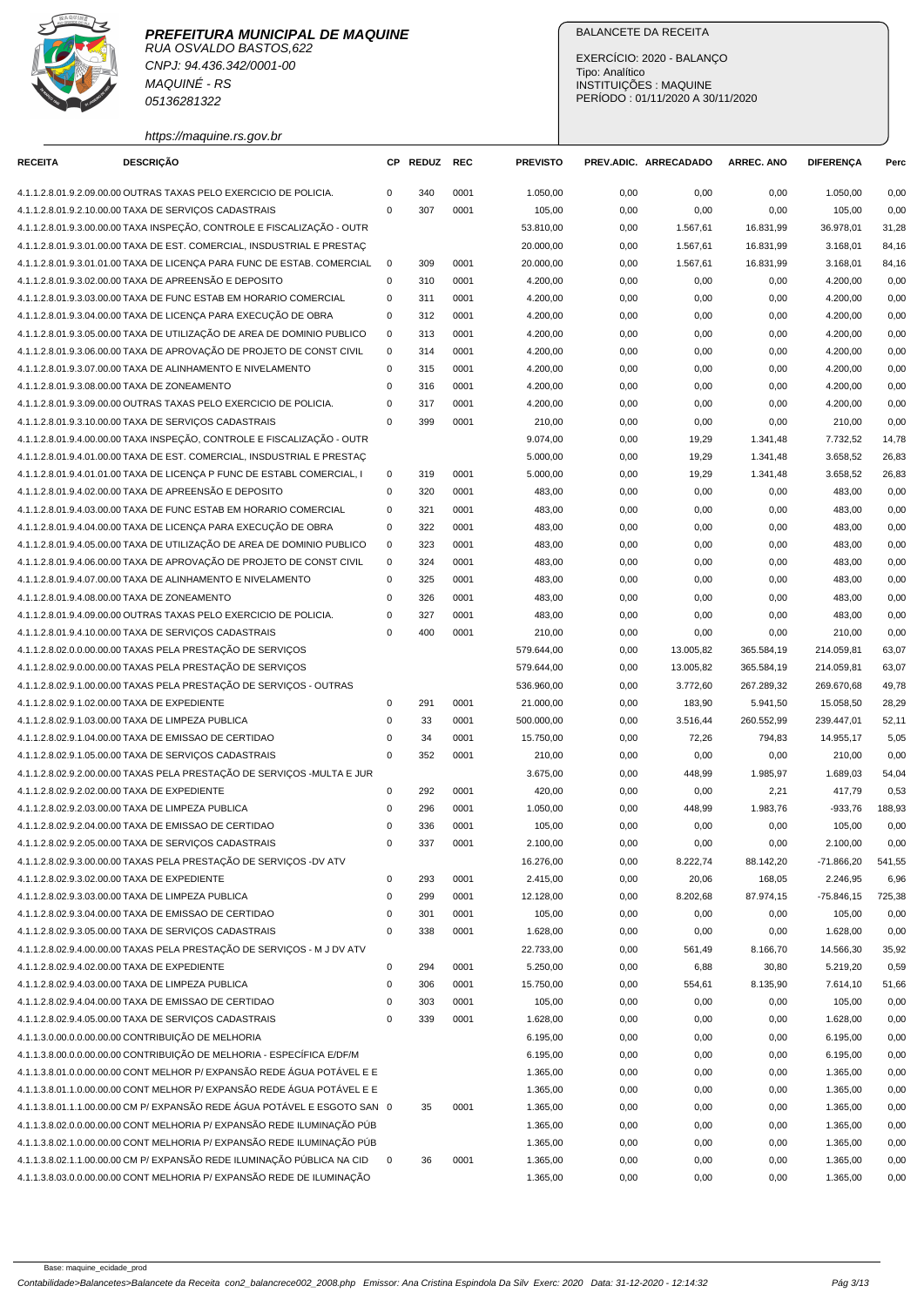

CNPJ: 94.436.342/0001-00 MAQUINÉ - RS 05136281322

### BALANCETE DA RECEITA

EXERCÍCIO: 2020 - BALANÇO Tipo: Analítico INSTITUIÇÕES : MAQUINE PERÍODO : 01/11/2020 A 30/11/2020

https://maquine.rs.gov.br

| <b>RECEITA</b> | <b>DESCRIÇÃO</b>                                                          | CР          | <b>REDUZ</b> | REC  | <b>PREVISTO</b> |      | PREV.ADIC. ARRECADADO | <b>ARREC. ANO</b> | <b>DIFERENÇA</b> | Perc   |
|----------------|---------------------------------------------------------------------------|-------------|--------------|------|-----------------|------|-----------------------|-------------------|------------------|--------|
|                | 4.1.1.2.8.01.9.2.09.00.00 OUTRAS TAXAS PELO EXERCICIO DE POLICIA.         | $\mathbf 0$ | 340          | 0001 | 1.050,00        | 0,00 | 0,00                  | 0,00              | 1.050,00         | 0,00   |
|                | 4.1.1.2.8.01.9.2.10.00.00 TAXA DE SERVIÇOS CADASTRAIS                     | $\mathbf 0$ | 307          | 0001 | 105,00          | 0,00 | 0,00                  | 0,00              | 105,00           | 0,00   |
|                | 4.1.1.2.8.01.9.3.00.00.00 TAXA INSPEÇÃO, CONTROLE E FISCALIZAÇÃO - OUTR   |             |              |      | 53.810,00       | 0,00 | 1.567,61              | 16.831,99         | 36.978,01        | 31,28  |
|                | 4.1.1.2.8.01.9.3.01.00.00 TAXA DE EST. COMERCIAL, INSDUSTRIAL E PRESTAC   |             |              |      | 20.000,00       | 0,00 | 1.567,61              | 16.831,99         | 3.168,01         | 84,16  |
|                | 4.1.1.2.8.01.9.3.01.01.00 TAXA DE LICENÇA PARA FUNC DE ESTAB. COMERCIAL   | $\mathbf 0$ | 309          | 0001 | 20.000,00       | 0,00 | 1.567,61              | 16.831,99         | 3.168,01         | 84,16  |
|                | 4.1.1.2.8.01.9.3.02.00.00 TAXA DE APREENSÃO E DEPOSITO                    | $\mathbf 0$ | 310          | 0001 | 4.200,00        | 0,00 | 0,00                  | 0,00              | 4.200,00         | 0,00   |
|                | 4.1.1.2.8.01.9.3.03.00.00 TAXA DE FUNC ESTAB EM HORARIO COMERCIAL         | 0           | 311          | 0001 | 4.200,00        | 0,00 | 0,00                  | 0,00              | 4.200,00         | 0,00   |
|                | 4.1.1.2.8.01.9.3.04.00.00 TAXA DE LICENÇA PARA EXECUÇÃO DE OBRA           | 0           | 312          | 0001 | 4.200,00        | 0,00 | 0,00                  | 0,00              | 4.200,00         | 0,00   |
|                | 4.1.1.2.8.01.9.3.05.00.00 TAXA DE UTILIZAÇÃO DE AREA DE DOMINIO PUBLICO   | $\mathbf 0$ | 313          | 0001 | 4.200,00        | 0,00 | 0,00                  | 0,00              | 4.200,00         | 0,00   |
|                | 4.1.1.2.8.01.9.3.06.00.00 TAXA DE APROVAÇÃO DE PROJETO DE CONST CIVIL     | $\mathbf 0$ | 314          | 0001 | 4.200,00        | 0,00 | 0,00                  | 0,00              | 4.200,00         | 0,00   |
|                | 4.1.1.2.8.01.9.3.07.00.00 TAXA DE ALINHAMENTO E NIVELAMENTO               | $\mathbf 0$ | 315          | 0001 | 4.200,00        | 0,00 | 0,00                  | 0,00              | 4.200,00         | 0,00   |
|                | 4.1.1.2.8.01.9.3.08.00.00 TAXA DE ZONEAMENTO                              | $\mathbf 0$ | 316          | 0001 | 4.200,00        | 0,00 | 0,00                  | 0,00              | 4.200,00         | 0,00   |
|                | 4.1.1.2.8.01.9.3.09.00.00 OUTRAS TAXAS PELO EXERCICIO DE POLICIA.         | $\mathbf 0$ | 317          | 0001 | 4.200,00        | 0,00 | 0,00                  | 0,00              | 4.200,00         | 0,00   |
|                | 4.1.1.2.8.01.9.3.10.00.00 TAXA DE SERVIÇOS CADASTRAIS                     | $\mathbf 0$ | 399          | 0001 | 210,00          | 0,00 | 0,00                  | 0,00              | 210,00           | 0,00   |
|                | 4.1.1.2.8.01.9.4.00.00.00 TAXA INSPEÇÃO, CONTROLE E FISCALIZAÇÃO - OUTR   |             |              |      | 9.074,00        | 0,00 | 19,29                 | 1.341,48          | 7.732,52         | 14,78  |
|                | 4.1.1.2.8.01.9.4.01.00.00 TAXA DE EST. COMERCIAL, INSDUSTRIAL E PRESTAÇ   |             |              |      | 5.000,00        | 0,00 | 19,29                 | 1.341,48          | 3.658,52         | 26,83  |
|                | 4.1.1.2.8.01.9.4.01.01.00 TAXA DE LICENÇA P FUNC DE ESTABL COMERCIAL, I   | 0           | 319          | 0001 | 5.000,00        | 0,00 | 19,29                 | 1.341,48          | 3.658,52         | 26,83  |
|                | 4.1.1.2.8.01.9.4.02.00.00 TAXA DE APREENSÃO E DEPOSITO                    | $\mathbf 0$ | 320          | 0001 | 483,00          | 0,00 | 0,00                  | 0,00              | 483,00           | 0,00   |
|                | 4.1.1.2.8.01.9.4.03.00.00 TAXA DE FUNC ESTAB EM HORARIO COMERCIAL         | $\mathbf 0$ | 321          | 0001 | 483,00          | 0,00 | 0,00                  | 0,00              | 483,00           | 0,00   |
|                | 4.1.1.2.8.01.9.4.04.00.00 TAXA DE LICENÇA PARA EXECUÇÃO DE OBRA           | $\mathbf 0$ | 322          | 0001 | 483,00          | 0,00 | 0,00                  | 0,00              | 483,00           | 0,00   |
|                | 4.1.1.2.8.01.9.4.05.00.00 TAXA DE UTILIZAÇÃO DE AREA DE DOMINIO PUBLICO   | $\mathbf 0$ | 323          | 0001 | 483,00          | 0,00 | 0,00                  | 0,00              | 483,00           | 0,00   |
|                | 4.1.1.2.8.01.9.4.06.00.00 TAXA DE APROVAÇÃO DE PROJETO DE CONST CIVIL     | $\mathbf 0$ | 324          | 0001 | 483,00          | 0,00 | 0,00                  | 0,00              | 483,00           | 0,00   |
|                | 4.1.1.2.8.01.9.4.07.00.00 TAXA DE ALINHAMENTO E NIVELAMENTO               | $\mathbf 0$ | 325          | 0001 | 483,00          | 0,00 | 0,00                  | 0,00              | 483,00           | 0,00   |
|                | 4.1.1.2.8.01.9.4.08.00.00 TAXA DE ZONEAMENTO                              | $\mathbf 0$ | 326          | 0001 | 483,00          | 0,00 | 0,00                  | 0,00              | 483,00           | 0,00   |
|                | 4.1.1.2.8.01.9.4.09.00.00 OUTRAS TAXAS PELO EXERCICIO DE POLICIA.         | $\mathbf 0$ | 327          | 0001 | 483,00          | 0,00 | 0,00                  | 0,00              | 483,00           | 0,00   |
|                | 4.1.1.2.8.01.9.4.10.00.00 TAXA DE SERVIÇOS CADASTRAIS                     | $\mathbf 0$ | 400          | 0001 | 210,00          | 0,00 | 0,00                  | 0,00              | 210,00           | 0,00   |
|                | 4.1.1.2.8.02.0.0.00.00.00 TAXAS PELA PRESTAÇÃO DE SERVIÇOS                |             |              |      | 579.644,00      | 0,00 | 13.005,82             | 365.584,19        | 214.059,81       | 63,07  |
|                | 4.1.1.2.8.02.9.0.00.00.00 TAXAS PELA PRESTAÇÃO DE SERVIÇOS                |             |              |      | 579.644,00      | 0,00 | 13.005,82             | 365.584,19        | 214.059,81       | 63,07  |
|                | 4.1.1.2.8.02.9.1.00.00.00 TAXAS PELA PRESTAÇÃO DE SERVIÇOS - OUTRAS       |             |              |      | 536.960,00      | 0,00 | 3.772,60              | 267.289,32        | 269.670,68       | 49,78  |
|                | 4.1.1.2.8.02.9.1.02.00.00 TAXA DE EXPEDIENTE                              | $\mathbf 0$ | 291          | 0001 | 21.000,00       | 0,00 | 183,90                | 5.941,50          | 15.058,50        | 28,29  |
|                | 4.1.1.2.8.02.9.1.03.00.00 TAXA DE LIMPEZA PUBLICA                         | $\mathbf 0$ | 33           | 0001 | 500.000,00      | 0,00 | 3.516,44              | 260.552,99        | 239.447,01       | 52,11  |
|                | 4.1.1.2.8.02.9.1.04.00.00 TAXA DE EMISSAO DE CERTIDAO                     | $\mathbf 0$ | 34           | 0001 | 15.750,00       | 0,00 | 72,26                 | 794,83            | 14.955,17        | 5,05   |
|                | 4.1.1.2.8.02.9.1.05.00.00 TAXA DE SERVIÇOS CADASTRAIS                     | $\mathbf 0$ | 352          | 0001 | 210,00          | 0,00 | 0,00                  | 0,00              | 210,00           | 0,00   |
|                | 4.1.1.2.8.02.9.2.00.00.00 TAXAS PELA PRESTAÇÃO DE SERVIÇOS -MULTA E JUR   |             |              |      | 3.675,00        | 0,00 | 448,99                | 1.985,97          | 1.689,03         | 54,04  |
|                | 4.1.1.2.8.02.9.2.02.00.00 TAXA DE EXPEDIENTE                              | $\mathbf 0$ | 292          | 0001 | 420,00          | 0,00 | 0,00                  | 2,21              | 417,79           | 0,53   |
|                | 4.1.1.2.8.02.9.2.03.00.00 TAXA DE LIMPEZA PUBLICA                         | $\mathbf 0$ | 296          | 0001 | 1.050,00        | 0,00 | 448,99                | 1.983,76          | $-933,76$        | 188,93 |
|                | 4.1.1.2.8.02.9.2.04.00.00 TAXA DE EMISSAO DE CERTIDAO                     | $\mathbf 0$ | 336          | 0001 | 105,00          | 0,00 | 0,00                  | 0,00              | 105,00           | 0,00   |
|                | 4.1.1.2.8.02.9.2.05.00.00 TAXA DE SERVIÇOS CADASTRAIS                     | $\mathbf 0$ | 337          | 0001 | 2.100,00        | 0,00 | 0,00                  | 0,00              | 2.100,00         | 0,00   |
|                | 4.1.1.2.8.02.9.3.00.00.00 TAXAS PELA PRESTAÇÃO DE SERVIÇOS -DV ATV        |             |              |      | 16.276,00       | 0,00 | 8.222,74              | 88.142,20         | $-71.866,20$     | 541,55 |
|                | 4.1.1.2.8.02.9.3.02.00.00 TAXA DE EXPEDIENTE                              | $\mathbf 0$ | 293          | 0001 | 2.415,00        | 0,00 | 20,06                 | 168,05            | 2.246,95         | 6,96   |
|                | 4.1.1.2.8.02.9.3.03.00.00 TAXA DE LIMPEZA PUBLICA                         | $\mathbf 0$ | 299          | 0001 | 12.128,00       | 0,00 | 8.202,68              | 87.974,15         | $-75.846,15$     | 725,38 |
|                | 4.1.1.2.8.02.9.3.04.00.00 TAXA DE EMISSAO DE CERTIDAO                     | $\mathbf 0$ | 301          | 0001 | 105,00          | 0,00 | 0,00                  | 0,00              | 105,00           | 0,00   |
|                | 4.1.1.2.8.02.9.3.05.00.00 TAXA DE SERVIÇOS CADASTRAIS                     | $\mathbf 0$ | 338          | 0001 | 1.628,00        | 0,00 | 0,00                  | 0,00              | 1.628,00         | 0,00   |
|                | 4.1.1.2.8.02.9.4.00.00.00 TAXAS PELA PRESTAÇÃO DE SERVIÇOS - M J DV ATV   |             |              |      | 22.733,00       | 0,00 | 561,49                | 8.166,70          | 14.566,30        | 35,92  |
|                | 4.1.1.2.8.02.9.4.02.00.00 TAXA DE EXPEDIENTE                              | $\mathbf 0$ | 294          | 0001 | 5.250,00        | 0,00 | 6,88                  | 30,80             | 5.219,20         | 0,59   |
|                | 4.1.1.2.8.02.9.4.03.00.00 TAXA DE LIMPEZA PUBLICA                         | $\mathbf 0$ | 306          | 0001 | 15.750,00       | 0,00 | 554,61                | 8.135,90          | 7.614,10         | 51,66  |
|                | 4.1.1.2.8.02.9.4.04.00.00 TAXA DE EMISSAO DE CERTIDAO                     | $\mathbf 0$ | 303          | 0001 | 105,00          | 0,00 | 0,00                  | 0,00              | 105,00           | 0,00   |
|                | 4.1.1.2.8.02.9.4.05.00.00 TAXA DE SERVIÇOS CADASTRAIS                     | $\mathbf 0$ | 339          | 0001 | 1.628,00        | 0,00 | 0,00                  | 0,00              | 1.628,00         | 0,00   |
|                | 4.1.1.3.0.00.0.0.00.00.00 CONTRIBUIÇÃO DE MELHORIA                        |             |              |      | 6.195,00        | 0,00 | 0,00                  | 0,00              | 6.195,00         | 0,00   |
|                | 4.1.1.3.8.00.0.0.00.00.00 CONTRIBUIÇÃO DE MELHORIA - ESPECÍFICA E/DF/M    |             |              |      | 6.195,00        | 0,00 | 0,00                  | 0,00              | 6.195,00         | 0,00   |
|                | 4.1.1.3.8.01.0.0.00.00.00 CONT MELHOR P/ EXPANSÃO REDE ÁGUA POTÁVEL E E   |             |              |      | 1.365,00        | 0,00 | 0,00                  | 0,00              | 1.365,00         | 0,00   |
|                | 4.1.1.3.8.01.1.0.00.00.00 CONT MELHOR P/ EXPANSÃO REDE ÁGUA POTÁVEL E E   |             |              |      | 1.365,00        | 0,00 | 0,00                  | 0,00              | 1.365,00         | 0,00   |
|                | 4.1.1.3.8.01.1.1.00.00.00 CM P/ EXPANSÃO REDE ÁGUA POTÁVEL E ESGOTO SAN 0 |             | 35           | 0001 | 1.365,00        | 0,00 | 0,00                  | 0,00              | 1.365,00         | 0,00   |
|                | 4.1.1.3.8.02.0.0.00.00.00 CONT MELHORIA P/ EXPANSÃO REDE ILUMINAÇÃO PÚB   |             |              |      | 1.365,00        | 0,00 | 0,00                  | 0,00              | 1.365,00         | 0,00   |
|                | 4.1.1.3.8.02.1.0.00.00.00 CONT MELHORIA P/ EXPANSÃO REDE ILUMINAÇÃO PÚB   |             |              |      | 1.365,00        | 0,00 | 0,00                  | 0,00              | 1.365,00         | 0,00   |
|                | 4.1.1.3.8.02.1.1.00.00.00 CM P/ EXPANSÃO REDE ILUMINAÇÃO PÚBLICA NA CID   | $\mathbf 0$ | 36           | 0001 | 1.365,00        | 0,00 | 0,00                  | 0,00              | 1.365,00         | 0,00   |
|                | 4.1.1.3.8.03.0.0.00.00.00 CONT MELHORIA P/ EXPANSÃO REDE DE ILUMINAÇÃO    |             |              |      | 1.365,00        | 0,00 | 0,00                  | 0,00              | 1.365,00         | 0,00   |
|                |                                                                           |             |              |      |                 |      |                       |                   |                  |        |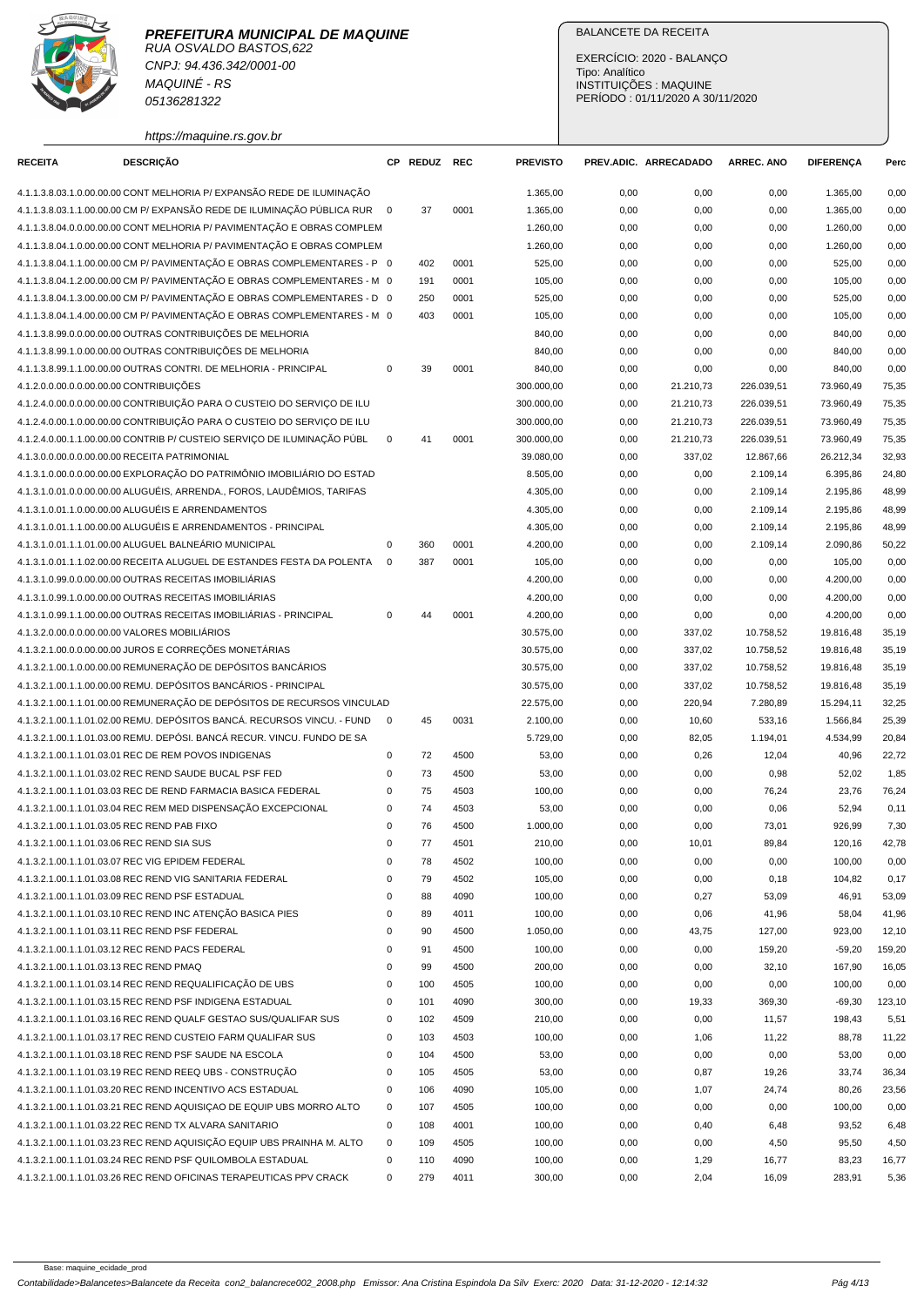

CNPJ: 94.436.342/0001-00 MAQUINÉ - RS 05136281322

https://maquine.rs.gov.br

### BALANCETE DA RECEITA

EXERCÍCIO: 2020 - BALANÇO Tipo: Analítico INSTITUIÇÕES : MAQUINE PERÍODO : 01/11/2020 A 30/11/2020

| <b>RECEITA</b>                          | <b>DESCRIÇÃO</b>                                                          |             | CP REDUZ REC |      | <b>PREVISTO</b> |      | PREV.ADIC. ARRECADADO | <b>ARREC. ANO</b> | <b>DIFERENÇA</b> | Perc   |
|-----------------------------------------|---------------------------------------------------------------------------|-------------|--------------|------|-----------------|------|-----------------------|-------------------|------------------|--------|
|                                         | 4.1.1.3.8.03.1.0.00.00.00 CONT MELHORIA P/ EXPANSÃO REDE DE ILUMINAÇÃO    |             |              |      | 1.365,00        | 0,00 | 0,00                  | 0,00              | 1.365,00         | 0,00   |
|                                         | 4.1.1.3.8.03.1.1.00.00.00 CM P/ EXPANSÃO REDE DE ILUMINAÇÃO PÚBLICA RUR 0 |             | 37           | 0001 | 1.365,00        | 0,00 | 0,00                  | 0,00              | 1.365,00         | 0,00   |
|                                         | 4.1.1.3.8.04.0.0.00.00.00 CONT MELHORIA P/ PAVIMENTAÇÃO E OBRAS COMPLEM   |             |              |      | 1.260,00        | 0,00 | 0,00                  | 0,00              | 1.260,00         | 0,00   |
|                                         | 4.1.1.3.8.04.1.0.00.00.00 CONT MELHORIA P/ PAVIMENTAÇÃO E OBRAS COMPLEM   |             |              |      | 1.260,00        | 0,00 | 0,00                  | 0,00              | 1.260,00         | 0,00   |
|                                         | 4.1.1.3.8.04.1.1.00.00.00 CM P/ PAVIMENTACÃO E OBRAS COMPLEMENTARES - P 0 |             | 402          | 0001 | 525,00          | 0,00 | 0,00                  | 0,00              | 525,00           | 0,00   |
|                                         | 4.1.1.3.8.04.1.2.00.00.00 CM P/ PAVIMENTAÇÃO E OBRAS COMPLEMENTARES - M 0 |             | 191          | 0001 | 105,00          | 0,00 | 0,00                  | 0,00              | 105,00           | 0,00   |
|                                         | 4.1.1.3.8.04.1.3.00.00.00 CM P/ PAVIMENTAÇÃO E OBRAS COMPLEMENTARES - D 0 |             | 250          | 0001 | 525,00          | 0,00 | 0,00                  | 0,00              | 525,00           | 0,00   |
|                                         | 4.1.1.3.8.04.1.4.00.00.00 CM P/ PAVIMENTAÇÃO E OBRAS COMPLEMENTARES - M 0 |             | 403          | 0001 | 105,00          | 0,00 | 0,00                  | 0,00              | 105,00           | 0,00   |
|                                         | 4.1.1.3.8.99.0.0.00.00.00 OUTRAS CONTRIBUIÇÕES DE MELHORIA                |             |              |      | 840,00          | 0,00 | 0,00                  | 0,00              | 840,00           | 0,00   |
|                                         | 4.1.1.3.8.99.1.0.00.00.00 OUTRAS CONTRIBUIÇÕES DE MELHORIA                |             |              |      | 840,00          | 0,00 | 0,00                  | 0,00              | 840,00           | 0,00   |
|                                         | 4.1.1.3.8.99.1.1.00.00.00 OUTRAS CONTRI. DE MELHORIA - PRINCIPAL          | $\mathbf 0$ | 39           | 0001 | 840,00          | 0,00 | 0,00                  | 0,00              | 840,00           | 0,00   |
| 4.1.2.0.0.00.0.0.00.00.00 CONTRIBUIÇÕES |                                                                           |             |              |      | 300.000,00      | 0,00 | 21.210,73             | 226.039,51        | 73.960,49        | 75,35  |
|                                         | 4.1.2.4.0.00.0.0.00.00.00 CONTRIBUIÇÃO PARA O CUSTEIO DO SERVIÇO DE ILU   |             |              |      | 300.000,00      | 0,00 | 21.210,73             | 226.039,51        | 73.960,49        | 75,35  |
|                                         | 4.1.2.4.0.00.1.0.00.00.00 CONTRIBUIÇÃO PARA O CUSTEIO DO SERVIÇO DE ILU   |             |              |      | 300.000,00      | 0,00 | 21.210,73             | 226.039,51        | 73.960,49        | 75,35  |
|                                         | 4.1.2.4.0.00.1.1.00.00.00 CONTRIB P/ CUSTEIO SERVIÇO DE ILUMINAÇÃO PÚBL   | $\mathbf 0$ | 41           | 0001 | 300.000,00      | 0,00 | 21.210,73             | 226.039,51        | 73.960,49        | 75,35  |
|                                         | 4.1.3.0.0.00.0.0.00.00.00 RECEITA PATRIMONIAL                             |             |              |      | 39.080,00       | 0,00 | 337,02                | 12.867,66         | 26.212,34        | 32,93  |
|                                         | 4.1.3.1.0.00.0.0.00.00.00 EXPLORAÇÃO DO PATRIMÔNIO IMOBILIÁRIO DO ESTAD   |             |              |      | 8.505,00        | 0,00 | 0,00                  | 2.109,14          | 6.395.86         | 24,80  |
|                                         | 4.1.3.1.0.01.0.0.00.00.00 ALUGUÉIS, ARRENDA., FOROS, LAUDÊMIOS, TARIFAS   |             |              |      | 4.305,00        | 0,00 | 0,00                  | 2.109,14          | 2.195,86         | 48,99  |
|                                         | 4.1.3.1.0.01.1.0.00.00.00 ALUGUÉIS E ARRENDAMENTOS                        |             |              |      | 4.305,00        |      |                       |                   |                  |        |
|                                         | 4.1.3.1.0.01.1.1.00.00.00 ALUGUÉIS E ARRENDAMENTOS - PRINCIPAL            |             |              |      |                 | 0,00 | 0,00                  | 2.109,14          | 2.195,86         | 48,99  |
|                                         |                                                                           |             |              |      | 4.305,00        | 0,00 | 0,00                  | 2.109,14          | 2.195,86         | 48,99  |
|                                         | 4.1.3.1.0.01.1.1.01.00.00 ALUGUEL BALNEÁRIO MUNICIPAL                     | $\mathsf 0$ | 360          | 0001 | 4.200,00        | 0,00 | 0,00                  | 2.109,14          | 2.090,86         | 50,22  |
|                                         | 4.1.3.1.0.01.1.1.02.00.00 RECEITA ALUGUEL DE ESTANDES FESTA DA POLENTA    | 0           | 387          | 0001 | 105,00          | 0,00 | 0,00                  | 0,00              | 105,00           | 0,00   |
|                                         | 4.1.3.1.0.99.0.0.00.00.00 OUTRAS RECEITAS IMOBILIÁRIAS                    |             |              |      | 4.200,00        | 0,00 | 0,00                  | 0,00              | 4.200,00         | 0,00   |
|                                         | 4.1.3.1.0.99.1.0.00.00.00 OUTRAS RECEITAS IMOBILIÁRIAS                    |             |              |      | 4.200,00        | 0,00 | 0,00                  | 0,00              | 4.200,00         | 0,00   |
|                                         | 4.1.3.1.0.99.1.1.00.00.00 OUTRAS RECEITAS IMOBILIARIAS - PRINCIPAL        | $\mathsf 0$ | 44           | 0001 | 4.200,00        | 0,00 | 0,00                  | 0,00              | 4.200,00         | 0,00   |
|                                         | 4.1.3.2.0.00.0.0.00.00.00 VALORES MOBILIÁRIOS                             |             |              |      | 30.575,00       | 0,00 | 337,02                | 10.758,52         | 19.816,48        | 35,19  |
|                                         | 4.1.3.2.1.00.0.0.00.00.00 JUROS E CORREÇÕES MONETÁRIAS                    |             |              |      | 30.575,00       | 0,00 | 337,02                | 10.758,52         | 19.816,48        | 35,19  |
|                                         | 4.1.3.2.1.00.1.0.00.00.00 REMUNERAÇÃO DE DEPÓSITOS BANCÁRIOS              |             |              |      | 30.575,00       | 0,00 | 337,02                | 10.758,52         | 19.816,48        | 35,19  |
|                                         | 4.1.3.2.1.00.1.1.00.00.00 REMU. DEPÓSITOS BANCÁRIOS - PRINCIPAL           |             |              |      | 30.575,00       | 0,00 | 337,02                | 10.758,52         | 19.816,48        | 35,19  |
|                                         | 4.1.3.2.1.00.1.1.01.00.00 REMUNERAÇÃO DE DEPÓSITOS DE RECURSOS VINCULAD   |             |              |      | 22.575,00       | 0,00 | 220,94                | 7.280,89          | 15.294,11        | 32,25  |
|                                         | 4.1.3.2.1.00.1.1.01.02.00 REMU. DEPÓSITOS BANCÁ. RECURSOS VINCU. - FUND   | $\mathbf 0$ | 45           | 0031 | 2.100,00        | 0,00 | 10,60                 | 533,16            | 1.566,84         | 25,39  |
|                                         | 4.1.3.2.1.00.1.1.01.03.00 REMU. DEPÓSI. BANCÁ RECUR. VINCU. FUNDO DE SA   |             |              |      | 5.729,00        | 0,00 | 82,05                 | 1.194,01          | 4.534,99         | 20,84  |
|                                         | 4.1.3.2.1.00.1.1.01.03.01 REC DE REM POVOS INDIGENAS                      | 0           | 72           | 4500 | 53,00           | 0,00 | 0,26                  | 12,04             | 40,96            | 22,72  |
|                                         | 4.1.3.2.1.00.1.1.01.03.02 REC REND SAUDE BUCAL PSF FED                    | 0           | 73           | 4500 | 53,00           | 0,00 | 0,00                  | 0,98              | 52,02            | 1,85   |
|                                         | 4.1.3.2.1.00.1.1.01.03.03 REC DE REND FARMACIA BASICA FEDERAL             | $\mathsf 0$ | 75           | 4503 | 100,00          | 0,00 | 0,00                  | 76,24             | 23,76            | 76,24  |
|                                         | 4.1.3.2.1.00.1.1.01.03.04 REC REM MED DISPENSAÇÃO EXCEPCIONAL             | 0           | 74           | 4503 | 53,00           | 0,00 | 0,00                  | 0,06              | 52,94            | 0,11   |
|                                         | 4.1.3.2.1.00.1.1.01.03.05 REC REND PAB FIXO                               | $\mathbf 0$ | 76           | 4500 | 1.000,00        | 0,00 | 0,00                  | 73,01             | 926,99           | 7,30   |
|                                         | 4.1.3.2.1.00.1.1.01.03.06 REC REND SIA SUS                                | 0           | 77           | 4501 | 210,00          | 0,00 | 10,01                 | 89,84             | 120,16           | 42,78  |
|                                         | 4.1.3.2.1.00.1.1.01.03.07 REC VIG EPIDEM FEDERAL                          | 0           | 78           | 4502 | 100,00          | 0,00 | 0,00                  | 0,00              | 100,00           | 0,00   |
|                                         | 4.1.3.2.1.00.1.1.01.03.08 REC REND VIG SANITARIA FEDERAL                  | 0           | 79           | 4502 | 105,00          | 0,00 | 0,00                  | 0, 18             | 104,82           | 0,17   |
|                                         | 4.1.3.2.1.00.1.1.01.03.09 REC REND PSF ESTADUAL                           | 0           | 88           | 4090 | 100,00          | 0,00 | 0,27                  | 53,09             | 46,91            | 53,09  |
|                                         | 4.1.3.2.1.00.1.1.01.03.10 REC REND INC ATENÇÃO BASICA PIES                | 0           | 89           | 4011 | 100,00          | 0,00 | 0,06                  | 41,96             | 58,04            | 41,96  |
|                                         | 4.1.3.2.1.00.1.1.01.03.11 REC REND PSF FEDERAL                            | 0           | 90           | 4500 | 1.050,00        | 0,00 | 43,75                 | 127,00            | 923,00           | 12,10  |
|                                         | 4.1.3.2.1.00.1.1.01.03.12 REC REND PACS FEDERAL                           | $\pmb{0}$   | 91           | 4500 | 100,00          | 0,00 | 0,00                  | 159,20            | $-59,20$         | 159,20 |
| 4.1.3.2.1.00.1.1.01.03.13 REC REND PMAQ |                                                                           | 0           | 99           | 4500 | 200,00          | 0,00 | 0,00                  | 32,10             | 167,90           | 16,05  |
|                                         | 4.1.3.2.1.00.1.1.01.03.14 REC REND REQUALIFICAÇÃO DE UBS                  | $\pmb{0}$   | 100          | 4505 | 100,00          | 0,00 | 0,00                  | 0,00              | 100,00           | 0,00   |
|                                         | 4.1.3.2.1.00.1.1.01.03.15 REC REND PSF INDIGENA ESTADUAL                  | $\mathsf 0$ | 101          | 4090 | 300,00          | 0,00 | 19,33                 | 369,30            | $-69,30$         | 123,10 |
|                                         | 4.1.3.2.1.00.1.1.01.03.16 REC REND QUALF GESTAO SUS/QUALIFAR SUS          | $\mathsf 0$ | 102          | 4509 | 210,00          | 0,00 | 0,00                  | 11,57             | 198,43           | 5,51   |
|                                         | 4.1.3.2.1.00.1.1.01.03.17 REC REND CUSTEIO FARM QUALIFAR SUS              | $\mathsf 0$ | 103          | 4503 | 100,00          | 0,00 | 1,06                  | 11,22             | 88,78            | 11,22  |
|                                         | 4.1.3.2.1.00.1.1.01.03.18 REC REND PSF SAUDE NA ESCOLA                    | 0           | 104          | 4500 | 53,00           | 0,00 | 0,00                  | 0,00              | 53,00            | 0,00   |
|                                         | 4.1.3.2.1.00.1.1.01.03.19 REC REND REEQ UBS - CONSTRUÇÃO                  | $\mathsf 0$ | 105          | 4505 | 53,00           | 0,00 | 0,87                  | 19,26             | 33,74            | 36,34  |
|                                         | 4.1.3.2.1.00.1.1.01.03.20 REC REND INCENTIVO ACS ESTADUAL                 | $\mathsf 0$ | 106          | 4090 | 105,00          | 0,00 | 1,07                  | 24,74             | 80,26            | 23,56  |
|                                         | 4.1.3.2.1.00.1.1.01.03.21 REC REND AQUISIÇAO DE EQUIP UBS MORRO ALTO      | $\mathsf 0$ | 107          | 4505 | 100,00          | 0,00 | 0,00                  | 0,00              | 100,00           | 0,00   |
|                                         | 4.1.3.2.1.00.1.1.01.03.22 REC REND TX ALVARA SANITARIO                    | 0           | 108          | 4001 | 100,00          | 0,00 | 0,40                  | 6,48              | 93,52            | 6,48   |
|                                         | 4.1.3.2.1.00.1.1.01.03.23 REC REND AQUISIÇÃO EQUIP UBS PRAINHA M. ALTO    | 0           | 109          | 4505 | 100,00          | 0,00 | 0,00                  | 4,50              | 95,50            | 4,50   |
|                                         | 4.1.3.2.1.00.1.1.01.03.24 REC REND PSF QUILOMBOLA ESTADUAL                | $\mathsf 0$ | 110          | 4090 | 100,00          | 0,00 | 1,29                  | 16,77             | 83,23            | 16,77  |
|                                         | 4.1.3.2.1.00.1.1.01.03.26 REC REND OFICINAS TERAPEUTICAS PPV CRACK        | $\mathbf 0$ | 279          | 4011 | 300,00          | 0,00 | 2,04                  |                   | 283,91           | 5,36   |
|                                         |                                                                           |             |              |      |                 |      |                       | 16,09             |                  |        |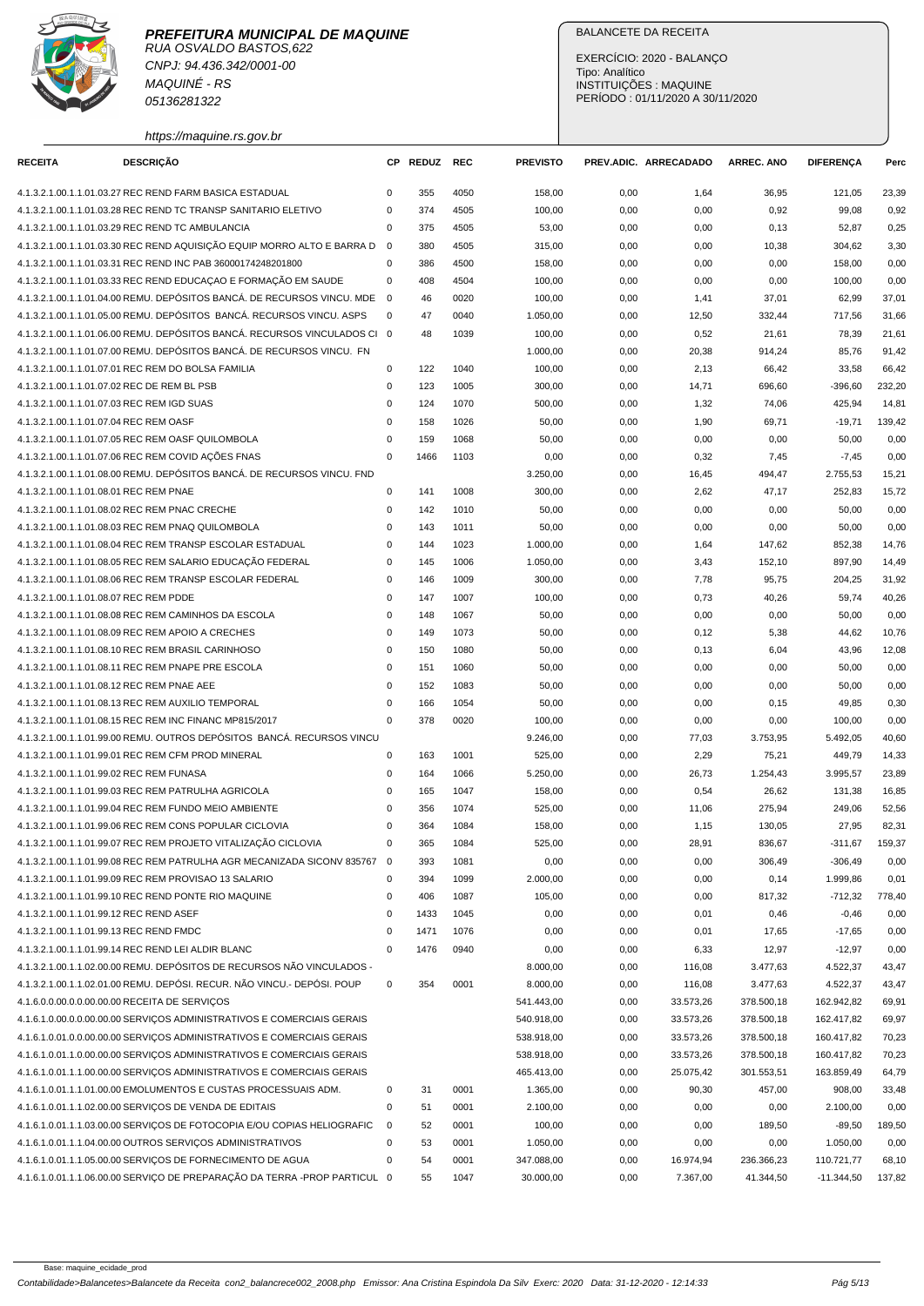

CNPJ: 94.436.342/0001-00 MAQUINÉ - RS 05136281322

https://maquine.rs.gov.br

### BALANCETE DA RECEITA

EXERCÍCIO: 2020 - BALANÇO Tipo: Analítico INSTITUIÇÕES : MAQUINE PERÍODO : 01/11/2020 A 30/11/2020

| <b>RECEITA</b>                           | <b>DESCRIÇÃO</b>                                                                                                                           |                            | CP REDUZ   | <b>REC</b> | <b>PREVISTO</b>  |              | PREV.ADIC. ARRECADADO | <b>ARREC. ANO</b> | <b>DIFERENCA</b> | Perc           |
|------------------------------------------|--------------------------------------------------------------------------------------------------------------------------------------------|----------------------------|------------|------------|------------------|--------------|-----------------------|-------------------|------------------|----------------|
|                                          | 4.1.3.2.1.00.1.1.01.03.27 REC REND FARM BASICA ESTADUAL                                                                                    | 0                          | 355        | 4050       | 158,00           | 0,00         | 1,64                  | 36,95             | 121,05           | 23,39          |
|                                          | 4.1.3.2.1.00.1.1.01.03.28 REC REND TC TRANSP SANITARIO ELETIVO                                                                             | 0                          | 374        | 4505       | 100,00           | 0,00         | 0,00                  | 0,92              | 99,08            | 0,92           |
|                                          | 4.1.3.2.1.00.1.1.01.03.29 REC REND TC AMBULANCIA                                                                                           | 0                          | 375        | 4505       | 53,00            | 0,00         | 0,00                  | 0,13              | 52,87            | 0,25           |
|                                          | 4.1.3.2.1.00.1.1.01.03.30 REC REND AQUISIÇÃO EQUIP MORRO ALTO E BARRA D                                                                    | $\overline{0}$             | 380        | 4505       |                  |              |                       |                   | 304,62           | 3,30           |
|                                          | 4.1.3.2.1.00.1.1.01.03.31 REC REND INC PAB 36000174248201800                                                                               | $\mathbf 0$                | 386        | 4500       | 315,00           | 0,00         | 0,00                  | 10,38             |                  |                |
|                                          |                                                                                                                                            | 0                          | 408        | 4504       | 158,00           | 0,00         | 0,00                  | 0,00              | 158,00           | 0,00<br>0,00   |
|                                          | 4.1.3.2.1.00.1.1.01.03.33 REC REND EDUCAÇÃO E FORMAÇÃO EM SAUDE<br>4.1.3.2.1.00.1.1.01.04.00 REMU. DEPÓSITOS BANCÁ. DE RECURSOS VINCU. MDE | $\overline{\mathbf{0}}$    | 46         | 0020       | 100,00<br>100,00 | 0,00         | 0,00                  | 0,00              | 100,00<br>62,99  |                |
|                                          | 4.1.3.2.1.00.1.1.01.05.00 REMU. DEPÓSITOS BANCÁ. RECURSOS VINCU. ASPS                                                                      | 0                          | 47         | 0040       | 1.050,00         | 0,00<br>0,00 | 1,41                  | 37,01<br>332,44   | 717,56           | 37,01<br>31,66 |
|                                          | 4.1.3.2.1.00.1.1.01.06.00 REMU. DEPÓSITOS BANCÁ. RECURSOS VINCULADOS CI 0                                                                  |                            |            |            |                  |              | 12,50                 |                   |                  |                |
|                                          | 4.1.3.2.1.00.1.1.01.07.00 REMU. DEPÓSITOS BANCA. DE RECURSOS VINCU. FN                                                                     |                            | 48         | 1039       | 100,00           | 0,00         | 0,52                  | 21,61             | 78,39            | 21,61          |
|                                          |                                                                                                                                            |                            |            |            | 1.000,00         | 0,00         | 20,38                 | 914,24            | 85,76            | 91,42          |
|                                          | 4.1.3.2.1.00.1.1.01.07.01 REC REM DO BOLSA FAMILIA<br>4.1.3.2.1.00.1.1.01.07.02 REC DE REM BL PSB                                          | $\mathsf 0$<br>$\mathsf 0$ | 122<br>123 | 1040       | 100,00           | 0,00         | 2,13                  | 66,42             | 33,58            | 66,42          |
|                                          |                                                                                                                                            |                            |            | 1005       | 300,00           | 0,00         | 14,71                 | 696,60            | $-396,60$        | 232,20         |
|                                          | 4.1.3.2.1.00.1.1.01.07.03 REC REM IGD SUAS                                                                                                 | 0                          | 124        | 1070       | 500,00           | 0,00         | 1,32                  | 74,06             | 425,94           | 14,81          |
| 4.1.3.2.1.00.1.1.01.07.04 REC REM OASF   |                                                                                                                                            | 0                          | 158        | 1026       | 50,00            | 0,00         | 1,90                  | 69,71             | $-19,71$         | 139,42         |
|                                          | 4.1.3.2.1.00.1.1.01.07.05 REC REM OASF QUILOMBOLA                                                                                          | 0                          | 159        | 1068       | 50,00            | 0,00         | 0,00                  | 0,00              | 50,00            | 0,00           |
|                                          | 4.1.3.2.1.00.1.1.01.07.06 REC REM COVID AÇÕES FNAS                                                                                         | $\mathbf 0$                | 1466       | 1103       | 0,00             | 0,00         | 0,32                  | 7,45              | $-7,45$          | 0,00           |
|                                          | 4.1.3.2.1.00.1.1.01.08.00 REMU. DEPÓSITOS BANCÁ. DE RECURSOS VINCU. FND                                                                    |                            |            |            | 3.250,00         | 0,00         | 16,45                 | 494,47            | 2.755,53         | 15,21          |
| 4.1.3.2.1.00.1.1.01.08.01 REC REM PNAE   |                                                                                                                                            | $\mathsf 0$                | 141        | 1008       | 300,00           | 0,00         | 2,62                  | 47,17             | 252,83           | 15,72          |
|                                          | 4.1.3.2.1.00.1.1.01.08.02 REC REM PNAC CRECHE                                                                                              | 0                          | 142        | 1010       | 50,00            | 0,00         | 0,00                  | 0,00              | 50,00            | 0,00           |
|                                          | 4.1.3.2.1.00.1.1.01.08.03 REC REM PNAQ QUILOMBOLA                                                                                          | $\mathbf 0$                | 143        | 1011       | 50,00            | 0,00         | 0,00                  | 0,00              | 50,00            | 0,00           |
|                                          | 4.1.3.2.1.00.1.1.01.08.04 REC REM TRANSP ESCOLAR ESTADUAL                                                                                  | $\mathsf 0$                | 144        | 1023       | 1.000,00         | 0,00         | 1,64                  | 147,62            | 852,38           | 14,76          |
|                                          | 4.1.3.2.1.00.1.1.01.08.05 REC REM SALARIO EDUCAÇÃO FEDERAL                                                                                 | 0                          | 145        | 1006       | 1.050,00         | 0,00         | 3,43                  | 152,10            | 897,90           | 14,49          |
|                                          | 4.1.3.2.1.00.1.1.01.08.06 REC REM TRANSP ESCOLAR FEDERAL                                                                                   | 0                          | 146        | 1009       | 300,00           | 0,00         | 7,78                  | 95,75             | 204,25           | 31,92          |
| 4.1.3.2.1.00.1.1.01.08.07 REC REM PDDE   |                                                                                                                                            | 0                          | 147        | 1007       | 100,00           | 0,00         | 0,73                  | 40,26             | 59,74            | 40,26          |
|                                          | 4.1.3.2.1.00.1.1.01.08.08 REC REM CAMINHOS DA ESCOLA                                                                                       | $\mathbf 0$                | 148        | 1067       | 50,00            | 0,00         | 0,00                  | 0,00              | 50,00            | 0,00           |
|                                          | 4.1.3.2.1.00.1.1.01.08.09 REC REM APOIO A CRECHES                                                                                          | 0                          | 149        | 1073       | 50,00            | 0,00         | 0,12                  | 5,38              | 44,62            | 10,76          |
|                                          | 4.1.3.2.1.00.1.1.01.08.10 REC REM BRASIL CARINHOSO                                                                                         | $\mathbf 0$                | 150        | 1080       | 50,00            | 0,00         | 0,13                  | 6,04              | 43,96            | 12,08          |
|                                          | 4.1.3.2.1.00.1.1.01.08.11 REC REM PNAPE PRE ESCOLA                                                                                         | 0                          | 151        | 1060       | 50,00            | 0,00         | 0,00                  | 0,00              | 50,00            | 0,00           |
|                                          | 4.1.3.2.1.00.1.1.01.08.12 REC REM PNAE AEE                                                                                                 | 0                          | 152        | 1083       | 50,00            | 0,00         | 0,00                  | 0,00              | 50,00            | 0,00           |
|                                          | 4.1.3.2.1.00.1.1.01.08.13 REC REM AUXILIO TEMPORAL                                                                                         | $\mathsf 0$                | 166        | 1054       | 50,00            | 0,00         | 0,00                  | 0, 15             | 49,85            | 0,30           |
|                                          | 4.1.3.2.1.00.1.1.01.08.15 REC REM INC FINANC MP815/2017                                                                                    | $\mathbf 0$                | 378        | 0020       | 100,00           | 0,00         | 0,00                  | 0,00              | 100,00           | 0,00           |
|                                          | 4.1.3.2.1.00.1.1.01.99.00 REMU. OUTROS DEPÓSITOS BANCÁ. RECURSOS VINCU                                                                     |                            |            |            | 9.246,00         | 0,00         | 77,03                 | 3.753,95          | 5.492,05         | 40,60          |
|                                          | 4.1.3.2.1.00.1.1.01.99.01 REC REM CFM PROD MINERAL                                                                                         | 0                          | 163        | 1001       | 525,00           | 0,00         | 2,29                  | 75,21             | 449,79           | 14,33          |
| 4.1.3.2.1.00.1.1.01.99.02 REC REM FUNASA |                                                                                                                                            | $\mathbf 0$                | 164        | 1066       | 5.250,00         | 0,00         | 26,73                 | 1.254,43          | 3.995,57         | 23,89          |
|                                          | 4.1.3.2.1.00.1.1.01.99.03 REC REM PATRULHA AGRICOLA                                                                                        | $\mathbf 0$                | 165        | 1047       | 158,00           | 0,00         | 0,54                  | 26,62             | 131,38           | 16,85          |
|                                          | 4.1.3.2.1.00.1.1.01.99.04 REC REM FUNDO MEIO AMBIENTE                                                                                      | 0                          | 356        | 1074       | 525,00           | 0,00         | 11,06                 | 275,94            | 249,06           | 52,56          |
|                                          | 4.1.3.2.1.00.1.1.01.99.06 REC REM CONS POPULAR CICLOVIA                                                                                    | 0                          | 364        | 1084       | 158,00           | 0,00         | 1,15                  | 130,05            | 27,95            | 82,31          |
|                                          | 4.1.3.2.1.00.1.1.01.99.07 REC REM PROJETO VITALIZAÇÃO CICLOVIA                                                                             | $\Omega$                   | 365        | 1084       | 525,00           | 0,00         | 28,91                 | 836,67            | $-311,67$        | 159,37         |
|                                          | 4.1.3.2.1.00.1.1.01.99.08 REC REM PATRULHA AGR MECANIZADA SICONV 835767 0                                                                  |                            | 393        | 1081       | 0,00             | 0,00         | 0,00                  | 306,49            | $-306,49$        | 0,00           |
|                                          | 4.1.3.2.1.00.1.1.01.99.09 REC REM PROVISAO 13 SALARIO                                                                                      | $\mathbf 0$                | 394        | 1099       | 2.000,00         | 0,00         | 0,00                  | 0,14              | 1.999,86         | 0,01           |
|                                          | 4.1.3.2.1.00.1.1.01.99.10 REC REND PONTE RIO MAQUINE                                                                                       | $\mathsf 0$                | 406        | 1087       | 105,00           | 0,00         | 0,00                  | 817,32            | $-712,32$        | 778,40         |
| 4.1.3.2.1.00.1.1.01.99.12 REC REND ASEF  |                                                                                                                                            | $\mathsf 0$                | 1433       | 1045       | 0,00             | 0,00         | 0,01                  | 0,46              | $-0,46$          | 0,00           |
| 4.1.3.2.1.00.1.1.01.99.13 REC REND FMDC  |                                                                                                                                            | $\pmb{0}$                  | 1471       | 1076       | 0,00             | 0,00         | 0,01                  | 17,65             | $-17,65$         | 0,00           |
|                                          | 4.1.3.2.1.00.1.1.01.99.14 REC REND LEI ALDIR BLANC                                                                                         | $\mathbf 0$                | 1476       | 0940       | 0,00             | 0,00         | 6,33                  | 12,97             | $-12,97$         | 0,00           |
|                                          | 4.1.3.2.1.00.1.1.02.00.00 REMU. DEPÓSITOS DE RECURSOS NÃO VINCULADOS -                                                                     |                            |            |            | 8.000,00         | 0,00         | 116,08                | 3.477,63          | 4.522,37         | 43,47          |
|                                          | 4.1.3.2.1.00.1.1.02.01.00 REMU. DEPÓSI. RECUR. NÃO VINCU.- DEPÓSI. POUP                                                                    | $\mathbf 0$                | 354        | 0001       | 8.000,00         | 0,00         | 116,08                | 3.477,63          | 4.522,37         | 43,47          |
|                                          | 4.1.6.0.0.00.0.0.00.00.00 RECEITA DE SERVIÇOS                                                                                              |                            |            |            | 541.443,00       | 0,00         | 33.573,26             | 378.500,18        | 162.942,82       | 69,91          |
|                                          | 4.1.6.1.0.00.0.0.00.00.00 SERVICOS ADMINISTRATIVOS E COMERCIAIS GERAIS                                                                     |                            |            |            | 540.918,00       | 0,00         | 33.573,26             | 378.500,18        | 162.417,82       | 69,97          |
|                                          | 4.1.6.1.0.01.0.00.00.00.00 SERVICOS ADMINISTRATIVOS E COMERCIAIS GERAIS                                                                    |                            |            |            | 538.918,00       | 0,00         | 33.573,26             | 378.500,18        | 160.417,82       | 70,23          |
|                                          | 4.1.6.1.0.01.1.0.00.00.00 SERVIÇOS ADMINISTRATIVOS E COMERCIAIS GERAIS                                                                     |                            |            |            | 538.918,00       | 0,00         | 33.573,26             | 378.500,18        | 160.417,82       | 70,23          |
|                                          | 4.1.6.1.0.01.1.1.00.00.00 SERVIÇOS ADMINISTRATIVOS E COMERCIAIS GERAIS                                                                     |                            |            |            | 465.413,00       | 0,00         | 25.075,42             | 301.553,51        | 163.859,49       | 64,79          |
|                                          | 4.1.6.1.0.01.1.1.01.00.00 EMOLUMENTOS E CUSTAS PROCESSUAIS ADM.                                                                            | $\pmb{0}$                  | 31         | 0001       | 1.365,00         | 0,00         | 90,30                 | 457,00            | 908,00           | 33,48          |
|                                          | 4.1.6.1.0.01.1.1.02.00.00 SERVIÇOS DE VENDA DE EDITAIS                                                                                     | $\mathsf 0$                | 51         | 0001       | 2.100,00         | 0,00         | 0,00                  | 0,00              | 2.100,00         | 0,00           |
|                                          | 4.1.6.1.0.01.1.1.03.00.00 SERVIÇOS DE FOTOCOPIA E/OU COPIAS HELIOGRAFIC                                                                    | 0                          | 52         | 0001       | 100,00           | 0,00         | 0,00                  | 189,50            | $-89,50$         | 189,50         |
|                                          | 4.1.6.1.0.01.1.1.04.00.00 OUTROS SERVIÇOS ADMINISTRATIVOS                                                                                  | 0                          | 53         | 0001       | 1.050,00         | 0,00         | 0,00                  | 0,00              | 1.050,00         | 0,00           |
|                                          | 4.1.6.1.0.01.1.1.05.00.00 SERVIÇOS DE FORNECIMENTO DE AGUA                                                                                 | 0                          | 54         | 0001       | 347.088,00       | 0,00         | 16.974,94             | 236.366,23        | 110.721,77       | 68,10          |
|                                          | 4.1.6.1.0.01.1.1.06.00.00 SERVIÇO DE PREPARAÇÃO DA TERRA -PROP PARTICUL 0                                                                  |                            | 55         | 1047       | 30.000,00        | 0,00         | 7.367,00              | 41.344,50         | $-11.344,50$     | 137,82         |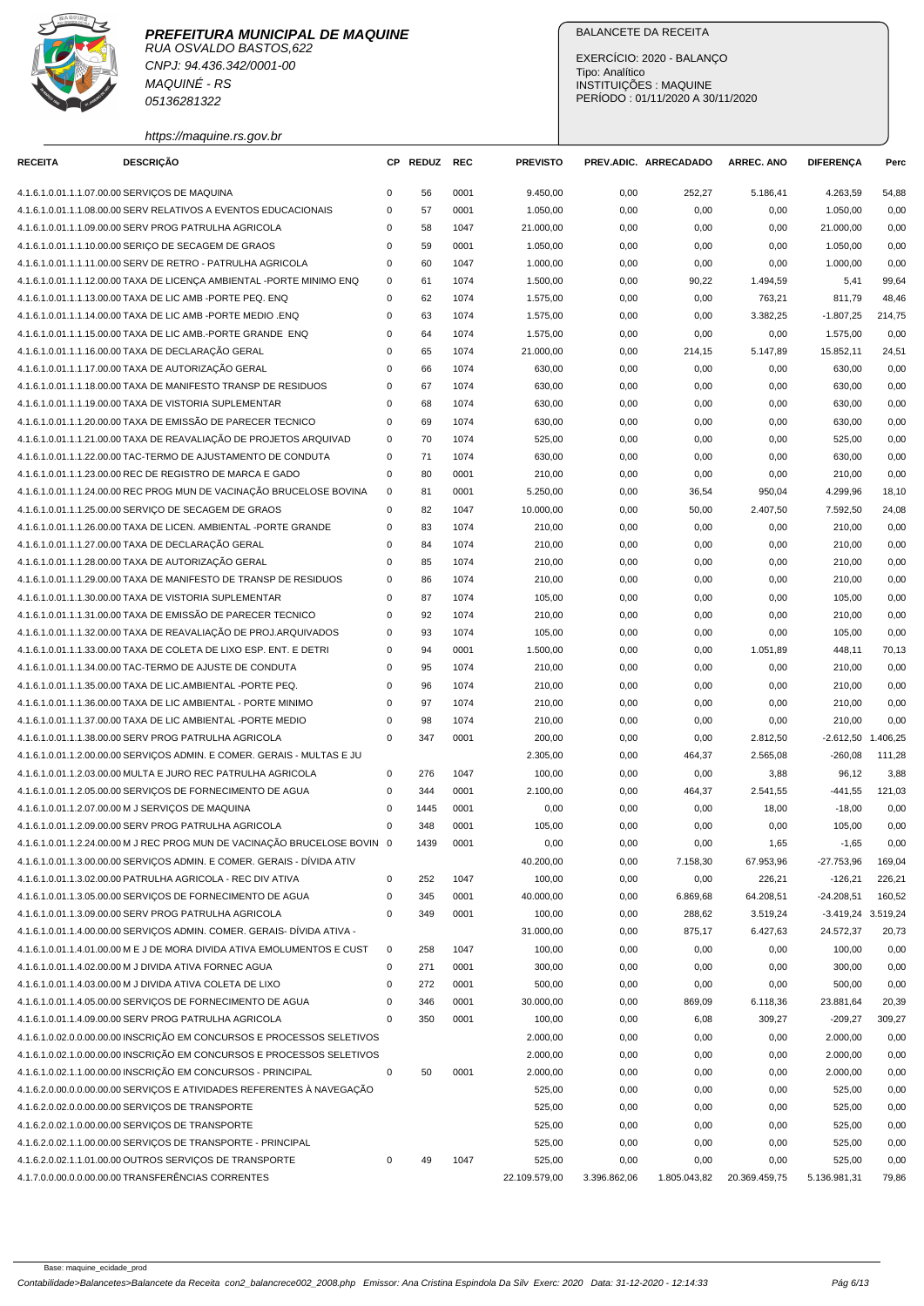

CNPJ: 94.436.342/0001-00 MAQUINÉ - RS 05136281322

https://maquine.rs.gov.br

### BALANCETE DA RECEITA

EXERCÍCIO: 2020 - BALANÇO Tipo: Analítico INSTITUIÇÕES : MAQUINE PERÍODO : 01/11/2020 A 30/11/2020

| <b>DESCRIÇÃO</b><br><b>RECEITA</b>                                        |             | CP REDUZ | <b>REC</b> | <b>PREVISTO</b> |              | PREV.ADIC. ARRECADADO | <b>ARREC. ANO</b> | <b>DIFERENCA</b>     | Perc   |
|---------------------------------------------------------------------------|-------------|----------|------------|-----------------|--------------|-----------------------|-------------------|----------------------|--------|
| 4.1.6.1.0.01.1.1.07.00.00 SERVIÇOS DE MAQUINA                             | $\mathbf 0$ | 56       | 0001       | 9.450,00        | 0,00         | 252,27                | 5.186,41          | 4.263,59             | 54,88  |
| 4.1.6.1.0.01.1.1.08.00.00 SERV RELATIVOS A EVENTOS EDUCACIONAIS           | 0           | 57       | 0001       | 1.050,00        | 0,00         | 0,00                  | 0,00              | 1.050,00             | 0,00   |
| 4.1.6.1.0.01.1.1.09.00.00 SERV PROG PATRULHA AGRICOLA                     | 0           | 58       | 1047       | 21.000,00       | 0,00         | 0,00                  | 0,00              | 21.000,00            | 0,00   |
| 4.1.6.1.0.01.1.1.10.00.00 SERIÇO DE SECAGEM DE GRAOS                      | $\mathbf 0$ | 59       | 0001       | 1.050,00        | 0,00         | 0,00                  | 0,00              | 1.050,00             | 0,00   |
| 4.1.6.1.0.01.1.1.11.00.00 SERV DE RETRO - PATRULHA AGRICOLA               | $\mathbf 0$ | 60       | 1047       | 1.000,00        | 0,00         | 0,00                  | 0,00              | 1.000,00             | 0,00   |
| 4.1.6.1.0.01.1.1.12.00.00 TAXA DE LICENÇA AMBIENTAL -PORTE MINIMO ENQ     | 0           | 61       | 1074       | 1.500,00        | 0,00         | 90,22                 | 1.494,59          | 5,41                 | 99,64  |
| 4.1.6.1.0.01.1.1.13.00.00 TAXA DE LIC AMB -PORTE PEQ. ENQ                 | $\mathbf 0$ | 62       | 1074       | 1.575,00        | 0,00         | 0,00                  | 763,21            | 811,79               | 48,46  |
| 4.1.6.1.0.01.1.1.14.00.00 TAXA DE LIC AMB - PORTE MEDIO .ENQ              | $\mathbf 0$ | 63       | 1074       | 1.575,00        | 0,00         | 0,00                  | 3.382,25          | $-1.807,25$          | 214,75 |
| 4.1.6.1.0.01.1.1.15.00.00 TAXA DE LIC AMB.-PORTE GRANDE ENQ               | $\mathbf 0$ | 64       | 1074       | 1.575,00        | 0,00         | 0,00                  | 0,00              | 1.575,00             | 0,00   |
| 4.1.6.1.0.01.1.1.16.00.00 TAXA DE DECLARAÇÃO GERAL                        | 0           | 65       | 1074       | 21.000,00       | 0,00         | 214,15                | 5.147,89          | 15.852,11            | 24,51  |
| 4.1.6.1.0.01.1.1.17.00.00 TAXA DE AUTORIZAÇÃO GERAL                       | $\mathbf 0$ | 66       | 1074       | 630,00          | 0,00         | 0,00                  | 0,00              | 630,00               | 0,00   |
| 4.1.6.1.0.01.1.1.18.00.00 TAXA DE MANIFESTO TRANSP DE RESIDUOS            | 0           | 67       | 1074       | 630,00          | 0,00         | 0,00                  | 0,00              | 630,00               | 0,00   |
| 4.1.6.1.0.01.1.1.19.00.00 TAXA DE VISTORIA SUPLEMENTAR                    | $\mathbf 0$ | 68       | 1074       | 630,00          | 0,00         | 0,00                  | 0,00              | 630,00               | 0,00   |
| 4.1.6.1.0.01.1.1.20.00.00 TAXA DE EMISSÃO DE PARECER TECNICO              | $\mathbf 0$ | 69       | 1074       | 630,00          | 0,00         | 0,00                  | 0,00              | 630,00               | 0,00   |
| 4.1.6.1.0.01.1.1.21.00.00 TAXA DE REAVALIAÇÃO DE PROJETOS ARQUIVAD        | $\mathbf 0$ | 70       | 1074       | 525,00          | 0,00         | 0,00                  | 0,00              | 525,00               | 0,00   |
| 4.1.6.1.0.01.1.1.22.00.00 TAC-TERMO DE AJUSTAMENTO DE CONDUTA             | $\mathbf 0$ | 71       | 1074       | 630,00          | 0,00         | 0,00                  | 0,00              | 630,00               | 0,00   |
| 4.1.6.1.0.01.1.1.23.00.00 REC DE REGISTRO DE MARCA E GADO                 | $\mathbf 0$ | 80       | 0001       | 210,00          | 0,00         | 0,00                  | 0,00              | 210,00               | 0,00   |
| 4.1.6.1.0.01.1.1.24.00.00 REC PROG MUN DE VACINAÇÃO BRUCELOSE BOVINA      | $\mathbf 0$ | 81       | 0001       | 5.250,00        | 0,00         | 36,54                 | 950,04            | 4.299,96             | 18,10  |
| 4.1.6.1.0.01.1.1.25.00.00 SERVICO DE SECAGEM DE GRAOS                     | $\mathbf 0$ | 82       | 1047       | 10.000,00       | 0,00         | 50,00                 | 2.407,50          | 7.592,50             | 24,08  |
| 4.1.6.1.0.01.1.1.26.00.00 TAXA DE LICEN. AMBIENTAL -PORTE GRANDE          | 0           | 83       | 1074       | 210,00          | 0,00         | 0,00                  | 0,00              | 210,00               | 0,00   |
| 4.1.6.1.0.01.1.1.27.00.00 TAXA DE DECLARAÇÃO GERAL                        | $\pmb{0}$   | 84       | 1074       | 210,00          | 0,00         | 0,00                  | 0,00              | 210,00               | 0,00   |
| 4.1.6.1.0.01.1.1.28.00.00 TAXA DE AUTORIZAÇÃO GERAL                       | $\mathbf 0$ | 85       | 1074       | 210,00          | 0,00         |                       | 0,00              | 210,00               | 0,00   |
| 4.1.6.1.0.01.1.1.29.00.00 TAXA DE MANIFESTO DE TRANSP DE RESIDUOS         | $\mathbf 0$ | 86       | 1074       |                 |              | 0,00                  |                   |                      |        |
|                                                                           | $\mathbf 0$ |          |            | 210,00          | 0,00         | 0,00                  | 0,00              | 210,00               | 0,00   |
| 4.1.6.1.0.01.1.1.30.00.00 TAXA DE VISTORIA SUPLEMENTAR                    |             | 87       | 1074       | 105,00          | 0,00         | 0,00                  | 0,00              | 105,00               | 0,00   |
| 4.1.6.1.0.01.1.1.31.00.00 TAXA DE EMISSÃO DE PARECER TECNICO              | $\mathbf 0$ | 92       | 1074       | 210,00          | 0,00         | 0,00                  | 0,00              | 210,00               | 0,00   |
| 4.1.6.1.0.01.1.1.32.00.00 TAXA DE REAVALIAÇÃO DE PROJ.ARQUIVADOS          | 0           | 93       | 1074       | 105,00          | 0,00         | 0,00                  | 0,00              | 105,00               | 0,00   |
| 4.1.6.1.0.01.1.1.33.00.00 TAXA DE COLETA DE LIXO ESP. ENT. E DETRI        | $\mathbf 0$ | 94       | 0001       | 1.500,00        | 0,00         | 0,00                  | 1.051,89          | 448,11               | 70,13  |
| 4.1.6.1.0.01.1.1.34.00.00 TAC-TERMO DE AJUSTE DE CONDUTA                  | $\mathbf 0$ | 95       | 1074       | 210,00          | 0,00         | 0,00                  | 0,00              | 210,00               | 0,00   |
| 4.1.6.1.0.01.1.1.35.00.00 TAXA DE LIC.AMBIENTAL -PORTE PEQ.               | $\mathbf 0$ | 96       | 1074       | 210,00          | 0,00         | 0,00                  | 0,00              | 210,00               | 0,00   |
| 4.1.6.1.0.01.1.1.36.00.00 TAXA DE LIC AMBIENTAL - PORTE MINIMO            | 0           | 97       | 1074       | 210,00          | 0,00         | 0,00                  | 0,00              | 210,00               | 0,00   |
| 4.1.6.1.0.01.1.1.37.00.00 TAXA DE LIC AMBIENTAL -PORTE MEDIO              | 0           | 98       | 1074       | 210,00          | 0,00         | 0,00                  | 0,00              | 210,00               | 0,00   |
| 4.1.6.1.0.01.1.1.38.00.00 SERV PROG PATRULHA AGRICOLA                     | $\mathbf 0$ | 347      | 0001       | 200,00          | 0,00         | 0,00                  | 2.812,50          | $-2.612,50$ 1.406,25 |        |
| 4.1.6.1.0.01.1.2.00.00.00 SERVIÇOS ADMIN. E COMER. GERAIS - MULTAS E JU   |             |          |            | 2.305,00        | 0,00         | 464,37                | 2.565.08          | $-260,08$            | 111,28 |
| 4.1.6.1.0.01.1.2.03.00.00 MULTA E JURO REC PATRULHA AGRICOLA              | 0           | 276      | 1047       | 100,00          | 0,00         | 0,00                  | 3,88              | 96,12                | 3,88   |
| 4.1.6.1.0.01.1.2.05.00.00 SERVIÇOS DE FORNECIMENTO DE AGUA                | $\mathbf 0$ | 344      | 0001       | 2.100,00        | 0,00         | 464,37                | 2.541,55          | $-441,55$            | 121,03 |
| 4.1.6.1.0.01.1.2.07.00.00 M J SERVIÇOS DE MAQUINA                         | $\mathbf 0$ | 1445     | 0001       | 0,00            | 0,00         | 0,00                  | 18,00             | $-18,00$             | 0,00   |
| 4.1.6.1.0.01.1.2.09.00.00 SERV PROG PATRULHA AGRICOLA                     | $\mathbf 0$ | 348      | 0001       | 105,00          | 0,00         | 0,00                  | 0,00              | 105,00               | 0,00   |
| 4.1.6.1.0.01.1.2.24.00.00 M J REC PROG MUN DE VACINAÇÃO BRUCELOSE BOVIN 0 |             | 1439     | 0001       | 0,00            | 0,00         | 0,00                  | 1,65              | $-1,65$              | 0,00   |
| 4.1.6.1.0.01.1.3.00.00.00 SERVIÇOS ADMIN. E COMER. GERAIS - DÍVIDA ATIV   |             |          |            | 40.200,00       | 0,00         | 7.158,30              | 67.953,96         | $-27.753,96$         | 169,04 |
| 4.1.6.1.0.01.1.3.02.00.00 PATRULHA AGRICOLA - REC DIV ATIVA               | 0           | 252      | 1047       | 100,00          | 0,00         | 0,00                  | 226,21            | $-126,21$            | 226,21 |
| 4.1.6.1.0.01.1.3.05.00.00 SERVIÇOS DE FORNECIMENTO DE AGUA                | 0           | 345      | 0001       | 40.000,00       | 0,00         | 6.869,68              | 64.208,51         | $-24.208,51$         | 160,52 |
| 4.1.6.1.0.01.1.3.09.00.00 SERV PROG PATRULHA AGRICOLA                     | $\mathbf 0$ | 349      | 0001       | 100,00          | 0,00         | 288,62                | 3.519,24          | -3.419,24 3.519,24   |        |
| 4.1.6.1.0.01.1.4.00.00.00 SERVIÇOS ADMIN. COMER. GERAIS- DÍVIDA ATIVA -   |             |          |            | 31.000,00       | 0,00         | 875,17                | 6.427,63          | 24.572,37            | 20,73  |
| 4.1.6.1.0.01.1.4.01.00.00 M E J DE MORA DIVIDA ATIVA EMOLUMENTOS E CUST   | 0           | 258      | 1047       | 100,00          | 0,00         | 0,00                  | 0,00              | 100,00               | 0,00   |
| 4.1.6.1.0.01.1.4.02.00.00 M J DIVIDA ATIVA FORNEC AGUA                    | 0           | 271      | 0001       | 300,00          | 0,00         | 0,00                  | 0,00              | 300,00               | 0,00   |
| 4.1.6.1.0.01.1.4.03.00.00 M J DIVIDA ATIVA COLETA DE LIXO                 | $\pmb{0}$   | 272      | 0001       | 500,00          | 0,00         | 0,00                  | 0,00              | 500,00               | 0,00   |
| 4.1.6.1.0.01.1.4.05.00.00 SERVIÇOS DE FORNECIMENTO DE AGUA                | 0           | 346      | 0001       | 30.000,00       | 0,00         | 869,09                | 6.118,36          | 23.881,64            | 20,39  |
| 4.1.6.1.0.01.1.4.09.00.00 SERV PROG PATRULHA AGRICOLA                     | 0           | 350      | 0001       | 100,00          | 0,00         | 6,08                  | 309,27            | $-209,27$            | 309,27 |
| 4.1.6.1.0.02.0.0.00.00.00 INSCRIÇÃO EM CONCURSOS E PROCESSOS SELETIVOS    |             |          |            | 2.000,00        | 0,00         | 0,00                  | 0,00              | 2.000,00             | 0,00   |
| 4.1.6.1.0.02.1.0.00.00.00 INSCRIÇÃO EM CONCURSOS E PROCESSOS SELETIVOS    |             |          |            | 2.000,00        | 0,00         | 0,00                  | 0,00              | 2.000,00             | 0,00   |
| 4.1.6.1.0.02.1.1.00.00.00 INSCRIÇÃO EM CONCURSOS - PRINCIPAL              | 0           | 50       | 0001       | 2.000,00        | 0,00         | 0,00                  | 0,00              | 2.000,00             | 0,00   |
| 4.1.6.2.0.00.0.0.00.00.00 SERVIÇOS E ATIVIDADES REFERENTES À NAVEGAÇÃO    |             |          |            | 525,00          | 0,00         | 0,00                  | 0,00              | 525,00               | 0,00   |
| 4.1.6.2.0.02.0.0.00.00.00 SERVIÇOS DE TRANSPORTE                          |             |          |            | 525,00          | 0,00         | 0,00                  | 0,00              | 525,00               | 0,00   |
| 4.1.6.2.0.02.1.0.00.00.00 SERVIÇOS DE TRANSPORTE                          |             |          |            | 525,00          | 0,00         | 0,00                  | 0,00              | 525,00               | 0,00   |
| 4.1.6.2.0.02.1.1.00.00.00 SERVIÇOS DE TRANSPORTE - PRINCIPAL              |             |          |            | 525,00          | 0,00         | 0,00                  | 0,00              | 525,00               | 0,00   |
| 4.1.6.2.0.02.1.1.01.00.00 OUTROS SERVIÇOS DE TRANSPORTE                   | 0           | 49       | 1047       | 525,00          | 0,00         | 0,00                  | 0,00              | 525,00               | 0,00   |
| 4.1.7.0.0.00.0.0.00.00.00 TRANSFERÊNCIAS CORRENTES                        |             |          |            | 22.109.579,00   | 3.396.862,06 | 1.805.043,82          | 20.369.459,75     | 5.136.981,31         | 79,86  |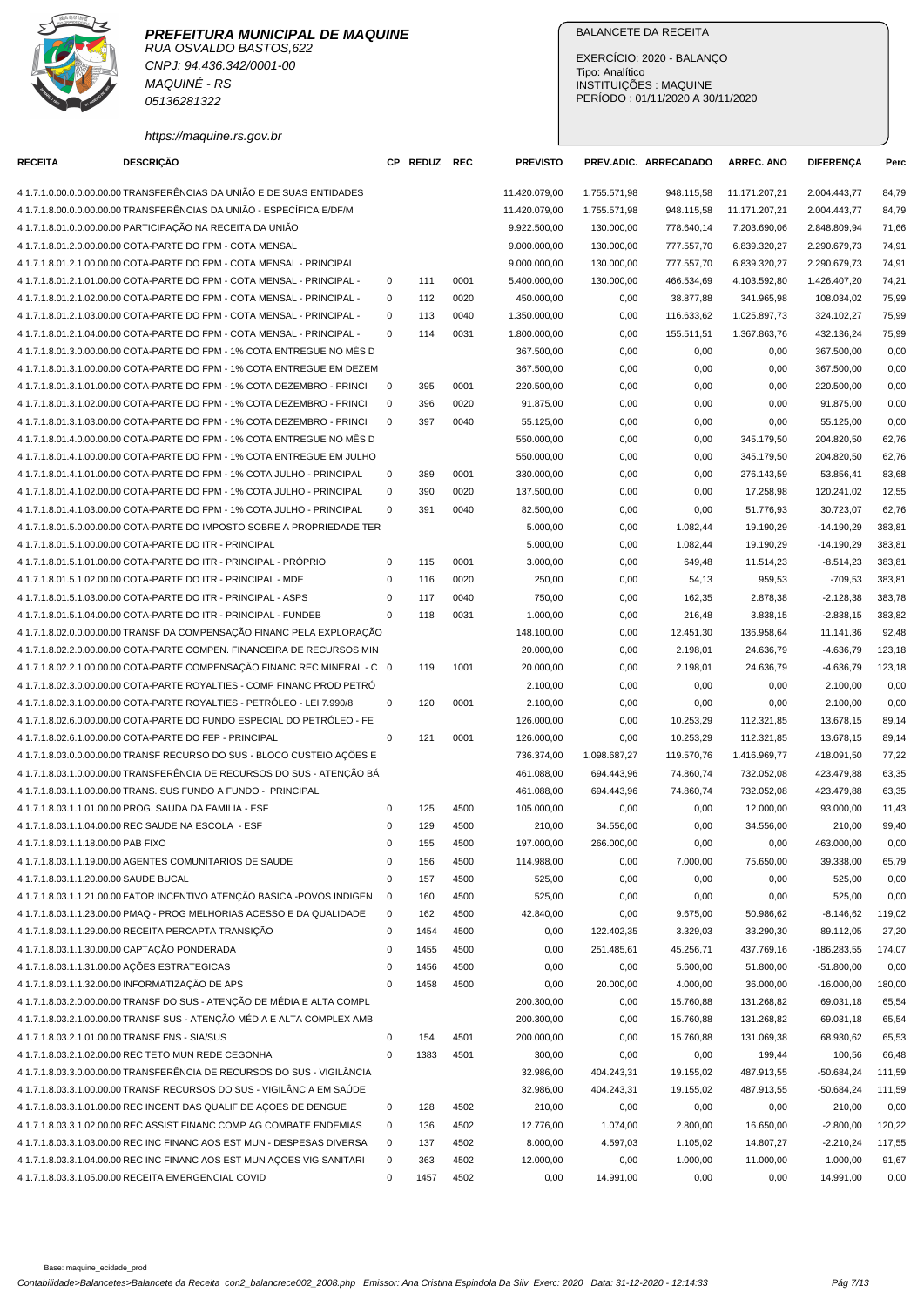

RUA OSVALDO BASTOS,622 CNPJ: 94.436.342/0001-00 MAQUINÉ - RS 05136281322

## BALANCETE DA RECEITA

EXERCÍCIO: 2020 - BALANÇO Tipo: Analítico INSTITUIÇÕES : MAQUINE PERÍODO : 01/11/2020 A 30/11/2020

https://maquine.rs.gov.br

| <b>RECEITA</b>                        | <b>DESCRIÇÃO</b>                                                          |             | CP REDUZ REC |      | <b>PREVISTO</b> |              | PREV.ADIC. ARRECADADO | <b>ARREC. ANO</b> | <b>DIFERENÇA</b> | Perc   |
|---------------------------------------|---------------------------------------------------------------------------|-------------|--------------|------|-----------------|--------------|-----------------------|-------------------|------------------|--------|
|                                       | 4.1.7.1.0.00.0.0.00.00.00 TRANSFERÊNCIAS DA UNIÃO E DE SUAS ENTIDADES     |             |              |      | 11.420.079,00   | 1.755.571,98 | 948.115,58            | 11.171.207,21     | 2.004.443,77     | 84,79  |
|                                       | 4.1.7.1.8.00.0.0.00.00.00 TRANSFERÊNCIAS DA UNIÃO - ESPECÍFICA E/DF/M     |             |              |      | 11.420.079,00   | 1.755.571,98 | 948.115,58            | 11.171.207,21     | 2.004.443,77     | 84,79  |
|                                       | 4.1.7.1.8.01.0.0.00.00.00 PARTICIPAÇÃO NA RECEITA DA UNIÃO                |             |              |      | 9.922.500,00    | 130.000,00   | 778.640,14            | 7.203.690,06      | 2.848.809,94     | 71,66  |
|                                       | 4.1.7.1.8.01.2.0.00.00.00 COTA-PARTE DO FPM - COTA MENSAL                 |             |              |      | 9.000.000,00    | 130.000,00   | 777.557,70            | 6.839.320,27      | 2.290.679,73     | 74,91  |
|                                       | 4.1.7.1.8.01.2.1.00.00.00 COTA-PARTE DO FPM - COTA MENSAL - PRINCIPAL     |             |              |      | 9.000.000,00    | 130.000,00   | 777.557,70            | 6.839.320,27      | 2.290.679,73     | 74,91  |
|                                       | 4.1.7.1.8.01.2.1.01.00.00 COTA-PARTE DO FPM - COTA MENSAL - PRINCIPAL -   | 0           | 111          | 0001 | 5.400.000,00    | 130.000,00   | 466.534,69            | 4.103.592,80      | 1.426.407,20     | 74,21  |
|                                       | 4.1.7.1.8.01.2.1.02.00.00 COTA-PARTE DO FPM - COTA MENSAL - PRINCIPAL -   | $\mathbf 0$ | 112          | 0020 | 450.000,00      | 0,00         | 38.877,88             | 341.965,98        | 108.034,02       | 75,99  |
|                                       | 4.1.7.1.8.01.2.1.03.00.00 COTA-PARTE DO FPM - COTA MENSAL - PRINCIPAL -   | $\mathbf 0$ | 113          | 0040 | 1.350.000,00    | 0,00         | 116.633,62            | 1.025.897,73      | 324.102,27       | 75,99  |
|                                       | 4.1.7.1.8.01.2.1.04.00.00 COTA-PARTE DO FPM - COTA MENSAL - PRINCIPAL -   | $\mathbf 0$ | 114          | 0031 | 1.800.000,00    | 0,00         | 155.511,51            | 1.367.863,76      | 432.136,24       | 75,99  |
|                                       | 4.1.7.1.8.01.3.0.00.00.00 COTA-PARTE DO FPM - 1% COTA ENTREGUE NO MÊS D   |             |              |      | 367.500,00      | 0,00         | 0,00                  | 0,00              | 367.500,00       | 0,00   |
|                                       | 4.1.7.1.8.01.3.1.00.00.00 COTA-PARTE DO FPM - 1% COTA ENTREGUE EM DEZEM   |             |              |      | 367.500,00      | 0,00         | 0,00                  | 0,00              | 367.500,00       | 0,00   |
|                                       | 4.1.7.1.8.01.3.1.01.00.00 COTA-PARTE DO FPM - 1% COTA DEZEMBRO - PRINCI   | 0           | 395          | 0001 | 220.500,00      | 0,00         | 0,00                  | 0,00              | 220.500,00       | 0,00   |
|                                       | 4.1.7.1.8.01.3.1.02.00.00 COTA-PARTE DO FPM - 1% COTA DEZEMBRO - PRINCI   | $\mathbf 0$ | 396          | 0020 | 91.875,00       | 0,00         | 0,00                  | 0,00              | 91.875,00        | 0,00   |
|                                       | 4.1.7.1.8.01.3.1.03.00.00 COTA-PARTE DO FPM - 1% COTA DEZEMBRO - PRINCI   | $\mathbf 0$ | 397          | 0040 | 55.125,00       | 0,00         | 0,00                  | 0,00              | 55.125,00        | 0,00   |
|                                       | 4.1.7.1.8.01.4.0.00.00.00 COTA-PARTE DO FPM - 1% COTA ENTREGUE NO MÊS D   |             |              |      | 550.000,00      | 0,00         | 0,00                  | 345.179,50        | 204.820,50       | 62,76  |
|                                       | 4.1.7.1.8.01.4.1.00.00.00 COTA-PARTE DO FPM - 1% COTA ENTREGUE EM JULHO   |             |              |      | 550.000,00      | 0,00         | 0,00                  | 345.179,50        | 204.820,50       | 62,76  |
|                                       | 4.1.7.1.8.01.4.1.01.00.00 COTA-PARTE DO FPM - 1% COTA JULHO - PRINCIPAL   | 0           | 389          | 0001 | 330.000.00      | 0,00         | 0,00                  | 276.143,59        | 53.856,41        | 83,68  |
|                                       | 4.1.7.1.8.01.4.1.02.00.00 COTA-PARTE DO FPM - 1% COTA JULHO - PRINCIPAL   | $\mathbf 0$ | 390          | 0020 | 137.500,00      | 0,00         | 0,00                  | 17.258,98         | 120.241,02       | 12,55  |
|                                       | 4.1.7.1.8.01.4.1.03.00.00 COTA-PARTE DO FPM - 1% COTA JULHO - PRINCIPAL   | $\mathbf 0$ | 391          | 0040 | 82.500,00       | 0,00         | 0,00                  | 51.776,93         | 30.723,07        | 62,76  |
|                                       | 4.1.7.1.8.01.5.0.00.00.00 COTA-PARTE DO IMPOSTO SOBRE A PROPRIEDADE TER   |             |              |      | 5.000,00        | 0,00         | 1.082,44              | 19.190,29         | $-14.190,29$     | 383,81 |
|                                       | 4.1.7.1.8.01.5.1.00.00.00 COTA-PARTE DO ITR - PRINCIPAL                   |             |              |      | 5.000,00        | 0,00         | 1.082,44              | 19.190,29         | $-14.190,29$     | 383,81 |
|                                       | 4.1.7.1.8.01.5.1.01.00.00 COTA-PARTE DO ITR - PRINCIPAL - PRÓPRIO         | 0           | 115          | 0001 | 3.000,00        | 0,00         | 649,48                | 11.514,23         | $-8.514,23$      | 383,81 |
|                                       | 4.1.7.1.8.01.5.1.02.00.00 COTA-PARTE DO ITR - PRINCIPAL - MDE             | 0           | 116          | 0020 | 250,00          | 0,00         | 54,13                 | 959,53            | $-709,53$        | 383,81 |
|                                       | 4.1.7.1.8.01.5.1.03.00.00 COTA-PARTE DO ITR - PRINCIPAL - ASPS            | 0           | 117          | 0040 | 750,00          | 0,00         | 162,35                | 2.878,38          | $-2.128,38$      | 383,78 |
|                                       | 4.1.7.1.8.01.5.1.04.00.00 COTA-PARTE DO ITR - PRINCIPAL - FUNDEB          | $\mathbf 0$ | 118          | 0031 | 1.000,00        | 0,00         | 216,48                | 3.838,15          | $-2.838,15$      | 383,82 |
|                                       | 4.1.7.1.8.02.0.0.00.00.00 TRANSF DA COMPENSAÇÃO FINANC PELA EXPLORAÇÃO    |             |              |      | 148.100,00      | 0,00         | 12.451,30             | 136.958,64        | 11.141,36        | 92,48  |
|                                       | 4.1.7.1.8.02.2.0.00.00.00 COTA-PARTE COMPEN. FINANCEIRA DE RECURSOS MIN   |             |              |      | 20.000,00       | 0,00         | 2.198,01              | 24.636,79         | $-4.636,79$      | 123,18 |
|                                       | 4.1.7.1.8.02.2.1.00.00.00 COTA-PARTE COMPENSACÃO FINANC REC MINERAL - C 0 |             | 119          | 1001 | 20.000,00       | 0,00         | 2.198,01              | 24.636,79         | $-4.636,79$      | 123,18 |
|                                       | 4.1.7.1.8.02.3.0.00.00.00 COTA-PARTE ROYALTIES - COMP FINANC PROD PETRO   |             |              |      | 2.100,00        | 0,00         | 0,00                  | 0,00              | 2.100,00         | 0,00   |
|                                       | 4.1.7.1.8.02.3.1.00.00.00 COTA-PARTE ROYALTIES - PETRÓLEO - LEI 7.990/8   | $\mathbf 0$ | 120          | 0001 | 2.100,00        | 0,00         | 0,00                  | 0,00              | 2.100,00         | 0,00   |
|                                       | 4.1.7.1.8.02.6.0.00.00.00 COTA-PARTE DO FUNDO ESPECIAL DO PETRÓLEO - FE   |             |              |      | 126.000,00      | 0,00         | 10.253,29             | 112.321,85        | 13.678,15        | 89,14  |
|                                       | 4.1.7.1.8.02.6.1.00.00.00 COTA-PARTE DO FEP - PRINCIPAL                   | $\mathbf 0$ | 121          | 0001 | 126.000,00      | 0,00         | 10.253,29             | 112.321,85        | 13.678,15        | 89,14  |
|                                       | 4.1.7.1.8.03.0.0.00.00.00 TRANSF RECURSO DO SUS - BLOCO CUSTEIO AÇÕES E   |             |              |      | 736.374,00      | 1.098.687,27 | 119.570,76            | 1.416.969,77      | 418.091,50       | 77,22  |
|                                       | 4.1.7.1.8.03.1.0.00.00.00 TRANSFERÊNCIA DE RECURSOS DO SUS - ATENÇÃO BÁ   |             |              |      | 461.088,00      | 694.443,96   | 74.860,74             | 732.052,08        | 423.479,88       | 63,35  |
|                                       | 4.1.7.1.8.03.1.1.00.00.00 TRANS. SUS FUNDO A FUNDO - PRINCIPAL            |             |              |      | 461.088,00      | 694.443,96   | 74.860,74             | 732.052,08        | 423.479,88       | 63,35  |
|                                       | 4.1.7.1.8.03.1.1.01.00.00 PROG. SAUDA DA FAMILIA - ESF                    | $\mathbf 0$ | 125          | 4500 | 105.000,00      | 0,00         | 0,00                  | 12.000,00         | 93.000,00        | 11,43  |
|                                       | 4.1.7.1.8.03.1.1.04.00.00 REC SAUDE NA ESCOLA - ESF                       | $\mathbf 0$ | 129          | 4500 | 210,00          | 34.556,00    | 0,00                  | 34.556,00         | 210,00           | 99,40  |
| 4.1.7.1.8.03.1.1.18.00.00 PAB FIXO    |                                                                           | $\mathbf 0$ | 155          | 4500 | 197.000.00      | 266.000,00   | 0,00                  | 0,00              | 463.000,00       | 0,00   |
|                                       | 4.1.7.1.8.03.1.1.19.00.00 AGENTES COMUNITARIOS DE SAUDE                   | 0           | 156          | 4500 | 114.988,00      | 0,00         | 7.000,00              | 75.650,00         | 39.338,00        | 65,79  |
| 4.1.7.1.8.03.1.1.20.00.00 SAUDE BUCAL |                                                                           | 0           | 157          | 4500 | 525,00          | 0,00         | 0,00                  | 0,00              | 525,00           | 0,00   |
|                                       | 4.1.7.1.8.03.1.1.21.00.00 FATOR INCENTIVO ATENÇÃO BASICA -POVOS INDIGEN   | 0           | 160          | 4500 | 525,00          | 0,00         | 0,00                  | 0,00              | 525,00           | 0,00   |
|                                       | 4.1.7.1.8.03.1.1.23.00.00 PMAQ - PROG MELHORIAS ACESSO E DA QUALIDADE     | 0           | 162          | 4500 | 42.840,00       | 0,00         | 9.675,00              | 50.986,62         | $-8.146,62$      | 119,02 |
|                                       | 4.1.7.1.8.03.1.1.29.00.00 RECEITA PERCAPTA TRANSIÇÃO                      | 0           | 1454         | 4500 | 0,00            | 122.402,35   | 3.329,03              | 33.290,30         | 89.112,05        | 27,20  |
|                                       | 4.1.7.1.8.03.1.1.30.00.00 CAPTAÇÃO PONDERADA                              | 0           | 1455         | 4500 | 0,00            | 251.485,61   | 45.256,71             | 437.769,16        | -186.283,55      | 174,07 |
|                                       | 4.1.7.1.8.03.1.1.31.00.00 ACÕES ESTRATEGICAS                              | 0           | 1456         | 4500 | 0,00            | 0,00         | 5.600,00              | 51.800,00         | $-51.800,00$     | 0,00   |
|                                       | 4.1.7.1.8.03.1.1.32.00.00 INFORMATIZAÇÃO DE APS                           | $\mathbf 0$ | 1458         | 4500 | 0,00            | 20.000,00    | 4.000,00              | 36.000,00         | $-16.000,00$     | 180,00 |
|                                       | 4.1.7.1.8.03.2.0.00.00.00 TRANSF DO SUS - ATENÇÃO DE MÉDIA E ALTA COMPL   |             |              |      | 200.300,00      | 0,00         | 15.760,88             | 131.268,82        | 69.031,18        | 65,54  |
|                                       | 4.1.7.1.8.03.2.1.00.00.00 TRANSF SUS - ATENÇÃO MÉDIA E ALTA COMPLEX AMB   |             |              |      | 200.300,00      | 0,00         | 15.760,88             | 131.268,82        | 69.031,18        | 65,54  |
|                                       | 4.1.7.1.8.03.2.1.01.00.00 TRANSF FNS - SIA/SUS                            | $\pmb{0}$   | 154          | 4501 | 200.000,00      | 0,00         | 15.760,88             | 131.069,38        | 68.930,62        | 65,53  |
|                                       | 4.1.7.1.8.03.2.1.02.00.00 REC TETO MUN REDE CEGONHA                       | $\mathbf 0$ | 1383         | 4501 | 300,00          | 0,00         | 0,00                  | 199,44            | 100,56           | 66,48  |
|                                       | 4.1.7.1.8.03.3.0.00.00.00 TRANSFERÊNCIA DE RECURSOS DO SUS - VIGILÂNCIA   |             |              |      | 32.986,00       | 404.243,31   | 19.155,02             | 487.913,55        | $-50.684,24$     | 111,59 |
|                                       | 4.1.7.1.8.03.3.1.00.00.00 TRANSF RECURSOS DO SUS - VIGILÂNCIA EM SAÚDE    |             |              |      | 32.986,00       | 404.243,31   | 19.155,02             | 487.913,55        | $-50.684,24$     | 111,59 |
|                                       | 4.1.7.1.8.03.3.1.01.00.00 REC INCENT DAS QUALIF DE AÇOES DE DENGUE        | 0           | 128          | 4502 | 210,00          | 0,00         | 0,00                  | 0,00              | 210,00           | 0,00   |
|                                       | 4.1.7.1.8.03.3.1.02.00.00 REC ASSIST FINANC COMP AG COMBATE ENDEMIAS      | 0           | 136          | 4502 | 12.776,00       | 1.074,00     | 2.800,00              | 16.650,00         | $-2.800,00$      | 120,22 |
|                                       | 4.1.7.1.8.03.3.1.03.00.00 REC INC FINANC AOS EST MUN - DESPESAS DIVERSA   | $\mathbf 0$ | 137          | 4502 | 8.000,00        | 4.597,03     | 1.105,02              | 14.807,27         | $-2.210,24$      | 117,55 |
|                                       | 4.1.7.1.8.03.3.1.04.00.00 REC INC FINANC AOS EST MUN AÇOES VIG SANITARI   | $\mathbf 0$ | 363          | 4502 | 12.000,00       | 0,00         | 1.000,00              | 11.000,00         | 1.000,00         | 91,67  |
|                                       | 4.1.7.1.8.03.3.1.05.00.00 RECEITA EMERGENCIAL COVID                       | 0           | 1457         | 4502 | 0,00            | 14.991,00    | 0,00                  | 0,00              | 14.991,00        | 0,00   |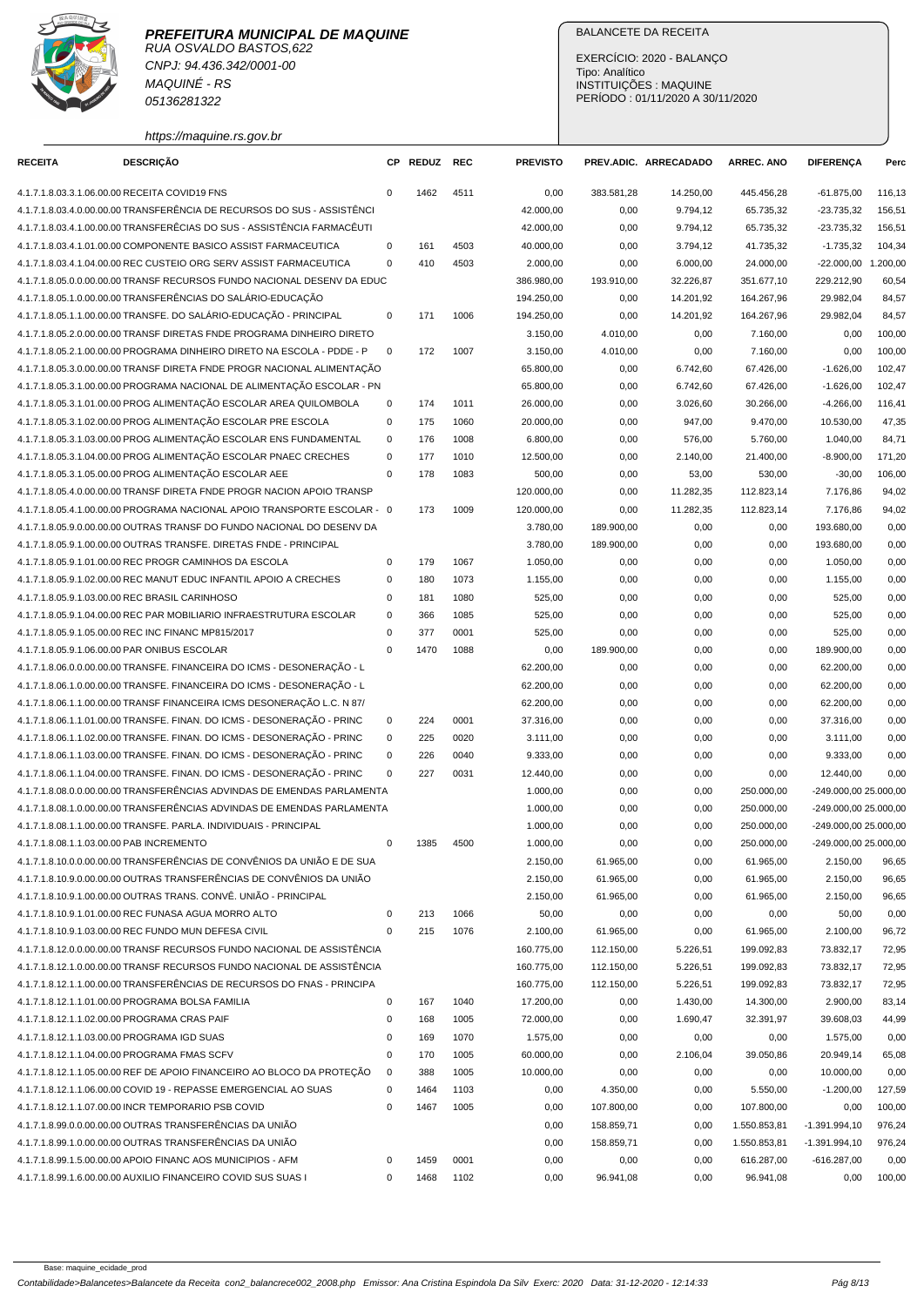RUA OSVALDO BASTOS,622 CNPJ: 94.436.342/0001-00 MAQUINÉ - RS 05136281322

### BALANCETE DA RECEITA

EXERCÍCIO: 2020 - BALANÇO Tipo: Analítico INSTITUIÇÕES : MAQUINE PERÍODO : 01/11/2020 A 30/11/2020

https://maquine.rs.gov.br

| <b>RECEITA</b>                                | <b>DESCRIÇÃO</b>                                                         | СP           | <b>REDUZ</b> | <b>REC</b> | <b>PREVISTO</b> |            | PREV.ADIC. ARRECADADO | <b>ARREC. ANO</b> | <b>DIFERENÇA</b>      | Perc   |
|-----------------------------------------------|--------------------------------------------------------------------------|--------------|--------------|------------|-----------------|------------|-----------------------|-------------------|-----------------------|--------|
| 4.1.7.1.8.03.3.1.06.00.00 RECEITA COVID19 FNS |                                                                          | $\mathbf 0$  | 1462         | 4511       | 0,00            | 383.581,28 | 14.250,00             | 445.456,28        | $-61.875,00$          | 116,13 |
|                                               | 4.1.7.1.8.03.4.0.00.00.00 TRANSFERÊNCIA DE RECURSOS DO SUS - ASSISTÊNCI  |              |              |            | 42.000,00       | 0,00       | 9.794,12              | 65.735,32         | $-23.735,32$          | 156,51 |
|                                               | 4.1.7.1.8.03.4.1.00.00.00 TRANSFERÊCIAS DO SUS - ASSISTÊNCIA FARMACÊUTI  |              |              |            | 42.000,00       | 0,00       | 9.794,12              | 65.735,32         | $-23.735.32$          | 156,51 |
|                                               | 4.1.7.1.8.03.4.1.01.00.00 COMPONENTE BASICO ASSIST FARMACEUTICA          | $\mathbf 0$  | 161          | 4503       | 40.000,00       | 0,00       | 3.794,12              | 41.735,32         | $-1.735,32$           | 104,34 |
|                                               | 4.1.7.1.8.03.4.1.04.00.00 REC CUSTEIO ORG SERV ASSIST FARMACEUTICA       | $\mathbf 0$  | 410          | 4503       | 2.000,00        | 0,00       | 6.000,00              | 24.000,00         | -22.000,00 1.200,00   |        |
|                                               | 4.1.7.1.8.05.0.0.00.00.00 TRANSF RECURSOS FUNDO NACIONAL DESENV DA EDUC  |              |              |            | 386.980,00      | 193.910,00 | 32.226,87             | 351.677,10        | 229.212,90            | 60,54  |
|                                               | 4.1.7.1.8.05.1.0.00.00.00 TRANSFERÊNCIAS DO SALÁRIO-EDUCAÇÃO             |              |              |            | 194.250,00      | 0,00       | 14.201,92             | 164.267,96        | 29.982,04             | 84,57  |
|                                               | 4.1.7.1.8.05.1.1.00.00.00 TRANSFE. DO SALÁRIO-EDUCAÇÃO - PRINCIPAL       | 0            | 171          | 1006       | 194.250,00      | 0,00       | 14.201,92             | 164.267,96        | 29.982,04             | 84,57  |
|                                               | 4.1.7.1.8.05.2.0.00.00.00 TRANSF DIRETAS FNDE PROGRAMA DINHEIRO DIRETO   |              |              |            | 3.150,00        | 4.010,00   | 0,00                  | 7.160,00          | 0,00                  | 100,00 |
|                                               | 4.1.7.1.8.05.2.1.00.00.00 PROGRAMA DINHEIRO DIRETO NA ESCOLA - PDDE - P  | $\mathbf{0}$ | 172          | 1007       | 3.150,00        | 4.010,00   | 0,00                  | 7.160,00          | 0,00                  | 100,00 |
|                                               | 4.1.7.1.8.05.3.0.00.00.00 TRANSF DIRETA FNDE PROGR NACIONAL ALIMENTAÇÃO  |              |              |            | 65.800,00       | 0,00       | 6.742,60              | 67.426,00         | $-1.626,00$           | 102,47 |
|                                               | 4.1.7.1.8.05.3.1.00.00.00 PROGRAMA NACIONAL DE ALIMENTAÇÃO ESCOLAR - PN  |              |              |            | 65.800,00       | 0,00       | 6.742,60              | 67.426,00         | $-1.626,00$           | 102,47 |
|                                               | 4.1.7.1.8.05.3.1.01.00.00 PROG ALIMENTACÃO ESCOLAR AREA QUILOMBOLA       | $\mathbf 0$  | 174          | 1011       | 26.000,00       | 0,00       | 3.026,60              | 30.266,00         | $-4.266,00$           | 116,41 |
|                                               | 4.1.7.1.8.05.3.1.02.00.00 PROG ALIMENTAÇÃO ESCOLAR PRE ESCOLA            | $\mathbf 0$  | 175          | 1060       | 20.000,00       | 0,00       | 947,00                | 9.470,00          | 10.530,00             | 47,35  |
|                                               | 4.1.7.1.8.05.3.1.03.00.00 PROG ALIMENTAÇÃO ESCOLAR ENS FUNDAMENTAL       | $\mathbf 0$  | 176          | 1008       | 6.800,00        | 0,00       | 576,00                | 5.760,00          | 1.040,00              | 84,71  |
|                                               | 4.1.7.1.8.05.3.1.04.00.00 PROG ALIMENTAÇÃO ESCOLAR PNAEC CRECHES         | $\mathbf 0$  | 177          | 1010       | 12.500,00       | 0,00       | 2.140,00              | 21.400,00         | $-8.900,00$           | 171,20 |
|                                               | 4.1.7.1.8.05.3.1.05.00.00 PROG ALIMENTAÇÃO ESCOLAR AEE                   | $\mathbf 0$  | 178          | 1083       | 500,00          | 0,00       | 53,00                 | 530,00            | $-30,00$              | 106,00 |
|                                               | 4.1.7.1.8.05.4.0.00.00.00 TRANSF DIRETA FNDE PROGR NACION APOIO TRANSP   |              |              |            | 120.000,00      | 0,00       | 11.282,35             | 112.823,14        | 7.176,86              | 94,02  |
|                                               | 4.1.7.1.8.05.4.1.00.00.00 PROGRAMA NACIONAL APOIO TRANSPORTE ESCOLAR - 0 |              | 173          | 1009       | 120.000,00      | 0,00       | 11.282,35             | 112.823,14        | 7.176,86              | 94,02  |
|                                               | 4.1.7.1.8.05.9.0.00.00.00 OUTRAS TRANSF DO FUNDO NACIONAL DO DESENV DA   |              |              |            | 3.780,00        | 189.900,00 | 0,00                  | 0,00              | 193.680,00            | 0,00   |
|                                               | 4.1.7.1.8.05.9.1.00.00.00 OUTRAS TRANSFE. DIRETAS FNDE - PRINCIPAL       |              |              |            | 3.780,00        | 189.900,00 | 0,00                  | 0,00              | 193.680,00            | 0,00   |
|                                               | 4.1.7.1.8.05.9.1.01.00.00 REC PROGR CAMINHOS DA ESCOLA                   | $\mathbf 0$  | 179          | 1067       | 1.050,00        | 0,00       | 0,00                  | 0,00              | 1.050.00              | 0,00   |
|                                               | 4.1.7.1.8.05.9.1.02.00.00 REC MANUT EDUC INFANTIL APOIO A CRECHES        | $\mathbf 0$  | 180          | 1073       | 1.155,00        | 0,00       | 0,00                  | 0,00              | 1.155,00              | 0,00   |
|                                               | 4.1.7.1.8.05.9.1.03.00.00 REC BRASIL CARINHOSO                           | $\mathbf 0$  | 181          | 1080       | 525,00          | 0,00       | 0,00                  | 0,00              | 525,00                | 0,00   |
|                                               | 4.1.7.1.8.05.9.1.04.00.00 REC PAR MOBILIARIO INFRAESTRUTURA ESCOLAR      | $\mathbf 0$  | 366          | 1085       | 525,00          | 0,00       | 0,00                  | 0,00              | 525,00                | 0,00   |
|                                               | 4.1.7.1.8.05.9.1.05.00.00 REC INC FINANC MP815/2017                      | $\mathbf 0$  | 377          | 0001       | 525,00          | 0,00       | 0,00                  | 0,00              | 525,00                | 0,00   |
| 4.1.7.1.8.05.9.1.06.00.00 PAR ONIBUS ESCOLAR  |                                                                          | $\mathbf 0$  | 1470         | 1088       | 0,00            | 189.900,00 | 0,00                  | 0,00              | 189.900,00            | 0,00   |
|                                               | 4.1.7.1.8.06.0.0.00.00.00 TRANSFE. FINANCEIRA DO ICMS - DESONERAÇÃO - L  |              |              |            | 62.200,00       | 0,00       | 0,00                  | 0,00              | 62.200,00             | 0,00   |
|                                               | 4.1.7.1.8.06.1.0.00.00.00 TRANSFE. FINANCEIRA DO ICMS - DESONERAÇÃO - L  |              |              |            | 62.200,00       | 0,00       | 0,00                  | 0,00              | 62.200,00             | 0,00   |
|                                               | 4.1.7.1.8.06.1.1.00.00.00 TRANSF FINANCEIRA ICMS DESONERAÇÃO L.C. N 87/  |              |              |            | 62.200,00       | 0,00       | 0,00                  | 0,00              | 62.200,00             | 0,00   |
|                                               | 4.1.7.1.8.06.1.1.01.00.00 TRANSFE. FINAN. DO ICMS - DESONERAÇÃO - PRINC  | 0            | 224          | 0001       | 37.316,00       | 0,00       | 0,00                  | 0,00              | 37.316,00             | 0,00   |
|                                               | 4.1.7.1.8.06.1.1.02.00.00 TRANSFE. FINAN. DO ICMS - DESONERAÇÃO - PRINC  | 0            | 225          | 0020       | 3.111,00        | 0,00       | 0,00                  | 0,00              | 3.111,00              | 0,00   |
|                                               | 4.1.7.1.8.06.1.1.03.00.00 TRANSFE. FINAN. DO ICMS - DESONERAÇÃO - PRINC  | $\mathbf 0$  | 226          | 0040       | 9.333,00        | 0,00       | 0,00                  | 0,00              | 9.333,00              | 0,00   |
|                                               | 4.1.7.1.8.06.1.1.04.00.00 TRANSFE. FINAN. DO ICMS - DESONERAÇÃO - PRINC  | $\mathbf 0$  | 227          | 0031       | 12.440,00       | 0,00       | 0,00                  | 0,00              | 12.440,00             | 0,00   |
|                                               | 4.1.7.1.8.08.0.0.00.00.00 TRANSFERÊNCIAS ADVINDAS DE EMENDAS PARLAMENTA  |              |              |            | 1.000,00        | 0,00       | 0,00                  | 250.000,00        | -249.000,00 25.000,00 |        |
|                                               | 4.1.7.1.8.08.1.0.00.00.00 TRANSFERÊNCIAS ADVINDAS DE EMENDAS PARLAMENTA  |              |              |            | 1.000,00        | 0,00       | 0,00                  | 250.000,00        | -249.000,00 25.000,00 |        |
|                                               | 4.1.7.1.8.08.1.1.00.00.00 TRANSFE. PARLA. INDIVIDUAIS - PRINCIPAL        |              |              |            | 1.000,00        | 0,00       | 0,00                  | 250.000,00        | -249.000,00 25.000,00 |        |
| 4.1.7.1.8.08.1.1.03.00.00 PAB INCREMENTO      |                                                                          | $\mathbf 0$  | 1385         | 4500       | 1.000,00        | 0,00       | 0,00                  | 250.000,00        | -249.000,00 25.000,00 |        |
|                                               | 4.1.7.1.8.10.0.0.00.00.00 TRANSFERÊNCIAS DE CONVÊNIOS DA UNIÃO E DE SUA  |              |              |            | 2.150,00        | 61.965,00  | 0,00                  | 61.965,00         | 2.150,00              | 96,65  |
|                                               | 4.1.7.1.8.10.9.0.00.00.00 OUTRAS TRANSFERÊNCIAS DE CONVÊNIOS DA UNIÃO    |              |              |            | 2.150,00        | 61.965,00  | 0,00                  | 61.965,00         | 2.150,00              | 96,65  |
|                                               | 4.1.7.1.8.10.9.1.00.00.00 OUTRAS TRANS, CONVÊ, UNIÃO - PRINCIPAL         |              |              |            | 2.150,00        | 61.965,00  | 0,00                  | 61.965,00         | 2.150,00              | 96,65  |
|                                               | 4.1.7.1.8.10.9.1.01.00.00 REC FUNASA AGUA MORRO ALTO                     | 0            | 213          | 1066       | 50,00           | 0,00       | 0,00                  | 0,00              | 50,00                 | 0,00   |
|                                               | 4.1.7.1.8.10.9.1.03.00.00 REC FUNDO MUN DEFESA CIVIL                     | 0            | 215          | 1076       | 2.100,00        | 61.965,00  | 0,00                  | 61.965,00         | 2.100,00              | 96,72  |
|                                               | 4.1.7.1.8.12.0.0.00.00.00 TRANSF RECURSOS FUNDO NACIONAL DE ASSISTENCIA  |              |              |            | 160.775,00      | 112.150,00 | 5.226,51              | 199.092,83        | 73.832,17             | 72,95  |
|                                               | 4.1.7.1.8.12.1.0.00.00.00 TRANSF RECURSOS FUNDO NACIONAL DE ASSISTÊNCIA  |              |              |            | 160.775,00      | 112.150,00 | 5.226,51              | 199.092,83        | 73.832,17             | 72,95  |
|                                               | 4.1.7.1.8.12.1.1.00.00.00 TRANSFERÊNCIAS DE RECURSOS DO FNAS - PRINCIPA  |              |              |            | 160.775,00      | 112.150,00 | 5.226,51              | 199.092,83        | 73.832,17             | 72,95  |
|                                               | 4.1.7.1.8.12.1.1.01.00.00 PROGRAMA BOLSA FAMILIA                         | $\mathbf 0$  | 167          | 1040       | 17.200,00       | 0,00       | 1.430,00              | 14.300,00         | 2.900,00              | 83,14  |
|                                               | 4.1.7.1.8.12.1.1.02.00.00 PROGRAMA CRAS PAIF                             | 0            | 168          | 1005       | 72.000,00       | 0,00       | 1.690,47              | 32.391,97         | 39.608,03             | 44,99  |
| 4.1.7.1.8.12.1.1.03.00.00 PROGRAMA IGD SUAS   |                                                                          | 0            | 169          | 1070       | 1.575,00        | 0,00       | 0,00                  | 0,00              | 1.575,00              | 0,00   |
|                                               | 4.1.7.1.8.12.1.1.04.00.00 PROGRAMA FMAS SCFV                             | 0            | 170          | 1005       | 60.000,00       | 0,00       | 2.106,04              | 39.050,86         | 20.949,14             | 65,08  |
|                                               | 4.1.7.1.8.12.1.1.05.00.00 REF DE APOIO FINANCEIRO AO BLOCO DA PROTEÇÃO   | 0            | 388          | 1005       | 10.000,00       | 0,00       | 0,00                  | 0,00              | 10.000,00             | 0,00   |
|                                               | 4.1.7.1.8.12.1.1.06.00.00 COVID 19 - REPASSE EMERGENCIAL AO SUAS         | $\mathbf 0$  | 1464         | 1103       | 0,00            | 4.350,00   | 0,00                  | 5.550,00          | $-1.200,00$           | 127,59 |
|                                               | 4.1.7.1.8.12.1.1.07.00.00 INCR TEMPORARIO PSB COVID                      | 0            | 1467         | 1005       | 0,00            | 107.800,00 | 0,00                  | 107.800,00        | 0,00                  | 100,00 |
|                                               | 4.1.7.1.8.99.0.0.00.00.00 OUTRAS TRANSFERÊNCIAS DA UNIÃO                 |              |              |            | 0,00            | 158.859,71 | 0,00                  | 1.550.853,81      | $-1.391.994,10$       | 976,24 |
|                                               | 4.1.7.1.8.99.1.0.00.00.00 OUTRAS TRANSFERÊNCIAS DA UNIÃO                 |              |              |            | 0,00            | 158.859,71 | 0,00                  | 1.550.853,81      | $-1.391.994,10$       | 976,24 |
|                                               | 4.1.7.1.8.99.1.5.00.00.00 APOIO FINANC AOS MUNICIPIOS - AFM              | 0            | 1459         | 0001       | 0,00            | 0,00       | 0,00                  | 616.287,00        | $-616.287,00$         | 0,00   |
|                                               | 4.1.7.1.8.99.1.6.00.00.00 AUXILIO FINANCEIRO COVID SUS SUAS I            | 0            | 1468         | 1102       | 0,00            | 96.941,08  | 0,00                  | 96.941,08         | 0,00                  | 100,00 |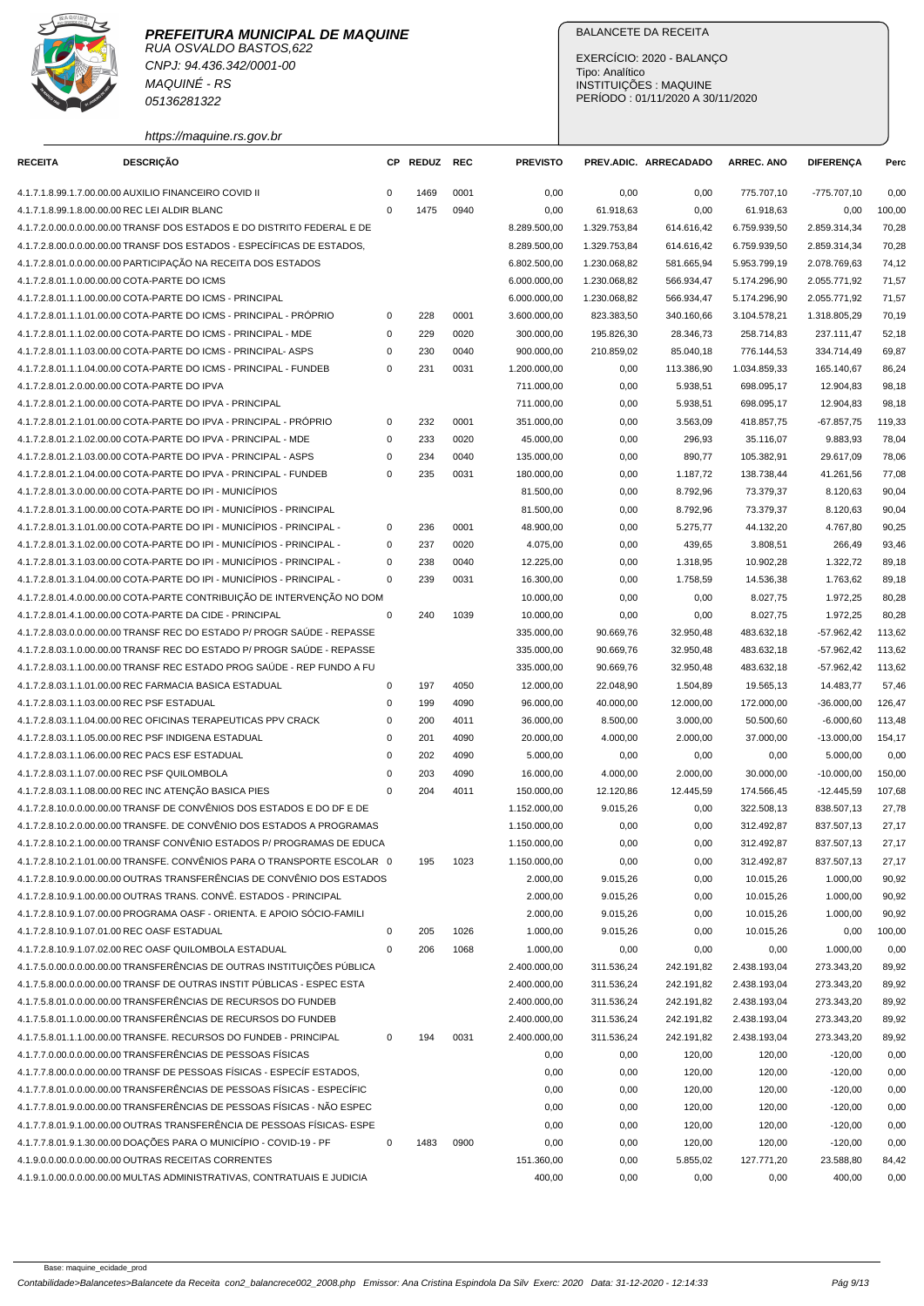

CNPJ: 94.436.342/0001-00 MAQUINÉ - RS 05136281322

https://maquine.rs.gov.br

## BALANCETE DA RECEITA

EXERCÍCIO: 2020 - BALANÇO Tipo: Analítico INSTITUIÇÕES : MAQUINE PERÍODO : 01/11/2020 A 30/11/2020

| <b>RECEITA</b>                                | <b>DESCRIÇÃO</b>                                                         |             | CP REDUZ | <b>REC</b> | <b>PREVISTO</b> |              | PREV.ADIC. ARRECADADO | <b>ARREC. ANO</b>     | <b>DIFERENÇA</b>     | Perc   |
|-----------------------------------------------|--------------------------------------------------------------------------|-------------|----------|------------|-----------------|--------------|-----------------------|-----------------------|----------------------|--------|
|                                               | 4.1.7.1.8.99.1.7.00.00.00 AUXILIO FINANCEIRO COVID II                    | $\mathbf 0$ | 1469     | 0001       | 0,00            | 0,00         | 0,00                  | 775.707,10            | $-775.707,10$        | 0,00   |
| 4.1.7.1.8.99.1.8.00.00.00 REC LEI ALDIR BLANC |                                                                          | $\Omega$    | 1475     | 0940       | 0,00            | 61.918,63    | 0,00                  | 61.918,63             | 0,00                 | 100,00 |
|                                               | 4.1.7.2.0.00.0.0.00.00.00 TRANSF DOS ESTADOS E DO DISTRITO FEDERAL E DE  |             |          |            | 8.289.500,00    | 1.329.753,84 | 614.616,42            | 6.759.939,50          | 2.859.314,34         | 70,28  |
|                                               | 4.1.7.2.8.00.0.0.00.00.00 TRANSF DOS ESTADOS - ESPECÍFICAS DE ESTADOS,   |             |          |            | 8.289.500,00    | 1.329.753,84 | 614.616,42            | 6.759.939,50          | 2.859.314,34         | 70,28  |
|                                               | 4.1.7.2.8.01.0.0.00.00.00 PARTICIPAÇÃO NA RECEITA DOS ESTADOS            |             |          |            | 6.802.500,00    | 1.230.068,82 | 581.665,94            | 5.953.799,19          | 2.078.769,63         | 74,12  |
| 4.1.7.2.8.01.1.0.00.00.00 COTA-PARTE DO ICMS  |                                                                          |             |          |            | 6.000.000,00    | 1.230.068,82 | 566.934,47            | 5.174.296,90          | 2.055.771,92         | 71,57  |
|                                               | 4.1.7.2.8.01.1.1.00.00.00 COTA-PARTE DO ICMS - PRINCIPAL                 |             |          |            | 6.000.000,00    | 1.230.068,82 | 566.934,47            | 5.174.296,90          | 2.055.771,92         | 71,57  |
|                                               | 4.1.7.2.8.01.1.1.01.00.00 COTA-PARTE DO ICMS - PRINCIPAL - PRÓPRIO       | 0           | 228      | 0001       | 3.600.000,00    | 823.383,50   | 340.160,66            | 3.104.578,21          | 1.318.805,29         | 70,19  |
|                                               | 4.1.7.2.8.01.1.1.02.00.00 COTA-PARTE DO ICMS - PRINCIPAL - MDE           | 0           | 229      | 0020       | 300.000,00      | 195.826,30   | 28.346,73             | 258.714,83            | 237.111,47           | 52,18  |
|                                               | 4.1.7.2.8.01.1.1.03.00.00 COTA-PARTE DO ICMS - PRINCIPAL- ASPS           | 0           | 230      | 0040       | 900.000,00      | 210.859,02   | 85.040,18             | 776.144,53            | 334.714,49           | 69,87  |
|                                               | 4.1.7.2.8.01.1.1.04.00.00 COTA-PARTE DO ICMS - PRINCIPAL - FUNDEB        | $\mathbf 0$ | 231      | 0031       | 1.200.000,00    | 0,00         | 113.386,90            | 1.034.859,33          | 165.140,67           | 86,24  |
| 4.1.7.2.8.01.2.0.00.00.00 COTA-PARTE DO IPVA  |                                                                          |             |          |            | 711.000,00      | 0,00         | 5.938,51              | 698.095,17            | 12.904,83            | 98,18  |
|                                               | 4.1.7.2.8.01.2.1.00.00.00 COTA-PARTE DO IPVA - PRINCIPAL                 |             |          |            | 711.000,00      | 0,00         | 5.938,51              | 698.095,17            | 12.904,83            | 98,18  |
|                                               | 4.1.7.2.8.01.2.1.01.00.00 COTA-PARTE DO IPVA - PRINCIPAL - PRÓPRIO       | $\mathbf 0$ | 232      | 0001       | 351.000,00      | 0,00         | 3.563,09              | 418.857,75            | $-67.857,75$         | 119,33 |
|                                               | 4.1.7.2.8.01.2.1.02.00.00 COTA-PARTE DO IPVA - PRINCIPAL - MDE           | 0           | 233      | 0020       | 45.000,00       | 0,00         | 296,93                | 35.116,07             | 9.883,93             | 78,04  |
|                                               | 4.1.7.2.8.01.2.1.03.00.00 COTA-PARTE DO IPVA - PRINCIPAL - ASPS          | $\mathbf 0$ | 234      | 0040       | 135.000,00      | 0,00         | 890,77                | 105.382,91            | 29.617,09            | 78,06  |
|                                               | 4.1.7.2.8.01.2.1.04.00.00 COTA-PARTE DO IPVA - PRINCIPAL - FUNDEB        | $\mathbf 0$ | 235      | 0031       | 180.000,00      | 0,00         | 1.187,72              | 138.738,44            | 41.261,56            | 77,08  |
|                                               | 4.1.7.2.8.01.3.0.00.00.00 COTA-PARTE DO IPI - MUNICÍPIOS                 |             |          |            | 81.500,00       | 0,00         | 8.792,96              | 73.379,37             | 8.120,63             | 90,04  |
|                                               | 4.1.7.2.8.01.3.1.00.00.00 COTA-PARTE DO IPI - MUNICÍPIOS - PRINCIPAL     |             |          |            | 81.500,00       | 0,00         | 8.792,96              | 73.379,37             | 8.120,63             | 90,04  |
|                                               | 4.1.7.2.8.01.3.1.01.00.00 COTA-PARTE DO IPI - MUNICÍPIOS - PRINCIPAL -   | $\mathbf 0$ | 236      | 0001       | 48.900,00       | 0,00         | 5.275,77              | 44.132,20             | 4.767,80             | 90,25  |
|                                               | 4.1.7.2.8.01.3.1.02.00.00 COTA-PARTE DO IPI - MUNICIPIOS - PRINCIPAL -   | $\mathbf 0$ | 237      | 0020       |                 |              |                       |                       |                      | 93,46  |
|                                               | 4.1.7.2.8.01.3.1.03.00.00 COTA-PARTE DO IPI - MUNICÍPIOS - PRINCIPAL -   | $\mathbf 0$ | 238      | 0040       | 4.075,00        | 0,00<br>0,00 | 439,65                | 3.808,51<br>10.902,28 | 266,49               | 89,18  |
|                                               | 4.1.7.2.8.01.3.1.04.00.00 COTA-PARTE DO IPI - MUNICÍPIOS - PRINCIPAL -   | $\mathbf 0$ | 239      | 0031       | 12.225,00       | 0,00         | 1.318,95              |                       | 1.322,72<br>1.763.62 |        |
|                                               | 4.1.7.2.8.01.4.0.00.00.00 COTA-PARTE CONTRIBUIÇÃO DE INTERVENÇÃO NO DOM  |             |          |            | 16.300,00       |              | 1.758,59              | 14.536,38             |                      | 89,18  |
|                                               |                                                                          |             |          |            | 10.000,00       | 0,00         | 0,00                  | 8.027,75              | 1.972,25             | 80,28  |
|                                               | 4.1.7.2.8.01.4.1.00.00.00 COTA-PARTE DA CIDE - PRINCIPAL                 | $\mathbf 0$ | 240      | 1039       | 10.000,00       | 0,00         | 0,00                  | 8.027,75              | 1.972,25             | 80,28  |
|                                               | 4.1.7.2.8.03.0.0.00.00.00 TRANSF REC DO ESTADO P/ PROGR SAUDE - REPASSE  |             |          |            | 335.000,00      | 90.669,76    | 32.950,48             | 483.632,18            | $-57.962,42$         | 113,62 |
|                                               | 4.1.7.2.8.03.1.0.00.00.00 TRANSF REC DO ESTADO P/ PROGR SAÚDE - REPASSE  |             |          |            | 335.000,00      | 90.669,76    | 32.950,48             | 483.632,18            | $-57.962,42$         | 113,62 |
|                                               | 4.1.7.2.8.03.1.1.00.00.00 TRANSF REC ESTADO PROG SAÚDE - REP FUNDO A FU  |             |          |            | 335.000,00      | 90.669,76    | 32.950,48             | 483.632,18            | $-57.962,42$         | 113,62 |
|                                               | 4.1.7.2.8.03.1.1.01.00.00 REC FARMACIA BASICA ESTADUAL                   | 0           | 197      | 4050       | 12.000,00       | 22.048,90    | 1.504,89              | 19.565,13             | 14.483,77            | 57,46  |
| 4.1.7.2.8.03.1.1.03.00.00 REC PSF ESTADUAL    |                                                                          | $\mathbf 0$ | 199      | 4090       | 96.000,00       | 40.000,00    | 12.000,00             | 172.000,00            | $-36.000,00$         | 126,47 |
|                                               | 4.1.7.2.8.03.1.1.04.00.00 REC OFICINAS TERAPEUTICAS PPV CRACK            | $\mathbf 0$ | 200      | 4011       | 36.000,00       | 8.500,00     | 3.000,00              | 50.500,60             | $-6.000,60$          | 113,48 |
|                                               | 4.1.7.2.8.03.1.1.05.00.00 REC PSF INDIGENA ESTADUAL                      | $\mathbf 0$ | 201      | 4090       | 20.000,00       | 4.000,00     | 2.000,00              | 37.000,00             | $-13.000,00$         | 154,17 |
|                                               | 4.1.7.2.8.03.1.1.06.00.00 REC PACS ESF ESTADUAL                          | $\mathbf 0$ | 202      | 4090       | 5.000,00        | 0,00         | 0,00                  | 0,00                  | 5.000,00             | 0,00   |
| 4.1.7.2.8.03.1.1.07.00.00 REC PSF QUILOMBOLA  |                                                                          | $\mathbf 0$ | 203      | 4090       | 16.000,00       | 4.000,00     | 2.000,00              | 30.000,00             | $-10.000,00$         | 150,00 |
|                                               | 4.1.7.2.8.03.1.1.08.00.00 REC INC ATENÇÃO BASICA PIES                    | $\mathbf 0$ | 204      | 4011       | 150.000,00      | 12.120,86    | 12.445,59             | 174.566,45            | $-12.445,59$         | 107,68 |
|                                               | 4.1.7.2.8.10.0.0.00.00.00 TRANSF DE CONVÊNIOS DOS ESTADOS E DO DF E DE   |             |          |            | 1.152.000,00    | 9.015,26     | 0,00                  | 322.508,13            | 838.507,13           | 27,78  |
|                                               | 4.1.7.2.8.10.2.0.00.00.00 TRANSFE. DE CONVÊNIO DOS ESTADOS A PROGRAMAS   |             |          |            | 1.150.000,00    | 0,00         | 0,00                  | 312.492.87            | 837.507,13           | 27,17  |
|                                               | 4.1.7.2.8.10.2.1.00.00.00 TRANSF CONVÊNIO ESTADOS P/ PROGRAMAS DE EDUCA  |             |          |            | 1.150.000,00    | 0,00         | 0,00                  | 312.492,87            | 837.507,13           | 27,17  |
|                                               | 4.1.7.2.8.10.2.1.01.00.00 TRANSFE. CONVÊNIOS PARA O TRANSPORTE ESCOLAR 0 |             | 195      | 1023       | 1.150.000,00    | 0,00         | 0,00                  | 312.492,87            | 837.507,13           | 27,17  |
|                                               | 4.1.7.2.8.10.9.0.00.00.00 OUTRAS TRANSFERÊNCIAS DE CONVÊNIO DOS ESTADOS  |             |          |            | 2.000,00        | 9.015,26     | 0,00                  | 10.015,26             | 1.000,00             | 90,92  |
|                                               | 4.1.7.2.8.10.9.1.00.00.00 OUTRAS TRANS. CONVË. ESTADOS - PRINCIPAL       |             |          |            | 2.000,00        | 9.015,26     | 0,00                  | 10.015,26             | 1.000,00             | 90,92  |
|                                               | 4.1.7.2.8.10.9.1.07.00.00 PROGRAMA OASF - ORIENTA. E APOIO SÓCIO-FAMILI  |             |          |            | 2.000,00        | 9.015,26     | 0,00                  | 10.015,26             | 1.000,00             | 90,92  |
| 4.1.7.2.8.10.9.1.07.01.00 REC OASF ESTADUAL   |                                                                          | $\pmb{0}$   | 205      | 1026       | 1.000,00        | 9.015,26     | 0,00                  | 10.015,26             | 0,00                 | 100,00 |
|                                               | 4.1.7.2.8.10.9.1.07.02.00 REC OASF QUILOMBOLA ESTADUAL                   | $\mathbf 0$ | 206      | 1068       | 1.000,00        | 0,00         | 0,00                  | 0,00                  | 1.000,00             | 0,00   |
|                                               | 4.1.7.5.0.00.0.00.00.00 TRANSFERENCIAS DE OUTRAS INSTITUIÇÕES PÚBLICA    |             |          |            | 2.400.000,00    | 311.536,24   | 242.191,82            | 2.438.193,04          | 273.343,20           | 89,92  |
|                                               | 4.1.7.5.8.00.0.0.00.00.00 TRANSF DE OUTRAS INSTIT PÚBLICAS - ESPEC ESTA  |             |          |            | 2.400.000,00    | 311.536,24   | 242.191,82            | 2.438.193,04          | 273.343,20           | 89,92  |
|                                               | 4.1.7.5.8.01.0.0.00.00.00 TRANSFERÊNCIAS DE RECURSOS DO FUNDEB           |             |          |            | 2.400.000,00    | 311.536,24   | 242.191,82            | 2.438.193,04          | 273.343,20           | 89,92  |
|                                               | 4.1.7.5.8.01.1.0.00.00.00 TRANSFERÊNCIAS DE RECURSOS DO FUNDEB           |             |          |            | 2.400.000,00    | 311.536,24   | 242.191,82            | 2.438.193,04          | 273.343,20           | 89,92  |
|                                               | 4.1.7.5.8.01.1.1.00.00.00 TRANSFE, RECURSOS DO FUNDEB - PRINCIPAL        | 0           | 194      | 0031       | 2.400.000,00    | 311.536,24   | 242.191,82            | 2.438.193,04          | 273.343,20           | 89,92  |
|                                               | 4.1.7.7.0.00.0.0.00.00.00 TRANSFERÊNCIAS DE PESSOAS FÍSICAS              |             |          |            | 0,00            | 0,00         | 120,00                | 120,00                | $-120,00$            | 0,00   |
|                                               | 4.1.7.7.8.00.0.0.00.00.00 TRANSF DE PESSOAS FÍSICAS - ESPECÍF ESTADOS,   |             |          |            | 0,00            | 0,00         | 120,00                | 120,00                | $-120,00$            | 0,00   |
|                                               | 4.1.7.7.8.01.0.0.00.00.00 TRANSFERÊNCIAS DE PESSOAS FÍSICAS - ESPECÍFIC  |             |          |            | 0,00            | 0,00         | 120,00                | 120,00                | $-120,00$            | 0,00   |
|                                               | 4.1.7.7.8.01.9.0.00.00.00 TRANSFERÊNCIAS DE PESSOAS FÍSICAS - NÃO ESPEC  |             |          |            | 0,00            | 0,00         | 120,00                | 120,00                | $-120,00$            | 0,00   |
|                                               | 4.1.7.7.8.01.9.1.00.00.00 OUTRAS TRANSFERÊNCIA DE PESSOAS FÍSICAS- ESPE  |             |          |            | 0,00            | 0,00         | 120,00                | 120,00                | $-120,00$            | 0,00   |
|                                               | 4.1.7.7.8.01.9.1.30.00.00 DOAÇÕES PARA O MUNICÍPIO - COVID-19 - PF       | $\mathbf 0$ | 1483     | 0900       | 0,00            | 0,00         | 120,00                | 120,00                | $-120,00$            | 0,00   |
|                                               | 4.1.9.0.0.00.0.0.00.00.00 OUTRAS RECEITAS CORRENTES                      |             |          |            | 151.360,00      | 0,00         | 5.855,02              | 127.771,20            | 23.588,80            | 84,42  |
|                                               | 4.1.9.1.0.00.0.0.00.00.00 MULTAS ADMINISTRATIVAS, CONTRATUAIS E JUDICIA  |             |          |            | 400,00          | 0,00         | 0,00                  | 0,00                  | 400,00               | 0,00   |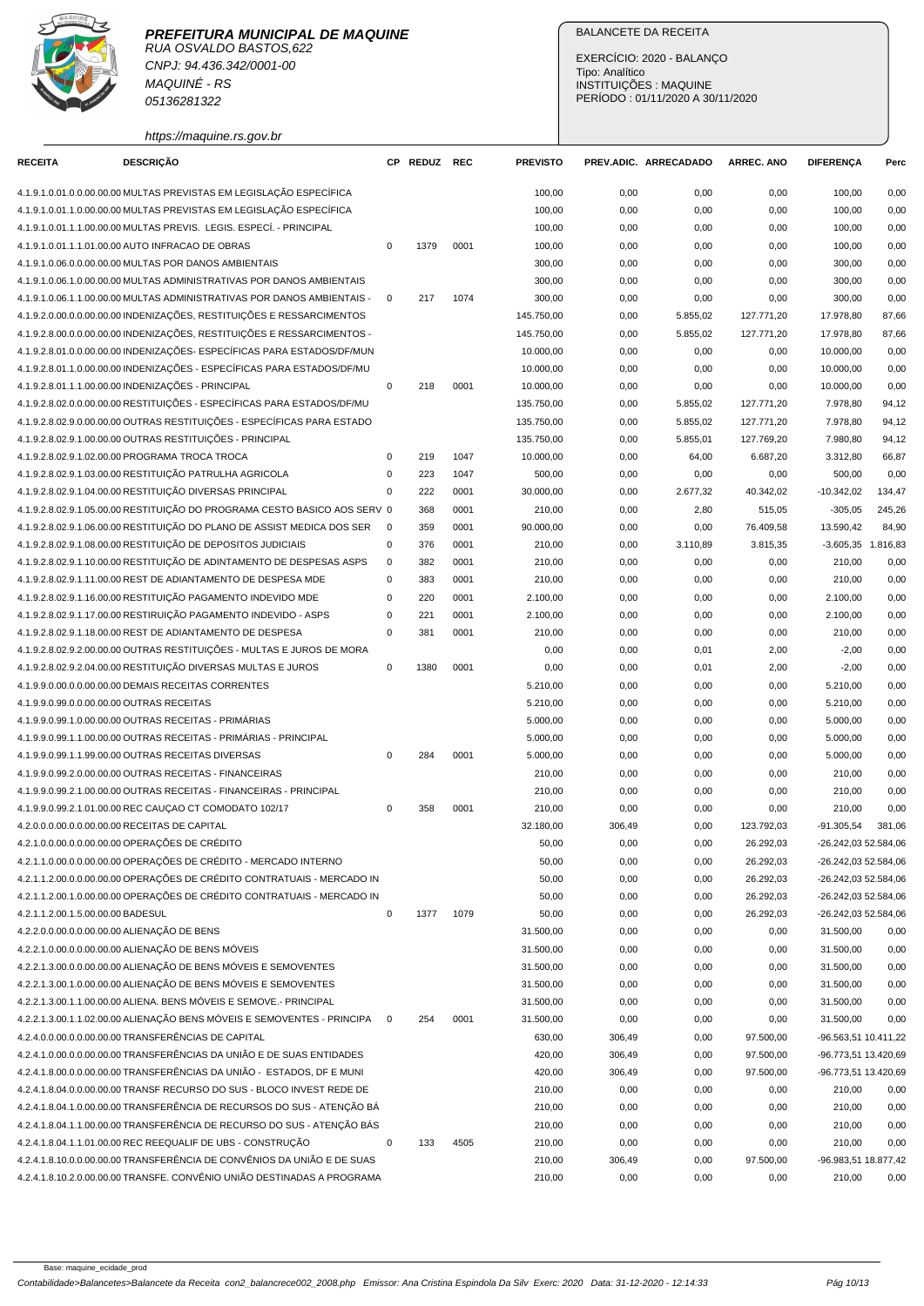RUA OSVALDO BASTOS,622 CNPJ: 94.436.342/0001-00 MAQUINÉ - RS 05136281322

https://maquine.rs.gov.br

## BALANCETE DA RECEITA

EXERCÍCIO: 2020 - BALANÇO Tipo: Analítico INSTITUIÇÕES : MAQUINE PERÍODO : 01/11/2020 A 30/11/2020

| <b>RECEITA</b>                    | <b>DESCRIÇÃO</b>                                                                                                                      |                | CP REDUZ REC |      | <b>PREVISTO</b> |        | PREV.ADIC. ARRECADADO | <b>ARREC. ANO</b> | <b>DIFERENCA</b>     | Perc   |
|-----------------------------------|---------------------------------------------------------------------------------------------------------------------------------------|----------------|--------------|------|-----------------|--------|-----------------------|-------------------|----------------------|--------|
|                                   | 4.1.9.1.0.01.0.0.00.00.00 MULTAS PREVISTAS EM LEGISLAÇÃO ESPECÍFICA                                                                   |                |              |      | 100,00          | 0,00   | 0,00                  | 0,00              | 100,00               | 0,00   |
|                                   | 4.1.9.1.0.01.1.0.00.00.00 MULTAS PREVISTAS EM LEGISLAÇÃO ESPECÍFICA                                                                   |                |              |      | 100,00          | 0,00   | 0,00                  | 0,00              | 100,00               | 0,00   |
|                                   | 4.1.9.1.0.01.1.1.00.00.00 MULTAS PREVIS. LEGIS. ESPECÍ. - PRINCIPAL                                                                   |                |              |      | 100,00          | 0,00   | 0,00                  | 0,00              | 100,00               | 0,00   |
|                                   | 4.1.9.1.0.01.1.1.01.00.00 AUTO INFRACAO DE OBRAS                                                                                      | $\mathbf 0$    | 1379         | 0001 | 100,00          | 0,00   | 0,00                  | 0,00              | 100,00               | 0,00   |
|                                   | 4.1.9.1.0.06.0.0.00.00.00 MULTAS POR DANOS AMBIENTAIS                                                                                 |                |              |      | 300,00          | 0,00   | 0,00                  | 0,00              | 300,00               | 0,00   |
|                                   | 4.1.9.1.0.06.1.0.00.00.00 MULTAS ADMINISTRATIVAS POR DANOS AMBIENTAIS                                                                 |                |              |      | 300,00          | 0,00   | 0,00                  | 0,00              | 300,00               | 0,00   |
|                                   | 4.1.9.1.0.06.1.1.00.00.00 MULTAS ADMINISTRATIVAS POR DANOS AMBIENTAIS -                                                               |                | 217          | 1074 | 300,00          | 0,00   | 0,00                  | 0,00              | 300,00               | 0,00   |
|                                   | 4.1.9.2.0.00.0.0.00.00.00 INDENIZAÇÕES, RESTITUIÇÕES E RESSARCIMENTOS                                                                 |                |              |      | 145.750,00      | 0,00   | 5.855,02              | 127.771,20        | 17.978,80            | 87,66  |
|                                   | 4.1.9.2.8.00.0.0.00.00.00 INDENIZAÇÕES, RESTITUIÇÕES E RESSARCIMENTOS -                                                               |                |              |      | 145.750,00      | 0,00   | 5.855,02              | 127.771,20        | 17.978,80            | 87,66  |
|                                   | 4.1.9.2.8.01.0.0.00.00.00 INDENIZAÇÕES- ESPECÍFICAS PARA ESTADOS/DF/MUN                                                               |                |              |      | 10.000,00       | 0,00   | 0,00                  | 0,00              | 10.000.00            | 0,00   |
|                                   | 4.1.9.2.8.01.1.0.00.00.00 INDENIZAÇÕES - ESPECÍFICAS PARA ESTADOS/DF/MU                                                               |                |              |      | 10.000,00       | 0,00   | 0,00                  | 0,00              | 10.000,00            | 0,00   |
|                                   | 4.1.9.2.8.01.1.1.00.00.00 INDENIZAÇÕES - PRINCIPAL                                                                                    | $\mathbf 0$    | 218          | 0001 | 10.000,00       | 0,00   | 0,00                  | 0,00              | 10.000,00            | 0,00   |
|                                   | 4.1.9.2.8.02.0.0.00.00.00 RESTITUIÇÕES - ESPECÍFICAS PARA ESTADOS/DF/MU                                                               |                |              |      | 135.750,00      | 0,00   | 5.855,02              | 127.771,20        | 7.978,80             | 94,12  |
|                                   | 4.1.9.2.8.02.9.0.00.00.00 OUTRAS RESTITUIÇÕES - ESPECÍFICAS PARA ESTADO                                                               |                |              |      | 135.750,00      | 0,00   | 5.855,02              | 127.771,20        | 7.978,80             | 94,12  |
|                                   | 4.1.9.2.8.02.9.1.00.00.00 OUTRAS RESTITUIÇÕES - PRINCIPAL                                                                             |                |              |      | 135.750,00      | 0,00   | 5.855,01              | 127.769,20        | 7.980,80             | 94,12  |
|                                   | 4.1.9.2.8.02.9.1.02.00.00 PROGRAMA TROCA TROCA                                                                                        | $\mathbf 0$    | 219          | 1047 | 10.000,00       | 0,00   | 64,00                 | 6.687,20          | 3.312,80             | 66,87  |
|                                   | 4.1.9.2.8.02.9.1.03.00.00 RESTITUIÇÃO PATRULHA AGRICOLA                                                                               | 0              | 223          | 1047 | 500,00          | 0,00   | 0,00                  | 0,00              | 500,00               | 0,00   |
|                                   | 4.1.9.2.8.02.9.1.04.00.00 RESTITUIÇÃO DIVERSAS PRINCIPAL                                                                              | $\mathbf 0$    | 222          | 0001 | 30.000,00       | 0,00   | 2.677,32              | 40.342,02         | $-10.342,02$         | 134,47 |
|                                   | 4.1.9.2.8.02.9.1.05.00.00 RESTITUIÇÃO DO PROGRAMA CESTO BASICO AOS SERV 0                                                             |                | 368          | 0001 | 210,00          | 0,00   | 2,80                  | 515,05            | $-305,05$            | 245,26 |
|                                   | 4.1.9.2.8.02.9.1.06.00.00 RESTITUIÇÃO DO PLANO DE ASSIST MEDICA DOS SER                                                               | $\overline{0}$ | 359          | 0001 | 90.000,00       | 0,00   | 0,00                  | 76.409,58         | 13.590,42            | 84,90  |
|                                   | 4.1.9.2.8.02.9.1.08.00.00 RESTITUIÇÃO DE DEPOSITOS JUDICIAIS                                                                          | $\mathbf 0$    | 376          | 0001 | 210,00          | 0,00   | 3.110,89              | 3.815,35          | $-3.605,35$ 1.816,83 |        |
|                                   | 4.1.9.2.8.02.9.1.10.00.00 RESTITUIÇÃO DE ADINTAMENTO DE DESPESAS ASPS                                                                 | $\mathbf 0$    | 382          | 0001 | 210,00          | 0,00   | 0,00                  | 0,00              | 210,00               | 0,00   |
|                                   | 4.1.9.2.8.02.9.1.11.00.00 REST DE ADIANTAMENTO DE DESPESA MDE                                                                         | $\mathbf 0$    | 383          | 0001 | 210,00          | 0,00   | 0,00                  | 0,00              | 210,00               | 0,00   |
|                                   | 4.1.9.2.8.02.9.1.16.00.00 RESTITUICÃO PAGAMENTO INDEVIDO MDE                                                                          | $\pmb{0}$      | 220          | 0001 | 2.100,00        | 0,00   | 0,00                  | 0,00              | 2.100,00             | 0,00   |
|                                   | 4.1.9.2.8.02.9.1.17.00.00 RESTIRUIÇÃO PAGAMENTO INDEVIDO - ASPS                                                                       | 0              | 221          | 0001 | 2.100,00        | 0,00   | 0,00                  | 0,00              | 2.100,00             | 0,00   |
|                                   | 4.1.9.2.8.02.9.1.18.00.00 REST DE ADIANTAMENTO DE DESPESA                                                                             | $\mathbf 0$    | 381          | 0001 | 210,00          | 0,00   | 0,00                  | 0,00              | 210,00               | 0,00   |
|                                   | 4.1.9.2.8.02.9.2.00.00.00 OUTRAS RESTITUIÇÕES - MULTAS E JUROS DE MORA                                                                |                |              |      | 0,00            | 0,00   | 0,01                  | 2,00              | $-2,00$              | 0,00   |
|                                   | 4.1.9.2.8.02.9.2.04.00.00 RESTITUIÇÃO DIVERSAS MULTAS E JUROS                                                                         | $\mathbf 0$    | 1380         | 0001 | 0,00            | 0,00   | 0,01                  | 2,00              | $-2,00$              | 0,00   |
|                                   | 4.1.9.9.0.00.0.0.00.00.00 DEMAIS RECEITAS CORRENTES                                                                                   |                |              |      | 5.210,00        | 0,00   | 0,00                  | 0,00              | 5.210,00             | 0,00   |
|                                   | 4.1.9.9.0.99.0.0.00.00.00 OUTRAS RECEITAS                                                                                             |                |              |      | 5.210,00        | 0,00   | 0,00                  | 0,00              | 5.210,00             | 0,00   |
|                                   | 4.1.9.9.0.99.1.0.00.00.00 OUTRAS RECEITAS - PRIMÁRIAS                                                                                 |                |              |      | 5.000,00        | 0,00   | 0,00                  | 0,00              | 5.000,00             | 0,00   |
|                                   | 4.1.9.9.0.99.1.1.00.00.00 OUTRAS RECEITAS - PRIMÁRIAS - PRINCIPAL                                                                     |                |              |      | 5.000,00        | 0,00   | 0,00                  | 0,00              | 5.000,00             | 0,00   |
|                                   | 4.1.9.9.0.99.1.1.99.00.00 OUTRAS RECEITAS DIVERSAS                                                                                    | $\mathbf 0$    | 284          | 0001 | 5.000,00        | 0,00   | 0,00                  | 0,00              | 5.000,00             | 0,00   |
|                                   | 4.1.9.9.0.99.2.0.00.00.00 OUTRAS RECEITAS - FINANCEIRAS                                                                               |                |              |      | 210,00          | 0,00   | 0,00                  | 0,00              | 210,00               | 0,00   |
|                                   | 4.1.9.9.0.99.2.1.00.00.00 OUTRAS RECEITAS - FINANCEIRAS - PRINCIPAL                                                                   |                |              |      | 210,00          | 0,00   | 0,00                  | 0,00              | 210,00               | 0,00   |
|                                   | 4.1.9.9.0.99.2.1.01.00.00 REC CAUÇAO CT COMODATO 102/17                                                                               | 0              | 358          | 0001 | 210,00          | 0,00   | 0,00                  | 0,00              | 210,00               | 0,00   |
|                                   | 4.2.0.0.0.00.0.0.00.00.00 RECEITAS DE CAPITAL                                                                                         |                |              |      | 32.180,00       | 306,49 | 0,00                  | 123.792.03        | $-91.305,54$         | 381,06 |
|                                   | 4.2.1.0.0.00.0.0.00.00.00 OPERAÇÕES DE CRÉDITO                                                                                        |                |              |      | 50,00           | 0,00   | 0,00                  | 26.292,03         | -26.242,03 52.584,06 |        |
|                                   | 4.2.1.1.0.00.0.0.00.00.00 OPERAÇÕES DE CRÉDITO - MERCADO INTERNO                                                                      |                |              |      | 50,00           | 0,00   | 0,00                  | 26.292,03         | -26.242,03 52.584,06 |        |
|                                   | 4.2.1.1.2.00.0.0.00.00.00 OPERAÇÕES DE CRÉDITO CONTRATUAIS - MERCADO IN                                                               |                |              |      | 50,00           | 0,00   | 0,00                  | 26.292,03         | -26.242,03 52.584,06 |        |
|                                   | 4.2.1.1.2.00.1.0.00.00.00 OPERAÇÕES DE CRÉDITO CONTRATUAIS - MERCADO IN                                                               |                |              |      | 50,00           | 0,00   | 0,00                  | 26.292,03         | -26.242,03 52.584,06 |        |
| 4.2.1.1.2.00.1.5.00.00.00 BADESUL |                                                                                                                                       | $\mathbf 0$    | 1377         | 1079 | 50,00           | 0,00   | 0,00                  | 26.292,03         | -26.242,03 52.584,06 |        |
|                                   | 4.2.2.0.0.00.0.0.00.00.00 ALIENAÇÃO DE BENS                                                                                           |                |              |      | 31.500,00       | 0,00   | 0,00                  |                   | 31.500,00            | 0,00   |
|                                   | 4.2.2.1.0.00.0.0.00.00.00 ALIENAÇÃO DE BENS MÓVEIS                                                                                    |                |              |      | 31.500,00       |        | 0,00                  | 0,00              | 31.500,00            | 0,00   |
|                                   | 4.2.2.1.3.00.0.0.00.00.00 ALIENAÇÃO DE BENS MÓVEIS E SEMOVENTES                                                                       |                |              |      |                 | 0,00   |                       | 0,00              |                      |        |
|                                   |                                                                                                                                       |                |              |      | 31.500,00       | 0,00   | 0,00                  | 0,00              | 31.500,00            | 0,00   |
|                                   | 4.2.2.1.3.00.1.0.00.00.00 ALIENAÇÃO DE BENS MÓVEIS E SEMOVENTES<br>4.2.2.1.3.00.1.1.00.00.00 ALIENA. BENS MÓVEIS E SEMOVE.- PRINCIPAL |                |              |      | 31.500,00       | 0,00   | 0,00                  | 0,00              | 31.500,00            | 0,00   |
|                                   |                                                                                                                                       |                |              |      | 31.500,00       | 0,00   | 0,00                  | 0,00              | 31.500,00            | 0,00   |
|                                   | 4.2.2.1.3.00.1.1.02.00.00 ALIENAÇÃO BENS MÓVEIS E SEMOVENTES - PRINCIPA                                                               | $\mathbf 0$    | 254          | 0001 | 31.500,00       | 0,00   | 0,00                  | 0,00              | 31.500,00            | 0,00   |
|                                   | 4.2.4.0.0.00.0.0.00.00.00 TRANSFERÊNCIAS DE CAPITAL                                                                                   |                |              |      | 630,00          | 306,49 | 0,00                  | 97.500,00         | -96.563,51 10.411,22 |        |
|                                   | 4.2.4.1.0.00.0.0.00.00.00 TRANSFERÊNCIAS DA UNIÃO E DE SUAS ENTIDADES                                                                 |                |              |      | 420,00          | 306,49 | 0,00                  | 97.500,00         | -96.773,51 13.420,69 |        |
|                                   | 4.2.4.1.8.00.0.0.00.00.00 TRANSFERÊNCIAS DA UNIÃO - ESTADOS, DF E MUNI                                                                |                |              |      | 420,00          | 306,49 | 0,00                  | 97.500,00         | -96.773,51 13.420,69 |        |
|                                   | 4.2.4.1.8.04.0.0.00.00.00 TRANSF RECURSO DO SUS - BLOCO INVEST REDE DE                                                                |                |              |      | 210,00          | 0,00   | 0,00                  | 0,00              | 210,00               | 0,00   |
|                                   | 4.2.4.1.8.04.1.0.00.00.00 TRANSFERÊNCIA DE RECURSOS DO SUS - ATENÇÃO BÁ                                                               |                |              |      | 210,00          | 0,00   | 0,00                  | 0,00              | 210,00               | 0,00   |
|                                   | 4.2.4.1.8.04.1.1.00.00.00 TRANSFERÊNCIA DE RECURSO DO SUS - ATENÇÃO BÁS                                                               |                |              |      | 210,00          | 0,00   | 0,00                  | 0,00              | 210,00               | 0,00   |
|                                   | 4.2.4.1.8.04.1.1.01.00.00 REC REEQUALIF DE UBS - CONSTRUÇÃO                                                                           | 0              | 133          | 4505 | 210,00          | 0,00   | 0,00                  | 0,00              | 210,00               | 0,00   |
|                                   | 4.2.4.1.8.10.0.0.00.00.00 TRANSFERÊNCIA DE CONVÊNIOS DA UNIÃO E DE SUAS                                                               |                |              |      | 210,00          | 306,49 | 0,00                  | 97.500,00         | -96.983,51 18.877,42 |        |
|                                   | 4.2.4.1.8.10.2.0.00.00.00 TRANSFE. CONVÊNIO UNIÃO DESTINADAS A PROGRAMA                                                               |                |              |      | 210,00          | 0,00   | 0,00                  | 0,00              | 210,00               | 0,00   |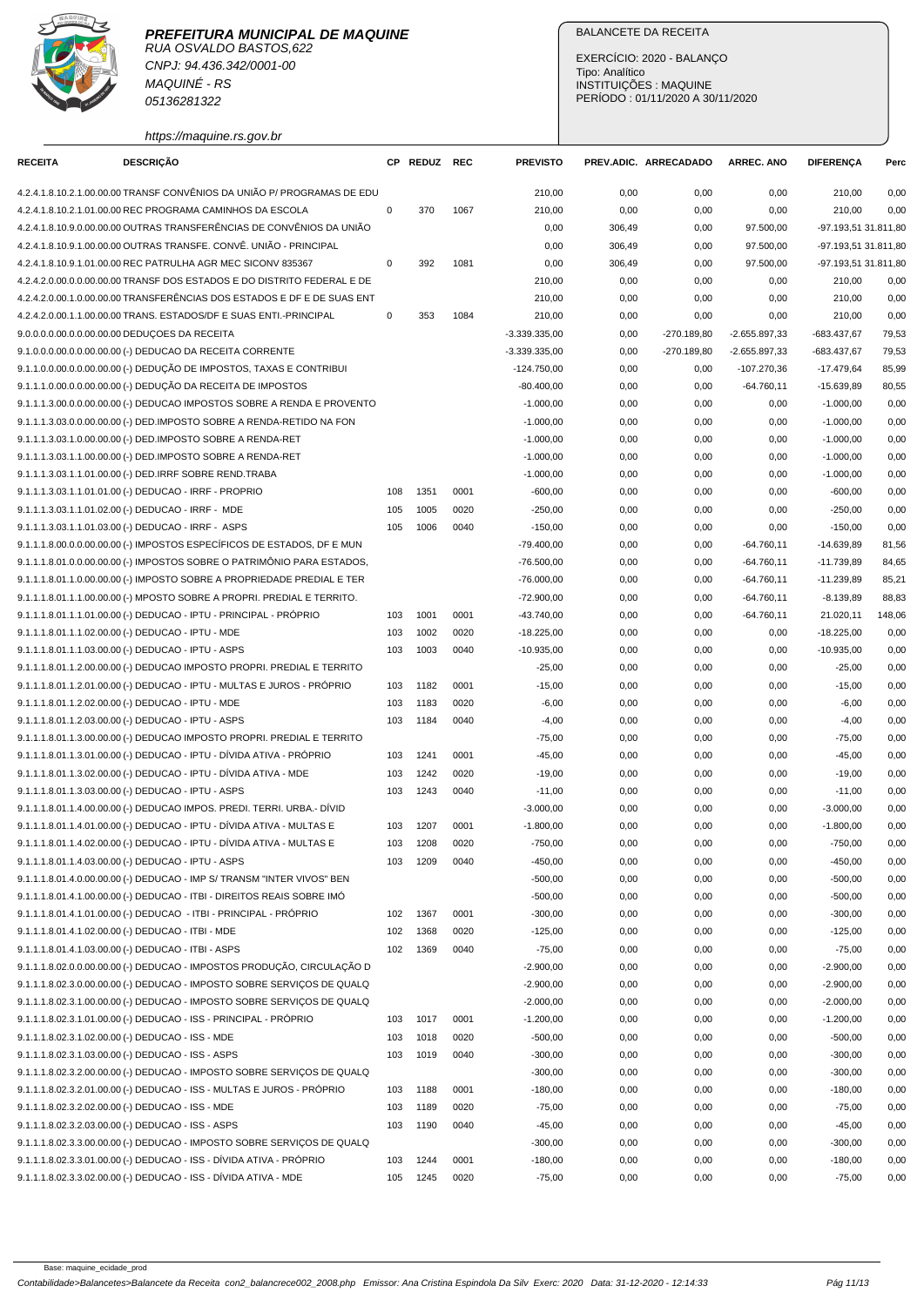

CNPJ: 94.436.342/0001-00 MAQUINÉ - RS 05136281322

https://maquine.rs.gov.br

## BALANCETE DA RECEITA

EXERCÍCIO: 2020 - BALANÇO Tipo: Analítico INSTITUIÇÕES : MAQUINE PERÍODO : 01/11/2020 A 30/11/2020

| <b>RECEITA</b> | <b>DESCRIÇÃO</b>                                                        |             | CP REDUZ REC |      | <b>PREVISTO</b> |        | PREV.ADIC. ARRECADADO | <b>ARREC. ANO</b> | <b>DIFERENÇA</b>     | Perc   |
|----------------|-------------------------------------------------------------------------|-------------|--------------|------|-----------------|--------|-----------------------|-------------------|----------------------|--------|
|                | 4.2.4.1.8.10.2.1.00.00.00 TRANSF CONVÊNIOS DA UNIÃO P/ PROGRAMAS DE EDU |             |              |      | 210,00          | 0,00   | 0,00                  | 0,00              | 210,00               | 0,00   |
|                | 4.2.4.1.8.10.2.1.01.00.00 REC PROGRAMA CAMINHOS DA ESCOLA               | 0           | 370          | 1067 | 210,00          | 0,00   | 0,00                  | 0,00              | 210,00               | 0,00   |
|                | 4.2.4.1.8.10.9.0.00.00.00 OUTRAS TRANSFERÊNCIAS DE CONVÊNIOS DA UNIÃO   |             |              |      | 0,00            | 306,49 | 0,00                  | 97.500,00         | -97.193,51 31.811,80 |        |
|                | 4.2.4.1.8.10.9.1.00.00.00 OUTRAS TRANSFE, CONVÊ, UNIÃO - PRINCIPAL      |             |              |      | 0,00            | 306,49 | 0,00                  | 97.500,00         | -97.193.51 31.811.80 |        |
|                | 4.2.4.1.8.10.9.1.01.00.00 REC PATRULHA AGR MEC SICONV 835367            | 0           | 392          | 1081 | 0,00            | 306,49 | 0,00                  | 97.500,00         | -97.193,51 31.811,80 |        |
|                | 4.2.4.2.0.00.0.0.00.00.00 TRANSF DOS ESTADOS E DO DISTRITO FEDERAL E DE |             |              |      | 210,00          | 0,00   | 0,00                  | 0,00              | 210,00               | 0,00   |
|                | 4.2.4.2.0.00.1.0.00.00.00 TRANSFERÊNCIAS DOS ESTADOS E DF E DE SUAS ENT |             |              |      |                 |        |                       |                   |                      |        |
|                |                                                                         |             |              |      | 210,00          | 0,00   | 0,00                  | 0,00              | 210,00               | 0,00   |
|                | 4.2.4.2.0.00.1.1.00.00.00 TRANS. ESTADOS/DF E SUAS ENTI.-PRINCIPAL      | $\mathbf 0$ | 353          | 1084 | 210,00          | 0,00   | 0,00                  | 0,00              | 210,00               | 0,00   |
|                | 9.0.0.0.0.00.0.0.00.00.00 DEDUÇOES DA RECEITA                           |             |              |      | $-3.339.335,00$ | 0,00   | -270.189,80           | -2.655.897,33     | -683.437,67          | 79,53  |
|                | 9.1.0.0.0.00.0.00.00.00.00 (-) DEDUCAO DA RECEITA CORRENTE              |             |              |      | $-3.339.335,00$ | 0,00   | $-270.189,80$         | -2.655.897,33     | -683.437,67          | 79,53  |
|                | 9.1.1.0.0.00.0.0.00.00.00 (-) DEDUÇÃO DE IMPOSTOS, TAXAS E CONTRIBUI    |             |              |      | $-124.750,00$   | 0,00   | 0,00                  | $-107.270,36$     | $-17.479,64$         | 85,99  |
|                | 9.1.1.1.0.00.0.0.00.00.00 (-) DEDUÇÃO DA RECEITA DE IMPOSTOS            |             |              |      | $-80.400,00$    | 0,00   | 0,00                  | $-64.760,11$      | $-15.639,89$         | 80,55  |
|                | 9.1.1.1.3.00.0.0.00.00.00 (-) DEDUCAO IMPOSTOS SOBRE A RENDA E PROVENTO |             |              |      | $-1.000,00$     | 0,00   | 0,00                  | 0,00              | $-1.000,00$          | 0,00   |
|                | 9.1.1.1.3.03.0.0.00.00.00 (-) DED.IMPOSTO SOBRE A RENDA-RETIDO NA FON   |             |              |      | $-1.000,00$     | 0,00   | 0,00                  | 0,00              | $-1.000,00$          | 0,00   |
|                | 9.1.1.1.3.03.1.0.00.00.00 (-) DED.IMPOSTO SOBRE A RENDA-RET             |             |              |      | $-1.000,00$     | 0,00   | 0,00                  | 0,00              | $-1.000,00$          | 0,00   |
|                | 9.1.1.1.3.03.1.1.00.00.00 (-) DED.IMPOSTO SOBRE A RENDA-RET             |             |              |      | $-1.000.00$     | 0,00   | 0,00                  | 0,00              | $-1.000,00$          | 0,00   |
|                | 9.1.1.1.3.03.1.1.01.00.00 (-) DED.IRRF SOBRE REND.TRABA                 |             |              |      | $-1.000,00$     | 0,00   | 0,00                  | 0,00              | $-1.000,00$          | 0,00   |
|                | 9.1.1.1.3.03.1.1.01.01.00 (-) DEDUCAO - IRRF - PROPRIO                  | 108         | 1351         | 0001 | $-600,00$       | 0,00   | 0,00                  | 0,00              | $-600,00$            | 0,00   |
|                | 9.1.1.1.3.03.1.1.01.02.00 (-) DEDUCAO - IRRF - MDE                      | 105         | 1005         | 0020 | $-250,00$       | 0,00   | 0,00                  | 0,00              | $-250,00$            | 0,00   |
|                | 9.1.1.1.3.03.1.1.01.03.00 (-) DEDUCAO - IRRF - ASPS                     | 105         | 1006         | 0040 | $-150,00$       | 0,00   | 0,00                  | 0,00              | $-150,00$            | 0,00   |
|                | 9.1.1.1.8.00.0.0.00.00.00 (-) IMPOSTOS ESPECÍFICOS DE ESTADOS, DF E MUN |             |              |      | $-79.400,00$    | 0,00   | 0,00                  | $-64.760,11$      | $-14.639.89$         | 81,56  |
|                | 9.1.1.1.8.01.0.0.00.00.00 (-) IMPOSTOS SOBRE O PATRIMÔNIO PARA ESTADOS, |             |              |      | $-76.500,00$    | 0,00   | 0,00                  | $-64.760,11$      | $-11.739,89$         | 84,65  |
|                | 9.1.1.1.8.01.1.0.00.00.00 (-) IMPOSTO SOBRE A PROPRIEDADE PREDIAL E TER |             |              |      | $-76.000,00$    | 0,00   | 0,00                  | $-64.760,11$      | $-11.239,89$         | 85,21  |
|                | 9.1.1.1.8.01.1.1.00.00.00 (-) MPOSTO SOBRE A PROPRI. PREDIAL E TERRITO. |             |              |      | $-72.900,00$    | 0,00   | 0,00                  | $-64.760,11$      | $-8.139,89$          | 88,83  |
|                | 9.1.1.1.8.01.1.1.01.00.00 (-) DEDUCAO - IPTU - PRINCIPAL - PRÓPRIO      | 103         | 1001         | 0001 | -43.740,00      | 0,00   | 0,00                  | $-64.760,11$      | 21.020,11            | 148,06 |
|                | 9.1.1.1.8.01.1.1.02.00.00 (-) DEDUCAO - IPTU - MDE                      | 103         | 1002         | 0020 | $-18.225,00$    | 0,00   | 0,00                  | 0,00              | $-18.225,00$         | 0,00   |
|                | 9.1.1.1.8.01.1.1.03.00.00 (-) DEDUCAO - IPTU - ASPS                     | 103         | 1003         | 0040 | $-10.935,00$    | 0,00   | 0,00                  | 0,00              | $-10.935,00$         | 0,00   |
|                | 9.1.1.1.8.01.1.2.00.00.00 (-) DEDUCAO IMPOSTO PROPRI. PREDIAL E TERRITO |             |              |      | $-25,00$        | 0,00   | 0,00                  | 0,00              | $-25,00$             | 0,00   |
|                | 9.1.1.1.8.01.1.2.01.00.00 (-) DEDUCAO - IPTU - MULTAS E JUROS - PRÓPRIO | 103         | 1182         | 0001 | $-15,00$        | 0,00   | 0,00                  | 0,00              | $-15,00$             | 0,00   |
|                | 9.1.1.1.8.01.1.2.02.00.00 (-) DEDUCAO - IPTU - MDE                      | 103         | 1183         | 0020 | $-6,00$         | 0,00   | 0,00                  | 0,00              | $-6,00$              | 0,00   |
|                | 9.1.1.1.8.01.1.2.03.00.00 (-) DEDUCAO - IPTU - ASPS                     | 103         | 1184         | 0040 | $-4,00$         | 0,00   | 0,00                  | 0,00              | $-4,00$              | 0,00   |
|                | 9.1.1.1.8.01.1.3.00.00.00 (-) DEDUCAO IMPOSTO PROPRI. PREDIAL E TERRITO |             |              |      | $-75,00$        | 0,00   | 0,00                  | 0,00              | $-75,00$             | 0,00   |
|                | 9.1.1.1.8.01.1.3.01.00.00 (-) DEDUCAO - IPTU - DÍVIDA ATIVA - PRÓPRIO   | 103         | 1241         | 0001 | $-45,00$        | 0,00   | 0,00                  | 0,00              | $-45,00$             | 0,00   |
|                | 9.1.1.1.8.01.1.3.02.00.00 (-) DEDUCAO - IPTU - DÍVIDA ATIVA - MDE       | 103         | 1242         |      |                 |        |                       |                   |                      |        |
|                | 9.1.1.1.8.01.1.3.03.00.00 (-) DEDUCAO - IPTU - ASPS                     |             | 1243         | 0020 | $-19,00$        | 0,00   | 0,00                  | 0,00              | $-19,00$             | 0,00   |
|                |                                                                         | 103         |              | 0040 | $-11,00$        | 0,00   | 0,00                  | 0,00              | $-11,00$             | 0,00   |
|                | 9.1.1.1.8.01.1.4.00.00.00 (-) DEDUCAO IMPOS. PREDI. TERRI. URBA.- DÍVID |             |              |      | $-3.000,00$     | 0,00   | 0,00                  | 0,00              | $-3.000,00$          | 0,00   |
|                | 9.1.1.1.8.01.1.4.01.00.00 (-) DEDUCAO - IPTU - DÍVIDA ATIVA - MULTAS E  | 103         | 1207         | 0001 | $-1.800,00$     | 0,00   | 0,00                  | 0,00              | $-1.800,00$          | 0,00   |
|                | 9.1.1.1.8.01.1.4.02.00.00 (-) DEDUCAO - IPTU - DÍVIDA ATIVA - MULTAS E  | 103         | 1208         | 0020 | $-750,00$       | 0,00   | 0,00                  | 0,00              | $-750,00$            | 0,00   |
|                | 9.1.1.1.8.01.1.4.03.00.00 (-) DEDUCAO - IPTU - ASPS                     | 103         | 1209         | 0040 | $-450,00$       | 0,00   | 0,00                  | 0,00              | $-450,00$            | 0,00   |
|                | 9.1.1.1.8.01.4.0.00.00.00 (-) DEDUCAO - IMP S/ TRANSM "INTER VIVOS" BEN |             |              |      | $-500,00$       | 0,00   | 0,00                  | 0,00              | $-500,00$            | 0,00   |
|                | 9.1.1.1.8.01.4.1.00.00.00 (-) DEDUCAO - ITBI - DIREITOS REAIS SOBRE IMÓ |             |              |      | $-500,00$       | 0,00   | 0,00                  | 0,00              | $-500,00$            | 0,00   |
|                | 9.1.1.1.8.01.4.1.01.00.00 (-) DEDUCAO - ITBI - PRINCIPAL - PRÓPRIO      | 102         | 1367         | 0001 | $-300,00$       | 0,00   | 0,00                  | 0,00              | $-300,00$            | 0,00   |
|                | 9.1.1.1.8.01.4.1.02.00.00 (-) DEDUCAO - ITBI - MDE                      | 102         | 1368         | 0020 | $-125,00$       | 0,00   | 0,00                  | 0,00              | $-125,00$            | 0,00   |
|                | 9.1.1.1.8.01.4.1.03.00.00 (-) DEDUCAO - ITBI - ASPS                     | 102         | 1369         | 0040 | $-75,00$        | 0,00   | 0,00                  | 0,00              | $-75,00$             | 0,00   |
|                | 9.1.1.1.8.02.0.0.00.00.00 (-) DEDUCAO - IMPOSTOS PRODUÇÃO, CIRCULAÇÃO D |             |              |      | $-2.900,00$     | 0,00   | 0,00                  | 0,00              | $-2.900,00$          | 0,00   |
|                | 9.1.1.1.8.02.3.0.00.00.00 (-) DEDUCAO - IMPOSTO SOBRE SERVICOS DE QUALQ |             |              |      | $-2.900,00$     | 0,00   | 0,00                  | 0,00              | $-2.900,00$          | 0,00   |
|                | 9.1.1.1.8.02.3.1.00.00.00 (-) DEDUCAO - IMPOSTO SOBRE SERVICOS DE QUALQ |             |              |      | $-2.000,00$     | 0,00   | 0,00                  | 0,00              | $-2.000,00$          | 0,00   |
|                | 9.1.1.1.8.02.3.1.01.00.00 (-) DEDUCAO - ISS - PRINCIPAL - PRÓPRIO       | 103         | 1017         | 0001 | $-1.200,00$     | 0,00   | 0,00                  | 0,00              | $-1.200,00$          | 0,00   |
|                | 9.1.1.1.8.02.3.1.02.00.00 (-) DEDUCAO - ISS - MDE                       | 103         | 1018         | 0020 | $-500,00$       | 0,00   | 0,00                  | 0,00              | $-500,00$            | 0,00   |
|                | 9.1.1.1.8.02.3.1.03.00.00 (-) DEDUCAO - ISS - ASPS                      | 103         | 1019         | 0040 | $-300,00$       | 0,00   | 0,00                  | 0,00              | $-300,00$            | 0,00   |
|                | 9.1.1.1.8.02.3.2.00.00.00 (-) DEDUCAO - IMPOSTO SOBRE SERVIÇOS DE QUALQ |             |              |      | $-300,00$       | 0,00   | 0,00                  | 0,00              | $-300,00$            | 0,00   |
|                | 9.1.1.1.8.02.3.2.01.00.00 (-) DEDUCAO - ISS - MULTAS E JUROS - PRÓPRIO  | 103         | 1188         | 0001 | $-180,00$       | 0,00   | 0,00                  | 0,00              | $-180,00$            | 0,00   |
|                | 9.1.1.1.8.02.3.2.02.00.00 (-) DEDUCAO - ISS - MDE                       | 103         | 1189         | 0020 | $-75,00$        | 0,00   | 0,00                  | 0,00              | $-75,00$             | 0,00   |
|                | 9.1.1.1.8.02.3.2.03.00.00 (-) DEDUCAO - ISS - ASPS                      | 103         | 1190         | 0040 | $-45,00$        | 0,00   | 0,00                  | 0,00              | $-45,00$             | 0,00   |
|                | 9.1.1.1.8.02.3.3.00.00.00 (-) DEDUCAO - IMPOSTO SOBRE SERVIÇOS DE QUALQ |             |              |      | $-300,00$       | 0,00   | 0,00                  | 0,00              | $-300,00$            | 0,00   |
|                | 9.1.1.1.8.02.3.3.01.00.00 (-) DEDUCAO - ISS - DÍVIDA ATIVA - PRÓPRIO    | 103         | 1244         | 0001 | $-180,00$       | 0,00   | 0,00                  | 0,00              | $-180,00$            | 0,00   |
|                | 9.1.1.1.8.02.3.3.02.00.00 (-) DEDUCAO - ISS - DÍVIDA ATIVA - MDE        | 105         | 1245         | 0020 | $-75,00$        | 0,00   | 0,00                  | 0,00              | $-75,00$             | 0,00   |
|                |                                                                         |             |              |      |                 |        |                       |                   |                      |        |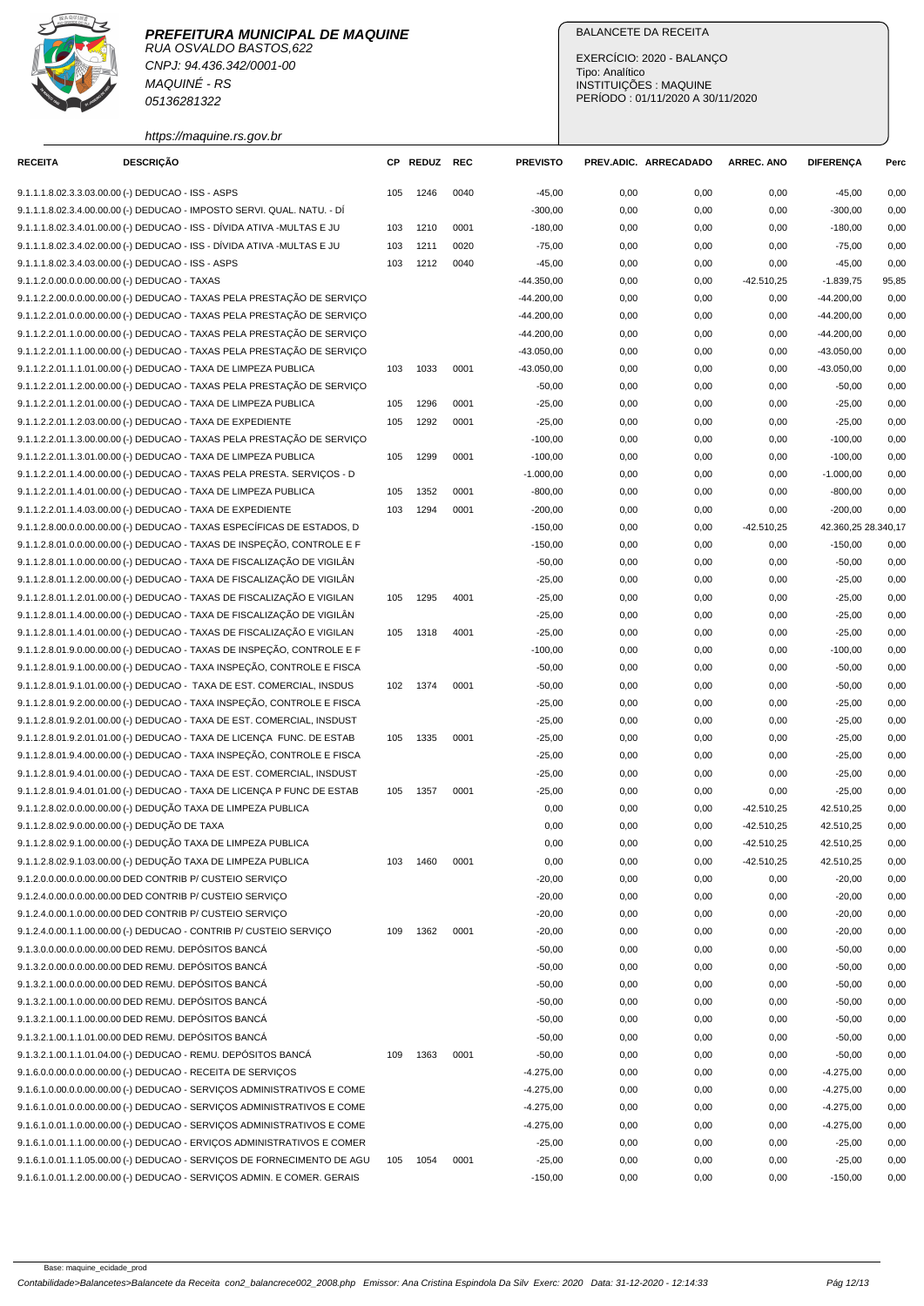RUA OSVALDO BASTOS,622 CNPJ: 94.436.342/0001-00 MAQUINÉ - RS 05136281322

## https://maquine.rs.gov.br

### BALANCETE DA RECEITA

EXERCÍCIO: 2020 - BALANÇO Tipo: Analítico INSTITUIÇÕES : MAQUINE PERÍODO : 01/11/2020 A 30/11/2020

| <b>RECEITA</b>                                      | <b>DESCRIÇÃO</b> |                                                                          |     | CP REDUZ REC |      | <b>PREVISTO</b> |      | PREV.ADIC. ARRECADADO | <b>ARREC. ANO</b> | <b>DIFERENÇA</b>    | Perc  |
|-----------------------------------------------------|------------------|--------------------------------------------------------------------------|-----|--------------|------|-----------------|------|-----------------------|-------------------|---------------------|-------|
| 9.1.1.1.8.02.3.3.03.00.00 (-) DEDUCAO - ISS - ASPS  |                  |                                                                          | 105 | 1246         | 0040 | $-45,00$        | 0,00 | 0,00                  | 0,00              | $-45,00$            | 0,00  |
|                                                     |                  | 9.1.1.1.8.02.3.4.00.00.00 (-) DEDUCAO - IMPOSTO SERVI. QUAL. NATU. - DÍ  |     |              |      | $-300,00$       | 0,00 | 0,00                  | 0,00              | $-300,00$           | 0,00  |
|                                                     |                  | 9.1.1.1.8.02.3.4.01.00.00 (-) DEDUCAO - ISS - DÍVIDA ATIVA -MULTAS E JU  | 103 | 1210         | 0001 | $-180,00$       | 0,00 | 0,00                  | 0,00              | $-180,00$           | 0,00  |
|                                                     |                  | 9.1.1.1.8.02.3.4.02.00.00 (-) DEDUCAO - ISS - DÍVIDA ATIVA -MULTAS E JU  | 103 | 1211         | 0020 | $-75,00$        | 0,00 | 0,00                  | 0,00              | $-75,00$            | 0,00  |
| 9.1.1.1.8.02.3.4.03.00.00 (-) DEDUCAO - ISS - ASPS  |                  |                                                                          | 103 | 1212         | 0040 | $-45,00$        | 0,00 | 0,00                  | 0,00              | $-45,00$            | 0,00  |
| 9.1.1.2.0.00.0.0.00.00.00 (-) DEDUCAO - TAXAS       |                  |                                                                          |     |              |      | $-44.350,00$    | 0,00 | 0,00                  | $-42.510,25$      | $-1.839,75$         | 95,85 |
|                                                     |                  | 9.1.1.2.2.00.0.0.00.00.00 (-) DEDUCAO - TAXAS PELA PRESTAÇÃO DE SERVIÇO  |     |              |      | $-44.200,00$    | 0,00 | 0,00                  | 0,00              | $-44.200,00$        | 0,00  |
|                                                     |                  | 9.1.1.2.2.01.0.0.00.00.00 (-) DEDUCAO - TAXAS PELA PRESTAÇÃO DE SERVIÇO  |     |              |      | $-44.200,00$    | 0,00 | 0,00                  | 0,00              | $-44.200,00$        | 0,00  |
|                                                     |                  | 9.1.1.2.2.01.1.0.00.00.00 (-) DEDUCAO - TAXAS PELA PRESTAÇÃO DE SERVIÇO  |     |              |      | $-44.200,00$    | 0,00 | 0,00                  | 0,00              | $-44.200,00$        | 0,00  |
|                                                     |                  | 9.1.1.2.2.01.1.1.00.00.00 (-) DEDUCAO - TAXAS PELA PRESTAÇÃO DE SERVIÇO  |     |              |      | $-43.050,00$    | 0,00 | 0,00                  | 0,00              | $-43.050,00$        | 0,00  |
|                                                     |                  | 9.1.1.2.2.01.1.1.01.00.00 (-) DEDUCAO - TAXA DE LIMPEZA PUBLICA          | 103 | 1033         | 0001 | $-43.050,00$    | 0,00 | 0,00                  | 0,00              | $-43.050,00$        | 0,00  |
|                                                     |                  | 9.1.1.2.2.01.1.2.00.00.00 (-) DEDUCAO - TAXAS PELA PRESTAÇÃO DE SERVIÇO  |     |              |      | $-50,00$        | 0,00 | 0,00                  | 0,00              | $-50,00$            | 0,00  |
|                                                     |                  | 9.1.1.2.2.01.1.2.01.00.00 (-) DEDUCAO - TAXA DE LIMPEZA PUBLICA          | 105 | 1296         | 0001 | $-25,00$        | 0,00 | 0,00                  | 0,00              | $-25,00$            | 0,00  |
|                                                     |                  | 9.1.1.2.2.01.1.2.03.00.00 (-) DEDUCAO - TAXA DE EXPEDIENTE               | 105 | 1292         | 0001 | $-25,00$        | 0,00 | 0,00                  | 0,00              | $-25,00$            | 0,00  |
|                                                     |                  | 9.1.1.2.2.01.1.3.00.00.00 (-) DEDUCAO - TAXAS PELA PRESTAÇÃO DE SERVIÇO  |     |              |      | $-100,00$       | 0,00 | 0,00                  | 0,00              | $-100,00$           | 0,00  |
|                                                     |                  | 9.1.1.2.2.01.1.3.01.00.00 (-) DEDUCAO - TAXA DE LIMPEZA PUBLICA          | 105 | 1299         | 0001 | $-100,00$       | 0,00 | 0,00                  | 0,00              | $-100,00$           | 0,00  |
|                                                     |                  | 9.1.1.2.2.01.1.4.00.00.00 (-) DEDUCAO - TAXAS PELA PRESTA. SERVIÇOS - D  |     |              |      | $-1.000,00$     | 0,00 | 0,00                  | 0,00              | $-1.000.00$         | 0,00  |
|                                                     |                  | 9.1.1.2.2.01.1.4.01.00.00 (-) DEDUCAO - TAXA DE LIMPEZA PUBLICA          | 105 | 1352         | 0001 | $-800,00$       | 0,00 | 0,00                  | 0,00              | $-800,00$           | 0,00  |
|                                                     |                  | 9.1.1.2.2.01.1.4.03.00.00 (-) DEDUCAO - TAXA DE EXPEDIENTE               | 103 | 1294         | 0001 | $-200,00$       | 0,00 | 0,00                  | 0,00              | $-200,00$           | 0,00  |
|                                                     |                  | 9.1.1.2.8.00.0.0.00.00.00 (-) DEDUCAO - TAXAS ESPECÍFICAS DE ESTADOS, D  |     |              |      | $-150,00$       | 0,00 |                       | $-42.510,25$      | 42.360,25 28.340,17 |       |
|                                                     |                  | 9.1.1.2.8.01.0.0.00.00.00 (-) DEDUCAO - TAXAS DE INSPECÃO, CONTROLE E F  |     |              |      |                 |      | 0,00                  |                   |                     |       |
|                                                     |                  |                                                                          |     |              |      | $-150,00$       | 0,00 | 0,00                  | 0,00              | $-150,00$           | 0,00  |
|                                                     |                  | 9.1.1.2.8.01.1.0.00.00.00 (-) DEDUCAO - TAXA DE FISCALIZAÇÃO DE VIGILÂN  |     |              |      | $-50,00$        | 0,00 | 0,00                  | 0,00              | $-50,00$            | 0,00  |
|                                                     |                  | 9.1.1.2.8.01.1.2.00.00.00 (-) DEDUCAO - TAXA DE FISCALIZAÇÃO DE VIGILÂN  |     |              |      | $-25,00$        | 0,00 | 0,00                  | 0,00              | $-25,00$            | 0,00  |
|                                                     |                  | 9.1.1.2.8.01.1.2.01.00.00 (-) DEDUCAO - TAXAS DE FISCALIZAÇÃO E VIGILAN  | 105 | 1295         | 4001 | $-25,00$        | 0,00 | 0,00                  | 0,00              | $-25,00$            | 0,00  |
|                                                     |                  | 9.1.1.2.8.01.1.4.00.00.00 (-) DEDUCAO - TAXA DE FISCALIZAÇÃO DE VIGILÂN  |     |              |      | $-25,00$        | 0,00 | 0,00                  | 0,00              | $-25,00$            | 0,00  |
|                                                     |                  | 9.1.1.2.8.01.1.4.01.00.00 (-) DEDUCAO - TAXAS DE FISCALIZAÇÃO E VIGILAN  | 105 | 1318         | 4001 | $-25,00$        | 0,00 | 0,00                  | 0,00              | $-25,00$            | 0,00  |
|                                                     |                  | 9.1.1.2.8.01.9.0.00.00.00 (-) DEDUCAO - TAXAS DE INSPEÇÃO, CONTROLE E F  |     |              |      | $-100,00$       | 0,00 | 0,00                  | 0,00              | $-100,00$           | 0,00  |
|                                                     |                  | 9.1.1.2.8.01.9.1.00.00.00 (-) DEDUCAO - TAXA INSPEÇÃO, CONTROLE E FISCA  |     |              |      | $-50,00$        | 0,00 | 0,00                  | 0,00              | $-50,00$            | 0,00  |
|                                                     |                  | 9.1.1.2.8.01.9.1.01.00.00 (-) DEDUCAO - TAXA DE EST. COMERCIAL, INSDUS   | 102 | 1374         | 0001 | $-50,00$        | 0,00 | 0,00                  | 0,00              | $-50,00$            | 0,00  |
|                                                     |                  | 9.1.1.2.8.01.9.2.00.00.00 (-) DEDUCAO - TAXA INSPEÇÃO, CONTROLE E FISCA  |     |              |      | $-25,00$        | 0,00 | 0,00                  | 0,00              | $-25,00$            | 0,00  |
|                                                     |                  | 9.1.1.2.8.01.9.2.01.00.00 (-) DEDUCAO - TAXA DE EST. COMERCIAL, INSDUST  |     |              |      | $-25,00$        | 0,00 | 0,00                  | 0,00              | $-25,00$            | 0,00  |
|                                                     |                  | 9.1.1.2.8.01.9.2.01.01.00 (-) DEDUCAO - TAXA DE LICENÇA FUNC. DE ESTAB   | 105 | 1335         | 0001 | $-25,00$        | 0,00 | 0,00                  | 0,00              | $-25,00$            | 0,00  |
|                                                     |                  | 9.1.1.2.8.01.9.4.00.00.00 (-) DEDUCAO - TAXA INSPEÇÃO, CONTROLE E FISCA  |     |              |      | $-25,00$        | 0,00 | 0,00                  | 0,00              | $-25,00$            | 0,00  |
|                                                     |                  | 9.1.1.2.8.01.9.4.01.00.00 (-) DEDUCAO - TAXA DE EST. COMERCIAL, INSDUST  |     |              |      | $-25,00$        | 0,00 | 0,00                  | 0,00              | $-25,00$            | 0,00  |
|                                                     |                  | 9.1.1.2.8.01.9.4.01.01.00 (-) DEDUCAO - TAXA DE LICENÇA P FUNC DE ESTAB  | 105 | 1357         | 0001 | $-25,00$        | 0,00 | 0,00                  | 0,00              | $-25,00$            | 0,00  |
|                                                     |                  | 9.1.1.2.8.02.0.0.00.00.00 (-) DEDUÇÃO TAXA DE LIMPEZA PUBLICA            |     |              |      | 0,00            | 0,00 | 0,00                  | $-42.510,25$      | 42.510,25           | 0,00  |
| 9.1.1.2.8.02.9.0.00.00.00 (-) DEDUÇÃO DE TAXA       |                  |                                                                          |     |              |      | 0,00            | 0,00 | 0,00                  | $-42.510.25$      | 42.510,25           | 0,00  |
|                                                     |                  | 9.1.1.2.8.02.9.1.00.00.00 (-) DEDUÇÃO TAXA DE LIMPEZA PUBLICA            |     |              |      | 0,00            | 0,00 | 0,00                  | $-42.510.25$      | 42.510,25           | 0,00  |
|                                                     |                  | 9.1.1.2.8.02.9.1.03.00.00 (-) DEDUÇÃO TAXA DE LIMPEZA PUBLICA            | 103 | 1460         | 0001 | 0,00            | 0,00 | 0,00                  | $-42.510,25$      | 42.510,25           | 0,00  |
|                                                     |                  | 9.1.2.0.0.00.0.0.00.00.00 DED CONTRIB P/ CUSTEIO SERVICO                 |     |              |      | $-20,00$        | 0,00 | 0,00                  | 0,00              | $-20,00$            | 0,00  |
|                                                     |                  | 9.1.2.4.0.00.0.0.00.00.00 DED CONTRIB P/ CUSTEIO SERVIÇO                 |     |              |      | $-20,00$        | 0,00 | 0,00                  | 0,00              | $-20,00$            | 0,00  |
|                                                     |                  | 9.1.2.4.0.00.1.0.00.00.00 DED CONTRIB P/ CUSTEIO SERVIÇO                 |     |              |      | $-20,00$        | 0,00 | 0,00                  | 0,00              | $-20,00$            | 0,00  |
|                                                     |                  | 9.1.2.4.0.00.1.1.00.00.00 (-) DEDUCAO - CONTRIB P/ CUSTEIO SERVIÇO       | 109 | 1362         | 0001 | $-20,00$        | 0,00 | 0,00                  | 0,00              | $-20,00$            | 0,00  |
| 9.1.3.0.0.00.0.0.00.00.00 DED REMU. DEPÓSITOS BANCÁ |                  |                                                                          |     |              |      | $-50,00$        | 0,00 | 0,00                  | 0,00              | $-50,00$            | 0,00  |
| 9.1.3.2.0.00.0.0.00.00.00 DED REMU. DEPÓSITOS BANCÁ |                  |                                                                          |     |              |      | $-50,00$        | 0,00 | 0,00                  | 0,00              | $-50,00$            | 0,00  |
| 9.1.3.2.1.00.0.0.00.00.00 DED REMU. DEPÓSITOS BANCÁ |                  |                                                                          |     |              |      | $-50,00$        | 0,00 | 0,00                  | 0,00              | $-50,00$            | 0,00  |
| 9.1.3.2.1.00.1.0.00.00.00 DED REMU. DEPÓSITOS BANCÁ |                  |                                                                          |     |              |      | $-50,00$        | 0,00 | 0,00                  | 0,00              | $-50,00$            | 0,00  |
| 9.1.3.2.1.00.1.1.00.00.00 DED REMU. DEPÓSITOS BANCÁ |                  |                                                                          |     |              |      | $-50,00$        | 0,00 | 0,00                  | 0,00              | $-50,00$            | 0,00  |
| 9.1.3.2.1.00.1.1.01.00.00 DED REMU. DEPÓSITOS BANCÁ |                  |                                                                          |     |              |      | $-50,00$        | 0,00 | 0,00                  | 0,00              | $-50,00$            | 0,00  |
|                                                     |                  | 9.1.3.2.1.00.1.1.01.04.00 (-) DEDUCAO - REMU. DEPÓSITOS BANCÁ            | 109 | 1363         | 0001 | $-50,00$        | 0,00 | 0,00                  | 0,00              | $-50,00$            | 0,00  |
|                                                     |                  | 9.1.6.0.0.00.0.0.00.00.00 (-) DEDUCAO - RECEITA DE SERVIÇOS              |     |              |      | $-4.275,00$     | 0,00 | 0,00                  | 0,00              | $-4.275,00$         | 0,00  |
|                                                     |                  | 9.1.6.1.0.00.0.0.00.00.00 (-) DEDUCAO - SERVIÇOS ADMINISTRATIVOS E COME  |     |              |      | $-4.275,00$     | 0,00 | 0,00                  | 0,00              | $-4.275,00$         | 0,00  |
|                                                     |                  | 9.1.6.1.0.01.0.00.00.00.00 (-) DEDUCAO - SERVIÇOS ADMINISTRATIVOS E COME |     |              |      | $-4.275,00$     | 0,00 | 0,00                  | 0,00              | $-4.275,00$         | 0,00  |
|                                                     |                  | 9.1.6.1.0.01.1.0.00.00.00 (-) DEDUCAO - SERVIÇOS ADMINISTRATIVOS E COME  |     |              |      | $-4.275,00$     | 0,00 | 0,00                  | 0,00              | $-4.275,00$         | 0,00  |
|                                                     |                  | 9.1.6.1.0.01.1.1.00.00.00 (-) DEDUCAO - ERVIÇOS ADMINISTRATIVOS E COMER  |     |              |      | $-25,00$        | 0,00 | 0,00                  | 0,00              | $-25,00$            | 0,00  |
|                                                     |                  | 9.1.6.1.0.01.1.1.05.00.00 (-) DEDUCAO - SERVIÇOS DE FORNECIMENTO DE AGU  | 105 | 1054         | 0001 | $-25,00$        | 0,00 | 0,00                  | 0,00              | $-25,00$            | 0,00  |
|                                                     |                  | 9.1.6.1.0.01.1.2.00.00.00 (-) DEDUCAO - SERVIÇOS ADMIN. E COMER. GERAIS  |     |              |      | $-150,00$       | 0,00 | 0,00                  | 0,00              | $-150,00$           | 0,00  |
|                                                     |                  |                                                                          |     |              |      |                 |      |                       |                   |                     |       |